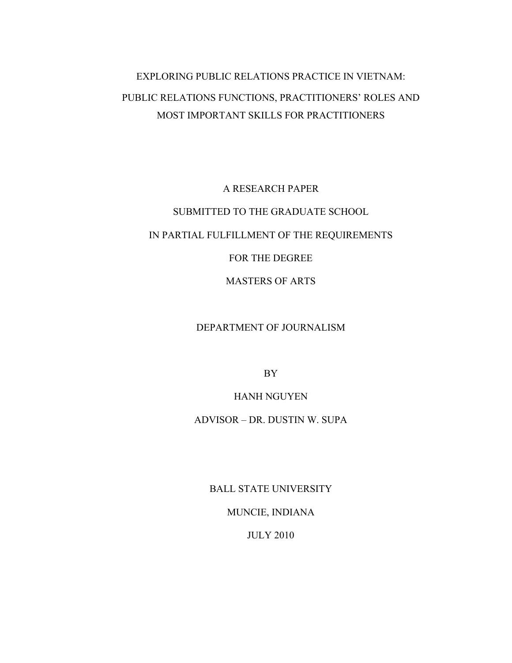# EXPLORING PUBLIC RELATIONS PRACTICE IN VIETNAM: PUBLIC RELATIONS FUNCTIONS, PRACTITIONERS' ROLES AND MOST IMPORTANT SKILLS FOR PRACTITIONERS

A RESEARCH PAPER SUBMITTED TO THE GRADUATE SCHOOL IN PARTIAL FULFILLMENT OF THE REQUIREMENTS FOR THE DEGREE MASTERS OF ARTS

### DEPARTMENT OF JOURNALISM

BY

#### HANH NGUYEN

ADVISOR – DR. DUSTIN W. SUPA

BALL STATE UNIVERSITY

MUNCIE, INDIANA

JULY 2010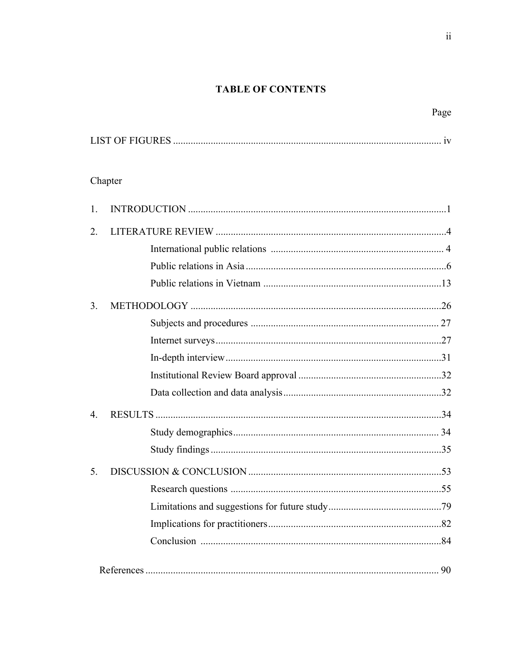## **TABLE OF CONTENTS**

# Page

# Chapter

| 1.               |  |
|------------------|--|
| 2.               |  |
|                  |  |
|                  |  |
|                  |  |
| 3.               |  |
|                  |  |
|                  |  |
|                  |  |
|                  |  |
|                  |  |
| $\overline{4}$ . |  |
|                  |  |
|                  |  |
| 5.               |  |
|                  |  |
|                  |  |
|                  |  |
|                  |  |
|                  |  |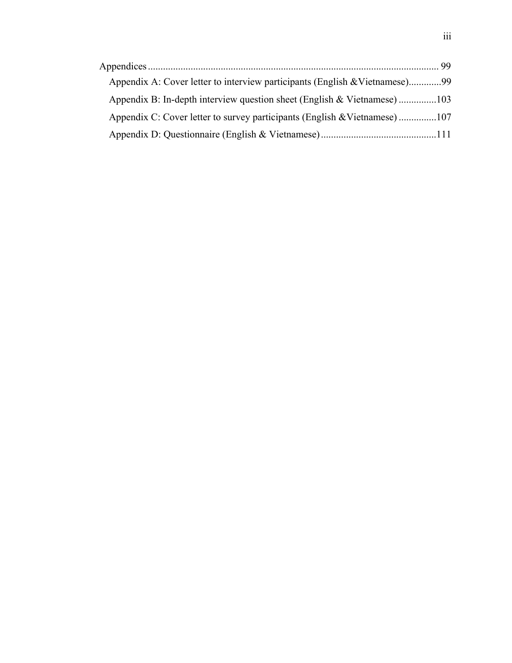| Appendix A: Cover letter to interview participants (English & Vietnamese)99 |  |
|-----------------------------------------------------------------------------|--|
| Appendix B: In-depth interview question sheet (English & Vietnamese)103     |  |
| Appendix C: Cover letter to survey participants (English & Vietnamese) 107  |  |
|                                                                             |  |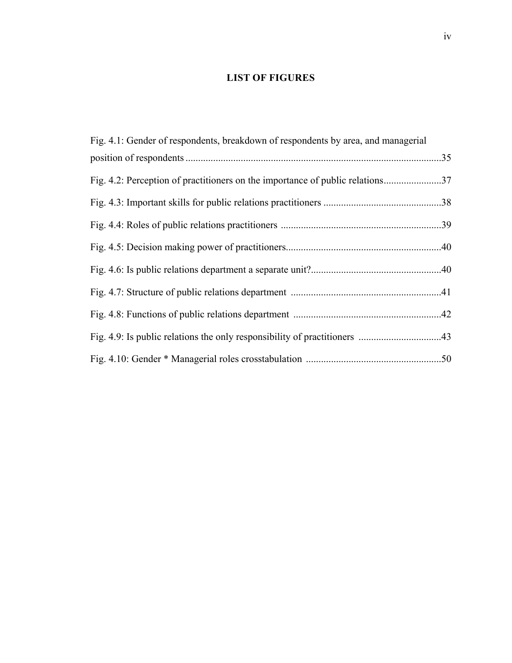## **LIST OF FIGURES**

| Fig. 4.1: Gender of respondents, breakdown of respondents by area, and managerial |  |
|-----------------------------------------------------------------------------------|--|
|                                                                                   |  |
| Fig. 4.2: Perception of practitioners on the importance of public relations       |  |
|                                                                                   |  |
|                                                                                   |  |
|                                                                                   |  |
|                                                                                   |  |
|                                                                                   |  |
|                                                                                   |  |
|                                                                                   |  |
|                                                                                   |  |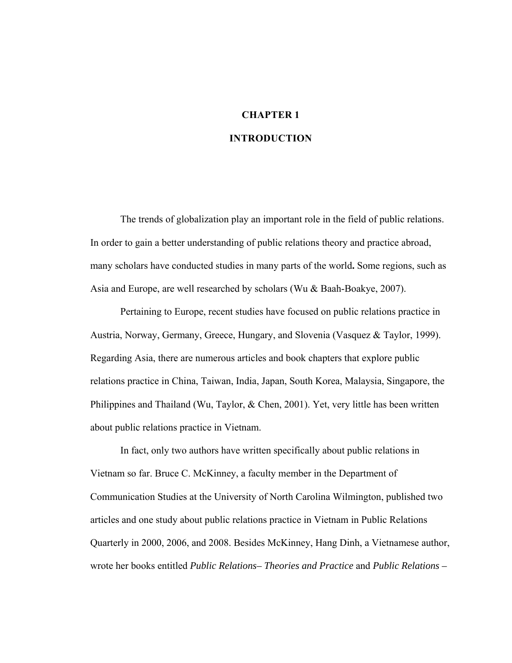# **CHAPTER 1**

## **INTRODUCTION**

The trends of globalization play an important role in the field of public relations. In order to gain a better understanding of public relations theory and practice abroad, many scholars have conducted studies in many parts of the world**.** Some regions, such as Asia and Europe, are well researched by scholars (Wu & Baah-Boakye, 2007).

Pertaining to Europe, recent studies have focused on public relations practice in Austria, Norway, Germany, Greece, Hungary, and Slovenia (Vasquez & Taylor, 1999). Regarding Asia, there are numerous articles and book chapters that explore public relations practice in China, Taiwan, India, Japan, South Korea, Malaysia, Singapore, the Philippines and Thailand (Wu, Taylor, & Chen, 2001). Yet, very little has been written about public relations practice in Vietnam.

In fact, only two authors have written specifically about public relations in Vietnam so far. Bruce C. McKinney, a faculty member in the Department of Communication Studies at the University of North Carolina Wilmington, published two articles and one study about public relations practice in Vietnam in Public Relations Quarterly in 2000, 2006, and 2008. Besides McKinney, Hang Dinh, a Vietnamese author, wrote her books entitled *Public Relations– Theories and Practice* and *Public Relations –*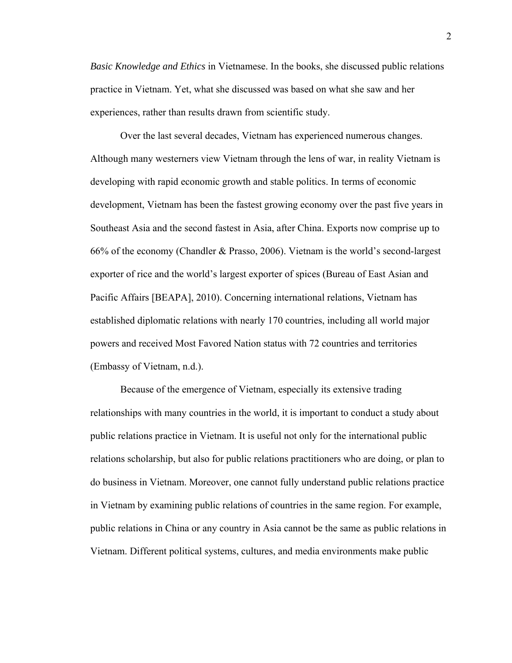*Basic Knowledge and Ethics* in Vietnamese. In the books, she discussed public relations practice in Vietnam. Yet, what she discussed was based on what she saw and her experiences, rather than results drawn from scientific study.

Over the last several decades, Vietnam has experienced numerous changes. Although many westerners view Vietnam through the lens of war, in reality Vietnam is developing with rapid economic growth and stable politics. In terms of economic development, Vietnam has been the fastest growing economy over the past five years in Southeast Asia and the second fastest in Asia, after China. Exports now comprise up to 66% of the economy (Chandler & Prasso, 2006). Vietnam is the world's second-largest exporter of rice and the world's largest exporter of spices (Bureau of East Asian and Pacific Affairs [BEAPA], 2010). Concerning international relations, Vietnam has established diplomatic relations with nearly 170 countries, including all world major powers and received Most Favored Nation status with 72 countries and territories (Embassy of Vietnam, n.d.).

Because of the emergence of Vietnam, especially its extensive trading relationships with many countries in the world, it is important to conduct a study about public relations practice in Vietnam. It is useful not only for the international public relations scholarship, but also for public relations practitioners who are doing, or plan to do business in Vietnam. Moreover, one cannot fully understand public relations practice in Vietnam by examining public relations of countries in the same region. For example, public relations in China or any country in Asia cannot be the same as public relations in Vietnam. Different political systems, cultures, and media environments make public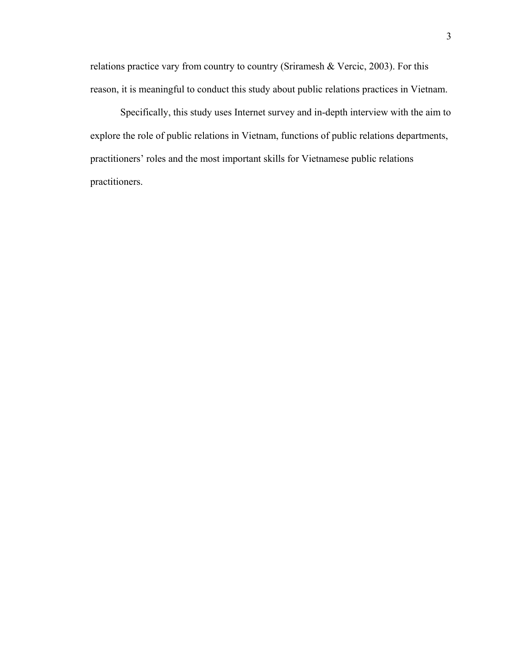relations practice vary from country to country (Sriramesh & Vercic, 2003). For this reason, it is meaningful to conduct this study about public relations practices in Vietnam.

Specifically, this study uses Internet survey and in-depth interview with the aim to explore the role of public relations in Vietnam, functions of public relations departments, practitioners' roles and the most important skills for Vietnamese public relations practitioners.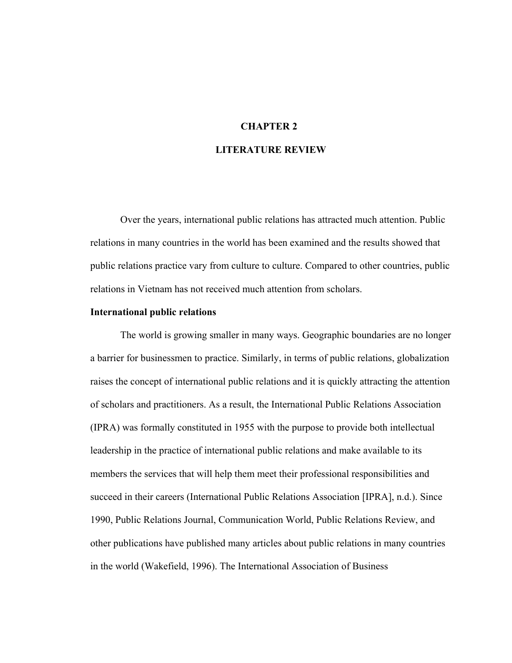#### **CHAPTER 2**

### **LITERATURE REVIEW**

Over the years, international public relations has attracted much attention. Public relations in many countries in the world has been examined and the results showed that public relations practice vary from culture to culture. Compared to other countries, public relations in Vietnam has not received much attention from scholars.

#### **International public relations**

The world is growing smaller in many ways. Geographic boundaries are no longer a barrier for businessmen to practice. Similarly, in terms of public relations, globalization raises the concept of international public relations and it is quickly attracting the attention of scholars and practitioners. As a result, the International Public Relations Association (IPRA) was formally constituted in 1955 with the purpose to provide both intellectual leadership in the practice of international public relations and make available to its members the services that will help them meet their professional responsibilities and succeed in their careers (International Public Relations Association [IPRA], n.d.). Since 1990, Public Relations Journal, Communication World, Public Relations Review, and other publications have published many articles about public relations in many countries in the world (Wakefield, 1996). The International Association of Business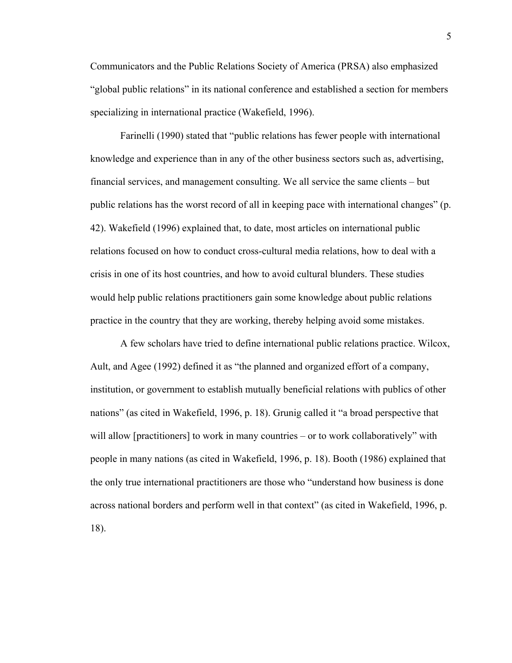Communicators and the Public Relations Society of America (PRSA) also emphasized "global public relations" in its national conference and established a section for members specializing in international practice (Wakefield, 1996).

Farinelli (1990) stated that "public relations has fewer people with international knowledge and experience than in any of the other business sectors such as, advertising, financial services, and management consulting. We all service the same clients – but public relations has the worst record of all in keeping pace with international changes" (p. 42). Wakefield (1996) explained that, to date, most articles on international public relations focused on how to conduct cross-cultural media relations, how to deal with a crisis in one of its host countries, and how to avoid cultural blunders. These studies would help public relations practitioners gain some knowledge about public relations practice in the country that they are working, thereby helping avoid some mistakes.

A few scholars have tried to define international public relations practice. Wilcox, Ault, and Agee (1992) defined it as "the planned and organized effort of a company, institution, or government to establish mutually beneficial relations with publics of other nations" (as cited in Wakefield, 1996, p. 18). Grunig called it "a broad perspective that will allow [practitioners] to work in many countries – or to work collaboratively" with people in many nations (as cited in Wakefield, 1996, p. 18). Booth (1986) explained that the only true international practitioners are those who "understand how business is done across national borders and perform well in that context" (as cited in Wakefield, 1996, p. 18).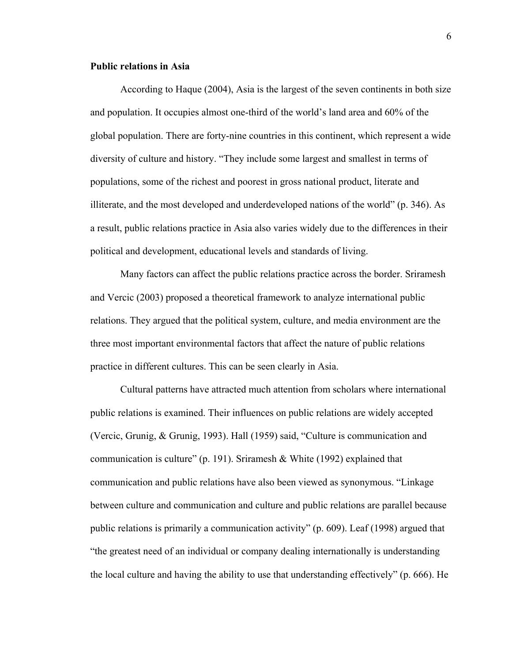#### **Public relations in Asia**

According to Haque (2004), Asia is the largest of the seven continents in both size and population. It occupies almost one-third of the world's land area and 60% of the global population. There are forty-nine countries in this continent, which represent a wide diversity of culture and history. "They include some largest and smallest in terms of populations, some of the richest and poorest in gross national product, literate and illiterate, and the most developed and underdeveloped nations of the world" (p. 346). As a result, public relations practice in Asia also varies widely due to the differences in their political and development, educational levels and standards of living.

Many factors can affect the public relations practice across the border. Sriramesh and Vercic (2003) proposed a theoretical framework to analyze international public relations. They argued that the political system, culture, and media environment are the three most important environmental factors that affect the nature of public relations practice in different cultures. This can be seen clearly in Asia.

Cultural patterns have attracted much attention from scholars where international public relations is examined. Their influences on public relations are widely accepted (Vercic, Grunig, & Grunig, 1993). Hall (1959) said, "Culture is communication and communication is culture" (p. 191). Sriramesh & White (1992) explained that communication and public relations have also been viewed as synonymous. "Linkage between culture and communication and culture and public relations are parallel because public relations is primarily a communication activity" (p. 609). Leaf (1998) argued that "the greatest need of an individual or company dealing internationally is understanding the local culture and having the ability to use that understanding effectively" (p. 666). He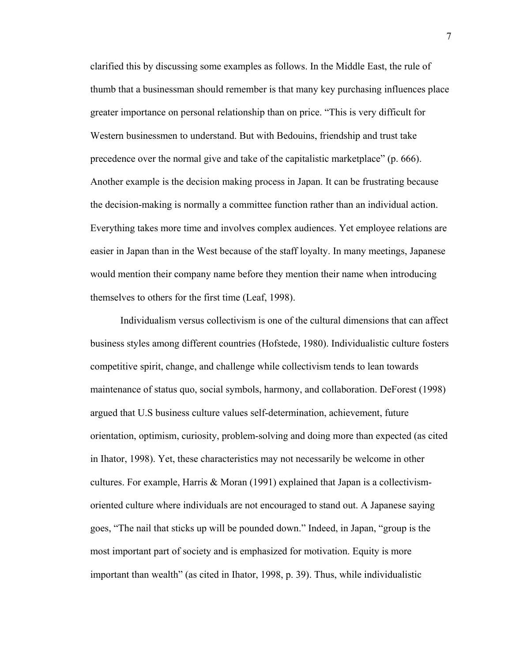clarified this by discussing some examples as follows. In the Middle East, the rule of thumb that a businessman should remember is that many key purchasing influences place greater importance on personal relationship than on price. "This is very difficult for Western businessmen to understand. But with Bedouins, friendship and trust take precedence over the normal give and take of the capitalistic marketplace" (p. 666). Another example is the decision making process in Japan. It can be frustrating because the decision-making is normally a committee function rather than an individual action. Everything takes more time and involves complex audiences. Yet employee relations are easier in Japan than in the West because of the staff loyalty. In many meetings, Japanese would mention their company name before they mention their name when introducing themselves to others for the first time (Leaf, 1998).

Individualism versus collectivism is one of the cultural dimensions that can affect business styles among different countries (Hofstede, 1980). Individualistic culture fosters competitive spirit, change, and challenge while collectivism tends to lean towards maintenance of status quo, social symbols, harmony, and collaboration. DeForest (1998) argued that U.S business culture values self-determination, achievement, future orientation, optimism, curiosity, problem-solving and doing more than expected (as cited in Ihator, 1998). Yet, these characteristics may not necessarily be welcome in other cultures. For example, Harris & Moran  $(1991)$  explained that Japan is a collectivismoriented culture where individuals are not encouraged to stand out. A Japanese saying goes, "The nail that sticks up will be pounded down." Indeed, in Japan, "group is the most important part of society and is emphasized for motivation. Equity is more important than wealth" (as cited in Ihator, 1998, p. 39). Thus, while individualistic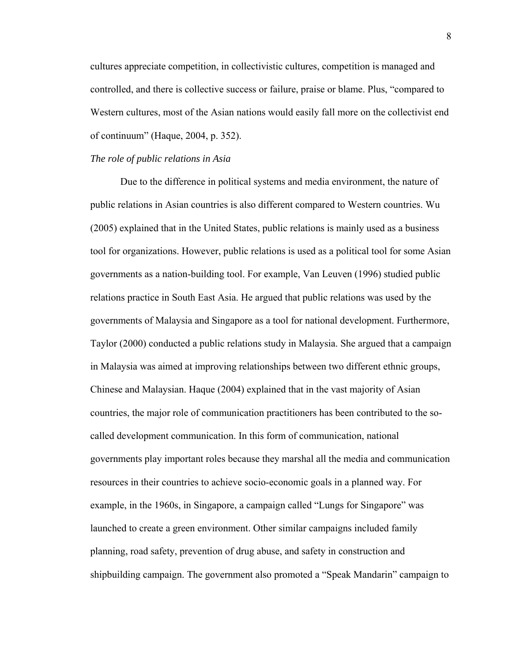cultures appreciate competition, in collectivistic cultures, competition is managed and controlled, and there is collective success or failure, praise or blame. Plus, "compared to Western cultures, most of the Asian nations would easily fall more on the collectivist end of continuum" (Haque, 2004, p. 352).

#### *The role of public relations in Asia*

Due to the difference in political systems and media environment, the nature of public relations in Asian countries is also different compared to Western countries. Wu (2005) explained that in the United States, public relations is mainly used as a business tool for organizations. However, public relations is used as a political tool for some Asian governments as a nation-building tool. For example, Van Leuven (1996) studied public relations practice in South East Asia. He argued that public relations was used by the governments of Malaysia and Singapore as a tool for national development. Furthermore, Taylor (2000) conducted a public relations study in Malaysia. She argued that a campaign in Malaysia was aimed at improving relationships between two different ethnic groups, Chinese and Malaysian. Haque (2004) explained that in the vast majority of Asian countries, the major role of communication practitioners has been contributed to the socalled development communication. In this form of communication, national governments play important roles because they marshal all the media and communication resources in their countries to achieve socio-economic goals in a planned way. For example, in the 1960s, in Singapore, a campaign called "Lungs for Singapore" was launched to create a green environment. Other similar campaigns included family planning, road safety, prevention of drug abuse, and safety in construction and shipbuilding campaign. The government also promoted a "Speak Mandarin" campaign to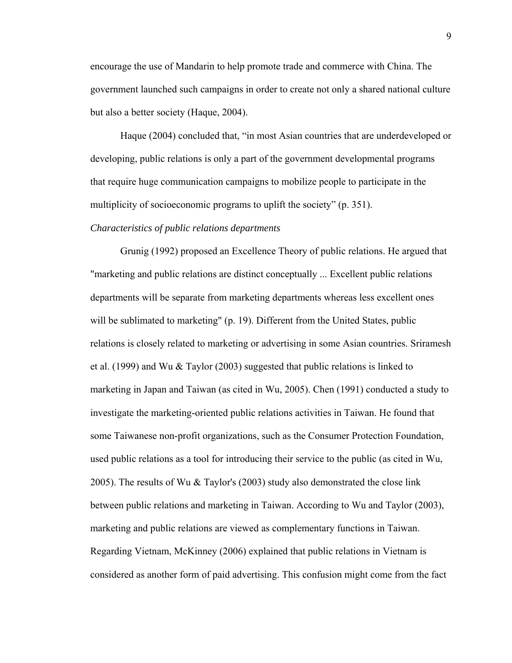encourage the use of Mandarin to help promote trade and commerce with China. The government launched such campaigns in order to create not only a shared national culture but also a better society (Haque, 2004).

Haque (2004) concluded that, "in most Asian countries that are underdeveloped or developing, public relations is only a part of the government developmental programs that require huge communication campaigns to mobilize people to participate in the multiplicity of socioeconomic programs to uplift the society" (p. 351).

#### *Characteristics of public relations departments*

Grunig (1992) proposed an Excellence Theory of public relations. He argued that "marketing and public relations are distinct conceptually ... Excellent public relations departments will be separate from marketing departments whereas less excellent ones will be sublimated to marketing" (p. 19). Different from the United States, public relations is closely related to marketing or advertising in some Asian countries. Sriramesh et al. (1999) and Wu & Taylor (2003) suggested that public relations is linked to marketing in Japan and Taiwan (as cited in Wu, 2005). Chen (1991) conducted a study to investigate the marketing-oriented public relations activities in Taiwan. He found that some Taiwanese non-profit organizations, such as the Consumer Protection Foundation, used public relations as a tool for introducing their service to the public (as cited in Wu, 2005). The results of Wu  $&$  Taylor's (2003) study also demonstrated the close link between public relations and marketing in Taiwan. According to Wu and Taylor (2003), marketing and public relations are viewed as complementary functions in Taiwan. Regarding Vietnam, McKinney (2006) explained that public relations in Vietnam is considered as another form of paid advertising. This confusion might come from the fact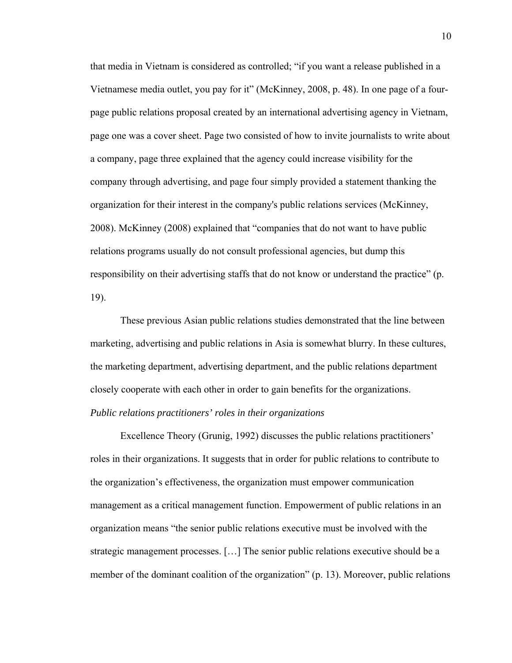that media in Vietnam is considered as controlled; "if you want a release published in a Vietnamese media outlet, you pay for it" (McKinney, 2008, p. 48). In one page of a fourpage public relations proposal created by an international advertising agency in Vietnam, page one was a cover sheet. Page two consisted of how to invite journalists to write about a company, page three explained that the agency could increase visibility for the company through advertising, and page four simply provided a statement thanking the organization for their interest in the company's public relations services (McKinney, 2008). McKinney (2008) explained that "companies that do not want to have public relations programs usually do not consult professional agencies, but dump this responsibility on their advertising staffs that do not know or understand the practice" (p. 19).

These previous Asian public relations studies demonstrated that the line between marketing, advertising and public relations in Asia is somewhat blurry. In these cultures, the marketing department, advertising department, and the public relations department closely cooperate with each other in order to gain benefits for the organizations. *Public relations practitioners' roles in their organizations* 

Excellence Theory (Grunig, 1992) discusses the public relations practitioners' roles in their organizations. It suggests that in order for public relations to contribute to the organization's effectiveness, the organization must empower communication management as a critical management function. Empowerment of public relations in an organization means "the senior public relations executive must be involved with the strategic management processes. […] The senior public relations executive should be a member of the dominant coalition of the organization" (p. 13). Moreover, public relations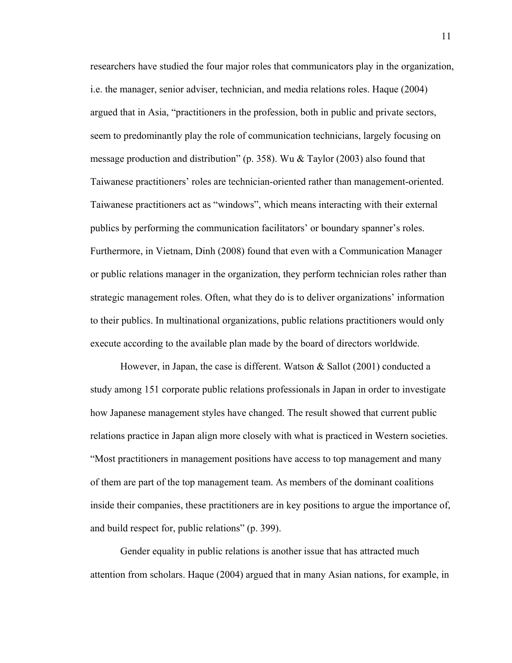researchers have studied the four major roles that communicators play in the organization, i.e. the manager, senior adviser, technician, and media relations roles. Haque (2004) argued that in Asia, "practitioners in the profession, both in public and private sectors, seem to predominantly play the role of communication technicians, largely focusing on message production and distribution" (p. 358). Wu & Taylor (2003) also found that Taiwanese practitioners' roles are technician-oriented rather than management-oriented. Taiwanese practitioners act as "windows", which means interacting with their external publics by performing the communication facilitators' or boundary spanner's roles. Furthermore, in Vietnam, Dinh (2008) found that even with a Communication Manager or public relations manager in the organization, they perform technician roles rather than strategic management roles. Often, what they do is to deliver organizations' information to their publics. In multinational organizations, public relations practitioners would only execute according to the available plan made by the board of directors worldwide.

However, in Japan, the case is different. Watson  $\&$  Sallot (2001) conducted a study among 151 corporate public relations professionals in Japan in order to investigate how Japanese management styles have changed. The result showed that current public relations practice in Japan align more closely with what is practiced in Western societies. "Most practitioners in management positions have access to top management and many of them are part of the top management team. As members of the dominant coalitions inside their companies, these practitioners are in key positions to argue the importance of, and build respect for, public relations" (p. 399).

Gender equality in public relations is another issue that has attracted much attention from scholars. Haque (2004) argued that in many Asian nations, for example, in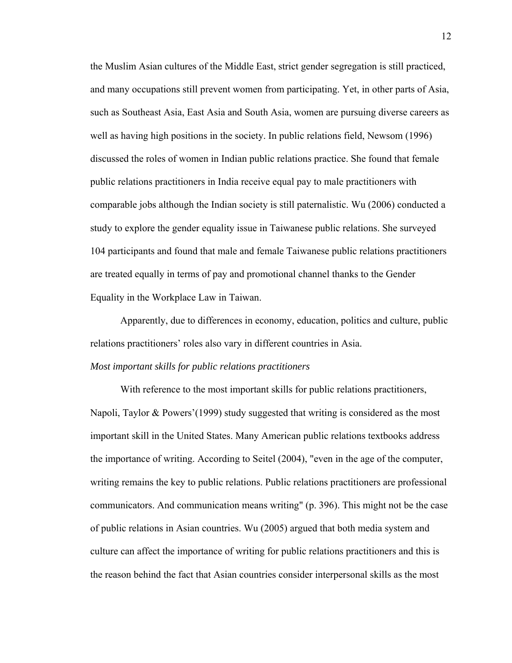the Muslim Asian cultures of the Middle East, strict gender segregation is still practiced, and many occupations still prevent women from participating. Yet, in other parts of Asia, such as Southeast Asia, East Asia and South Asia, women are pursuing diverse careers as well as having high positions in the society. In public relations field, Newsom (1996) discussed the roles of women in Indian public relations practice. She found that female public relations practitioners in India receive equal pay to male practitioners with comparable jobs although the Indian society is still paternalistic. Wu (2006) conducted a study to explore the gender equality issue in Taiwanese public relations. She surveyed 104 participants and found that male and female Taiwanese public relations practitioners are treated equally in terms of pay and promotional channel thanks to the Gender Equality in the Workplace Law in Taiwan.

Apparently, due to differences in economy, education, politics and culture, public relations practitioners' roles also vary in different countries in Asia.

#### *Most important skills for public relations practitioners*

With reference to the most important skills for public relations practitioners, Napoli, Taylor & Powers'(1999) study suggested that writing is considered as the most important skill in the United States. Many American public relations textbooks address the importance of writing. According to Seitel (2004), "even in the age of the computer, writing remains the key to public relations. Public relations practitioners are professional communicators. And communication means writing" (p. 396). This might not be the case of public relations in Asian countries. Wu (2005) argued that both media system and culture can affect the importance of writing for public relations practitioners and this is the reason behind the fact that Asian countries consider interpersonal skills as the most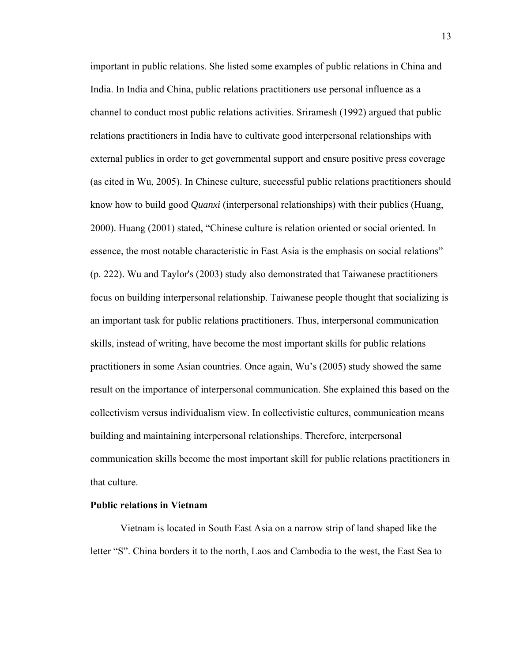important in public relations. She listed some examples of public relations in China and India. In India and China, public relations practitioners use personal influence as a channel to conduct most public relations activities. Sriramesh (1992) argued that public relations practitioners in India have to cultivate good interpersonal relationships with external publics in order to get governmental support and ensure positive press coverage (as cited in Wu, 2005). In Chinese culture, successful public relations practitioners should know how to build good *Quanxi* (interpersonal relationships) with their publics (Huang, 2000). Huang (2001) stated, "Chinese culture is relation oriented or social oriented. In essence, the most notable characteristic in East Asia is the emphasis on social relations" (p. 222). Wu and Taylor's (2003) study also demonstrated that Taiwanese practitioners focus on building interpersonal relationship. Taiwanese people thought that socializing is an important task for public relations practitioners. Thus, interpersonal communication skills, instead of writing, have become the most important skills for public relations practitioners in some Asian countries. Once again, Wu's (2005) study showed the same result on the importance of interpersonal communication. She explained this based on the collectivism versus individualism view. In collectivistic cultures, communication means building and maintaining interpersonal relationships. Therefore, interpersonal communication skills become the most important skill for public relations practitioners in that culture.

#### **Public relations in Vietnam**

Vietnam is located in South East Asia on a narrow strip of land shaped like the letter "S". China borders it to the north, Laos and Cambodia to the west, the East Sea to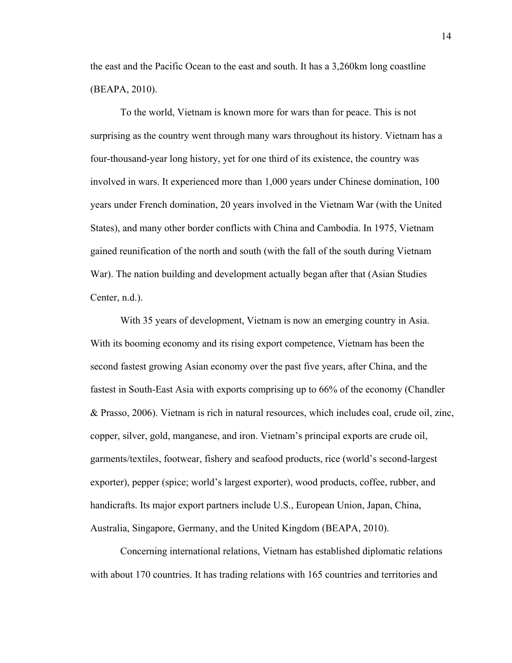the east and the Pacific Ocean to the east and south. It has a 3,260km long coastline (BEAPA, 2010).

To the world, Vietnam is known more for wars than for peace. This is not surprising as the country went through many wars throughout its history. Vietnam has a four-thousand-year long history, yet for one third of its existence, the country was involved in wars. It experienced more than 1,000 years under Chinese domination, 100 years under French domination, 20 years involved in the Vietnam War (with the United States), and many other border conflicts with China and Cambodia. In 1975, Vietnam gained reunification of the north and south (with the fall of the south during Vietnam War). The nation building and development actually began after that (Asian Studies Center, n.d.).

With 35 years of development, Vietnam is now an emerging country in Asia. With its booming economy and its rising export competence, Vietnam has been the second fastest growing Asian economy over the past five years, after China, and the fastest in South-East Asia with exports comprising up to 66% of the economy (Chandler & Prasso, 2006). Vietnam is rich in natural resources, which includes coal, crude oil, zinc, copper, silver, gold, manganese, and iron. Vietnam's principal exports are crude oil, garments/textiles, footwear, fishery and seafood products, rice (world's second-largest exporter), pepper (spice; world's largest exporter), wood products, coffee, rubber, and handicrafts. Its major export partners include U.S., European Union, Japan, China, Australia, Singapore, Germany, and the United Kingdom (BEAPA, 2010).

Concerning international relations, Vietnam has established diplomatic relations with about 170 countries. It has trading relations with 165 countries and territories and

14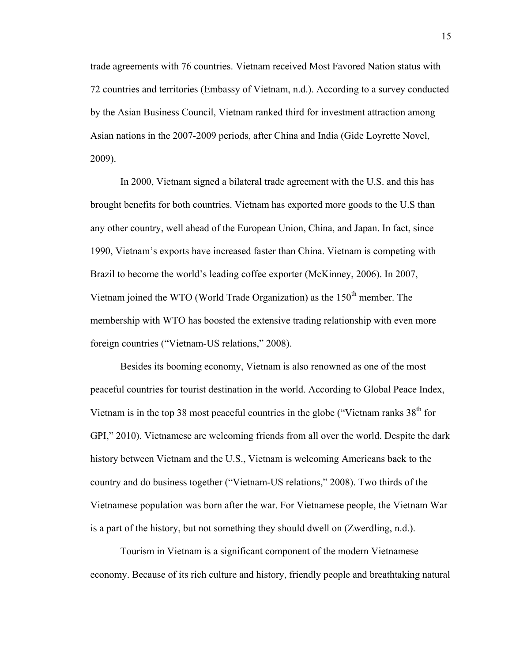trade agreements with 76 countries. Vietnam received Most Favored Nation status with 72 countries and territories (Embassy of Vietnam, n.d.). According to a survey conducted by the Asian Business Council, Vietnam ranked third for investment attraction among Asian nations in the 2007-2009 periods, after China and India (Gide Loyrette Novel, 2009).

In 2000, Vietnam signed a bilateral trade agreement with the U.S. and this has brought benefits for both countries. Vietnam has exported more goods to the U.S than any other country, well ahead of the European Union, China, and Japan. In fact, since 1990, Vietnam's exports have increased faster than China. Vietnam is competing with Brazil to become the world's leading coffee exporter (McKinney, 2006). In 2007, Vietnam joined the WTO (World Trade Organization) as the  $150<sup>th</sup>$  member. The membership with WTO has boosted the extensive trading relationship with even more foreign countries ("Vietnam-US relations," 2008).

Besides its booming economy, Vietnam is also renowned as one of the most peaceful countries for tourist destination in the world. According to Global Peace Index, Vietnam is in the top 38 most peaceful countries in the globe ("Vietnam ranks  $38<sup>th</sup>$  for GPI," 2010). Vietnamese are welcoming friends from all over the world. Despite the dark history between Vietnam and the U.S., Vietnam is welcoming Americans back to the country and do business together ("Vietnam-US relations," 2008). Two thirds of the Vietnamese population was born after the war. For Vietnamese people, the Vietnam War is a part of the history, but not something they should dwell on (Zwerdling, n.d.).

Tourism in Vietnam is a significant component of the modern Vietnamese economy. Because of its rich culture and history, friendly people and breathtaking natural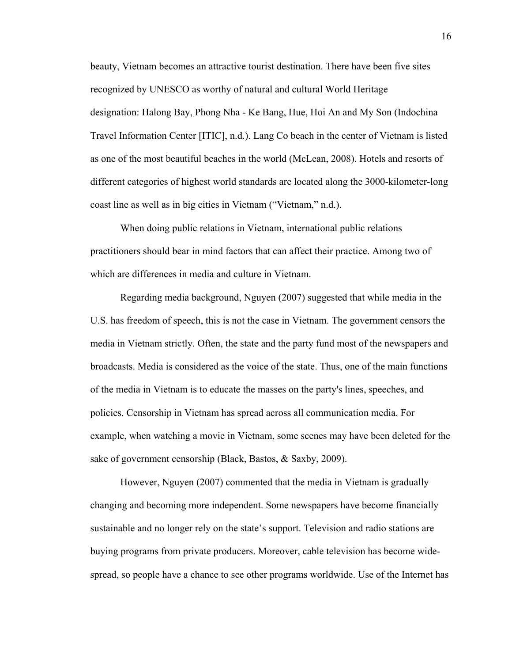beauty, Vietnam becomes an attractive tourist destination. There have been five sites recognized by UNESCO as worthy of natural and cultural World Heritage designation: [Halong Bay](http://www.vietnamtravels.vn/Vietnam-travel-information/World-heritage-sites.htm#Halong-Bay), [Phong Nha - Ke Bang](http://www.vietnamtravels.vn/Vietnam-travel-information/Phong-Nha.htm), [Hue](http://www.vietnamtravels.vn/Vietnam-travel-information/Hue.htm), [Hoi An](http://www.vietnamtravels.vn/Vietnam-travel-information/Hoi-An.htm) and [My Son](http://www.vietnamtravels.vn/Vietnam-travel-information/My-Son.htm) (Indochina Travel Information Center [ITIC], n.d.). Lang Co beach in the center of Vietnam is listed as one of the most beautiful beaches in the world (McLean, 2008). Hotels and resorts of different categories of highest world standards are located along the 3000-kilometer-long coast line as well as in big cities in Vietnam ("Vietnam," n.d.).

When doing public relations in Vietnam, international public relations practitioners should bear in mind factors that can affect their practice. Among two of which are differences in media and culture in Vietnam.

Regarding media background, Nguyen (2007) suggested that while media in the U.S. has freedom of speech, this is not the case in Vietnam. The government censors the media in Vietnam strictly. Often, the state and the party fund most of the newspapers and broadcasts. Media is considered as the voice of the state. Thus, one of the main functions of the media in Vietnam is to educate the masses on the party's lines, speeches, and policies. Censorship in Vietnam has spread across all communication media. For example, when watching a movie in Vietnam, some scenes may have been deleted for the sake of government censorship (Black, Bastos, & Saxby, 2009).

However, Nguyen (2007) commented that the media in Vietnam is gradually changing and becoming more independent. Some newspapers have become financially sustainable and no longer rely on the state's support. Television and radio stations are buying programs from private producers. Moreover, cable television has become widespread, so people have a chance to see other programs worldwide. Use of the Internet has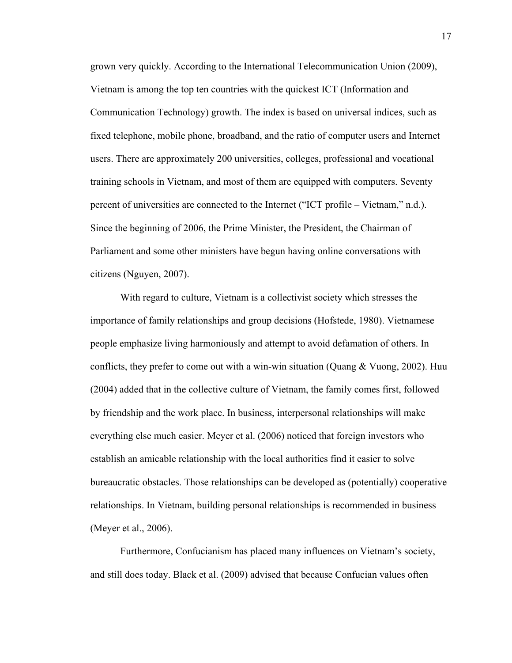grown very quickly. According to the International Telecommunication Union (2009), Vietnam is among the top ten countries with the quickest ICT (Information and Communication Technology) growth. The index is based on universal indices, such as fixed telephone, mobile phone, broadband, and the ratio of computer users and Internet users. There are approximately 200 universities, colleges, professional and vocational training schools in Vietnam, and most of them are equipped with computers. Seventy percent of universities are connected to the Internet ("ICT profile – Vietnam," n.d.). Since the beginning of 2006, the Prime Minister, the President, the Chairman of Parliament and some other ministers have begun having online conversations with citizens (Nguyen, 2007).

With regard to culture, Vietnam is a collectivist society which stresses the importance of family relationships and group decisions (Hofstede, 1980). Vietnamese people emphasize living harmoniously and attempt to avoid defamation of others. In conflicts, they prefer to come out with a win-win situation (Quang  $\&$  Vuong, 2002). Huu (2004) added that in the collective culture of Vietnam, the family comes first, followed by friendship and the work place. In business, interpersonal relationships will make everything else much easier. Meyer et al. (2006) noticed that foreign investors who establish an amicable relationship with the local authorities find it easier to solve bureaucratic obstacles. Those relationships can be developed as (potentially) cooperative relationships. In Vietnam, building personal relationships is recommended in business (Meyer et al., 2006).

Furthermore, Confucianism has placed many influences on Vietnam's society, and still does today. Black et al. (2009) advised that because Confucian values often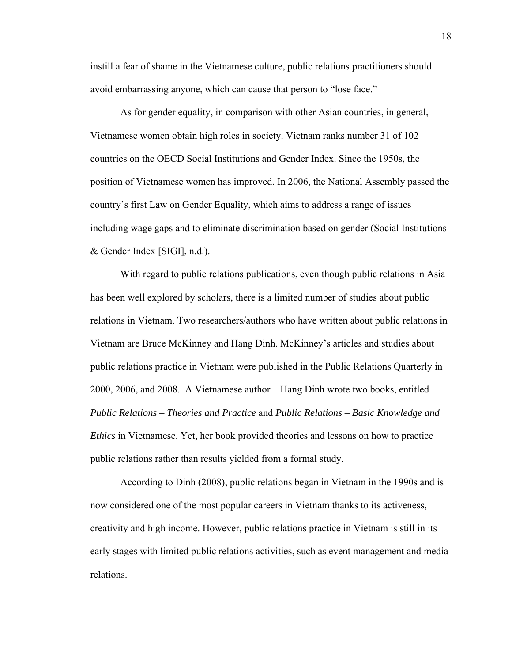instill a fear of shame in the Vietnamese culture, public relations practitioners should avoid embarrassing anyone, which can cause that person to "lose face."

As for gender equality, in comparison with other Asian countries, in general, Vietnamese women obtain high roles in society. Vietnam ranks number 31 of 102 countries on the OECD Social Institutions and Gender Index. Since the 1950s, the position of Vietnamese women has improved. In 2006, the National Assembly passed the country's first Law on Gender Equality, which aims to address a range of issues including wage gaps and to eliminate discrimination based on gender (Social Institutions & Gender Index [SIGI], n.d.).

With regard to public relations publications, even though public relations in Asia has been well explored by scholars, there is a limited number of studies about public relations in Vietnam. Two researchers/authors who have written about public relations in Vietnam are Bruce McKinney and Hang Dinh. McKinney's articles and studies about public relations practice in Vietnam were published in the Public Relations Quarterly in 2000, 2006, and 2008. A Vietnamese author – Hang Dinh wrote two books, entitled *Public Relations – Theories and Practice* and *Public Relations – Basic Knowledge and Ethics* in Vietnamese. Yet, her book provided theories and lessons on how to practice public relations rather than results yielded from a formal study.

According to Dinh (2008), public relations began in Vietnam in the 1990s and is now considered one of the most popular careers in Vietnam thanks to its activeness, creativity and high income. However, public relations practice in Vietnam is still in its early stages with limited public relations activities, such as event management and media relations.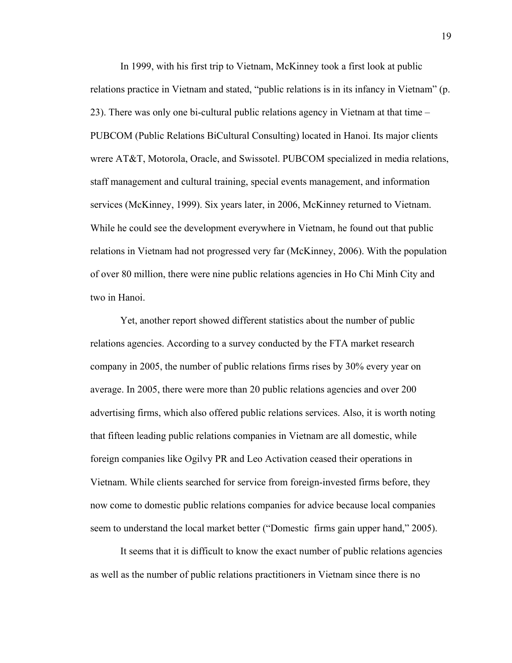In 1999, with his first trip to Vietnam, McKinney took a first look at public relations practice in Vietnam and stated, "public relations is in its infancy in Vietnam" (p. 23). There was only one bi-cultural public relations agency in Vietnam at that time – PUBCOM (Public Relations BiCultural Consulting) located in Hanoi. Its major clients wrere AT&T, Motorola, Oracle, and Swissotel. PUBCOM specialized in media relations, staff management and cultural training, special events management, and information services (McKinney, 1999). Six years later, in 2006, McKinney returned to Vietnam. While he could see the development everywhere in Vietnam, he found out that public relations in Vietnam had not progressed very far (McKinney, 2006). With the population of over 80 million, there were nine public relations agencies in Ho Chi Minh City and two in Hanoi.

Yet, another report showed different statistics about the number of public relations agencies. According to a survey conducted by the FTA market research company in 2005, the number of public relations firms rises by 30% every year on average. In 2005, there were more than 20 public relations agencies and over 200 advertising firms, which also offered public relations services. Also, it is worth noting that fifteen leading public relations companies in Vietnam are all domestic, while foreign companies like Ogilvy PR and Leo Activation ceased their operations in Vietnam. While clients searched for service from foreign-invested firms before, they now come to domestic public relations companies for advice because local companies seem to understand the local market better ("Domestic firms gain upper hand," 2005).

It seems that it is difficult to know the exact number of public relations agencies as well as the number of public relations practitioners in Vietnam since there is no

19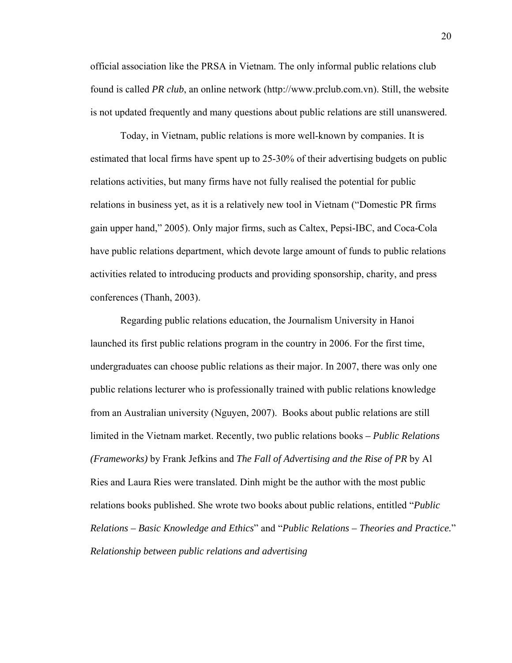official association like the PRSA in Vietnam. The only informal public relations club found is called *PR club*, an online network (http://www.prclub.com.vn). Still, the website is not updated frequently and many questions about public relations are still unanswered.

Today, in Vietnam, public relations is more well-known by companies. It is estimated that local firms have spent up to 25-30% of their advertising budgets on public relations activities, but many firms have not fully realised the potential for public relations in business yet, as it is a relatively new tool in Vietnam ("Domestic PR firms gain upper hand," 2005). Only major firms, such as Caltex, Pepsi-IBC, and Coca-Cola have public relations department, which devote large amount of funds to public relations activities related to introducing products and providing sponsorship, charity, and press conferences (Thanh, 2003).

Regarding public relations education, the Journalism University in Hanoi launched its first public relations program in the country in 2006. For the first time, undergraduates can choose public relations as their major. In 2007, there was only one public relations lecturer who is professionally trained with public relations knowledge from an Australian university (Nguyen, 2007). Books about public relations are still limited in the Vietnam market. Recently, two public relations books *– Public Relations (Frameworks)* by Frank Jefkins and *The Fall of Advertising and the Rise of PR* by Al Ries and Laura Ries were translated. Dinh might be the author with the most public relations books published. She wrote two books about public relations, entitled "*Public Relations – Basic Knowledge and Ethics*" and "*Public Relations – Theories and Practice.*" *Relationship between public relations and advertising*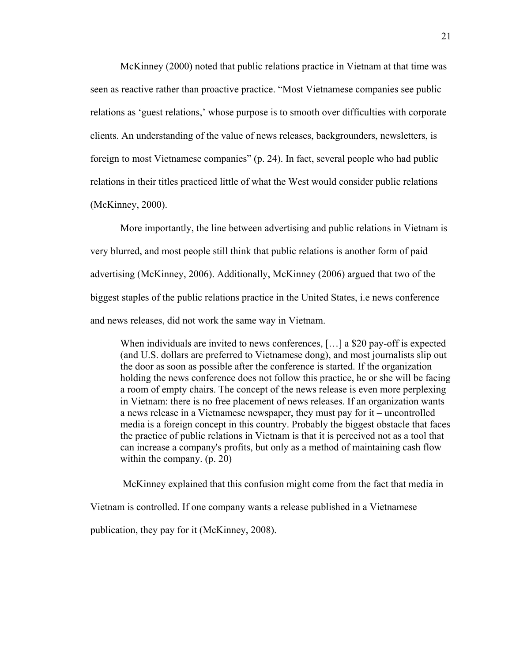McKinney (2000) noted that public relations practice in Vietnam at that time was seen as reactive rather than proactive practice. "Most Vietnamese companies see public relations as 'guest relations,' whose purpose is to smooth over difficulties with corporate clients. An understanding of the value of news releases, backgrounders, newsletters, is foreign to most Vietnamese companies" (p. 24). In fact, several people who had public relations in their titles practiced little of what the West would consider public relations (McKinney, 2000).

More importantly, the line between advertising and public relations in Vietnam is very blurred, and most people still think that public relations is another form of paid advertising (McKinney, 2006). Additionally, McKinney (2006) argued that two of the biggest staples of the public relations practice in the United States, i.e news conference and news releases, did not work the same way in Vietnam.

When individuals are invited to news conferences, [...] a \$20 pay-off is expected (and U.S. dollars are preferred to Vietnamese dong), and most journalists slip out the door as soon as possible after the conference is started. If the organization holding the news conference does not follow this practice, he or she will be facing a room of empty chairs. The concept of the news release is even more perplexing in Vietnam: there is no free placement of news releases. If an organization wants a news release in a Vietnamese newspaper, they must pay for it – uncontrolled media is a foreign concept in this country. Probably the biggest obstacle that faces the practice of public relations in Vietnam is that it is perceived not as a tool that can increase a company's profits, but only as a method of maintaining cash flow within the company. (p. 20)

McKinney explained that this confusion might come from the fact that media in

Vietnam is controlled. If one company wants a release published in a Vietnamese

publication, they pay for it (McKinney, 2008).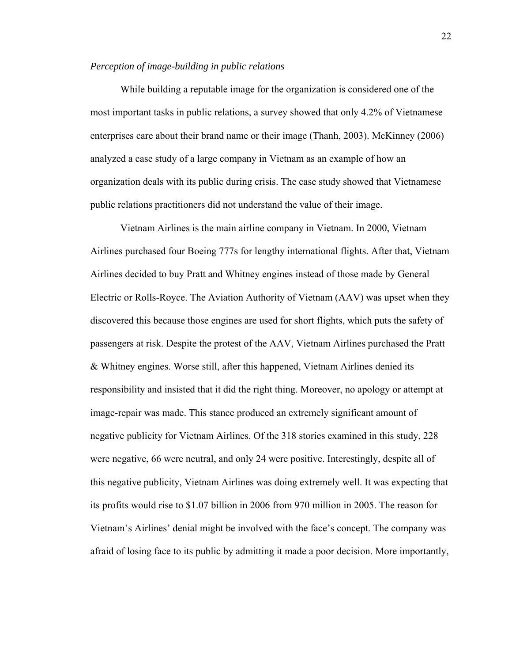#### *Perception of image-building in public relations*

While building a reputable image for the organization is considered one of the most important tasks in public relations, a survey showed that only 4.2% of Vietnamese enterprises care about their brand name or their image (Thanh, 2003). McKinney (2006) analyzed a case study of a large company in Vietnam as an example of how an organization deals with its public during crisis. The case study showed that Vietnamese public relations practitioners did not understand the value of their image.

Vietnam Airlines is the main airline company in Vietnam. In 2000, Vietnam Airlines purchased four Boeing 777s for lengthy international flights. After that, Vietnam Airlines decided to buy Pratt and Whitney engines instead of those made by General Electric or Rolls-Royce. The Aviation Authority of Vietnam (AAV) was upset when they discovered this because those engines are used for short flights, which puts the safety of passengers at risk. Despite the protest of the AAV, Vietnam Airlines purchased the Pratt & Whitney engines. Worse still, after this happened, Vietnam Airlines denied its responsibility and insisted that it did the right thing. Moreover, no apology or attempt at image-repair was made. This stance produced an extremely significant amount of negative publicity for Vietnam Airlines. Of the 318 stories examined in this study, 228 were negative, 66 were neutral, and only 24 were positive. Interestingly, despite all of this negative publicity, Vietnam Airlines was doing extremely well. It was expecting that its profits would rise to \$1.07 billion in 2006 from 970 million in 2005. The reason for Vietnam's Airlines' denial might be involved with the face's concept. The company was afraid of losing face to its public by admitting it made a poor decision. More importantly,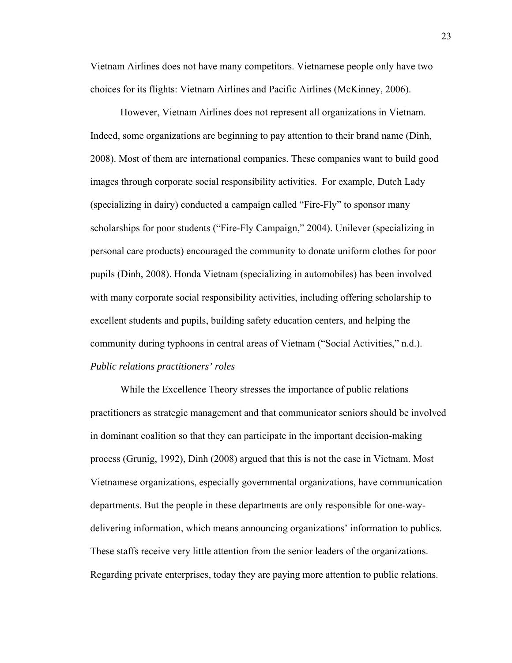Vietnam Airlines does not have many competitors. Vietnamese people only have two choices for its flights: Vietnam Airlines and Pacific Airlines (McKinney, 2006).

However, Vietnam Airlines does not represent all organizations in Vietnam. Indeed, some organizations are beginning to pay attention to their brand name (Dinh, 2008). Most of them are international companies. These companies want to build good images through corporate social responsibility activities. For example, Dutch Lady (specializing in dairy) conducted a campaign called "Fire-Fly" to sponsor many scholarships for poor students ("Fire-Fly Campaign," 2004). Unilever (specializing in personal care products) encouraged the community to donate uniform clothes for poor pupils (Dinh, 2008). Honda Vietnam (specializing in automobiles) has been involved with many corporate social responsibility activities, including offering scholarship to excellent students and pupils, building safety education centers, and helping the community during typhoons in central areas of Vietnam ("Social Activities," n.d.). *Public relations practitioners' roles* 

While the Excellence Theory stresses the importance of public relations practitioners as strategic management and that communicator seniors should be involved in dominant coalition so that they can participate in the important decision-making process (Grunig, 1992), Dinh (2008) argued that this is not the case in Vietnam. Most Vietnamese organizations, especially governmental organizations, have communication departments. But the people in these departments are only responsible for one-waydelivering information, which means announcing organizations' information to publics. These staffs receive very little attention from the senior leaders of the organizations. Regarding private enterprises, today they are paying more attention to public relations.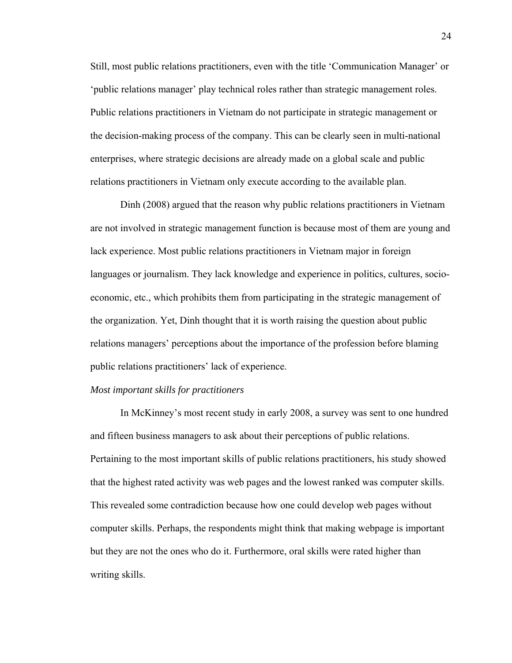Still, most public relations practitioners, even with the title 'Communication Manager' or 'public relations manager' play technical roles rather than strategic management roles. Public relations practitioners in Vietnam do not participate in strategic management or the decision-making process of the company. This can be clearly seen in multi-national enterprises, where strategic decisions are already made on a global scale and public relations practitioners in Vietnam only execute according to the available plan.

Dinh (2008) argued that the reason why public relations practitioners in Vietnam are not involved in strategic management function is because most of them are young and lack experience. Most public relations practitioners in Vietnam major in foreign languages or journalism. They lack knowledge and experience in politics, cultures, socioeconomic, etc., which prohibits them from participating in the strategic management of the organization. Yet, Dinh thought that it is worth raising the question about public relations managers' perceptions about the importance of the profession before blaming public relations practitioners' lack of experience.

#### *Most important skills for practitioners*

In McKinney's most recent study in early 2008, a survey was sent to one hundred and fifteen business managers to ask about their perceptions of public relations. Pertaining to the most important skills of public relations practitioners, his study showed that the highest rated activity was web pages and the lowest ranked was computer skills. This revealed some contradiction because how one could develop web pages without computer skills. Perhaps, the respondents might think that making webpage is important but they are not the ones who do it. Furthermore, oral skills were rated higher than writing skills.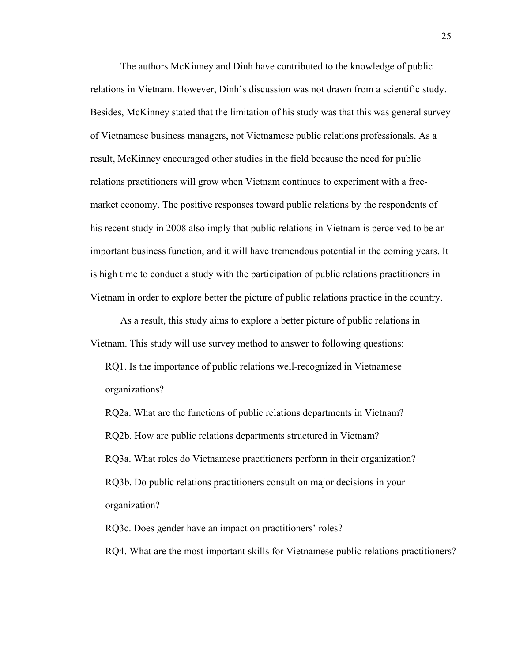The authors McKinney and Dinh have contributed to the knowledge of public relations in Vietnam. However, Dinh's discussion was not drawn from a scientific study. Besides, McKinney stated that the limitation of his study was that this was general survey of Vietnamese business managers, not Vietnamese public relations professionals. As a result, McKinney encouraged other studies in the field because the need for public relations practitioners will grow when Vietnam continues to experiment with a freemarket economy. The positive responses toward public relations by the respondents of his recent study in 2008 also imply that public relations in Vietnam is perceived to be an important business function, and it will have tremendous potential in the coming years. It is high time to conduct a study with the participation of public relations practitioners in Vietnam in order to explore better the picture of public relations practice in the country.

As a result, this study aims to explore a better picture of public relations in Vietnam. This study will use survey method to answer to following questions:

RQ1. Is the importance of public relations well-recognized in Vietnamese organizations?

RQ2a. What are the functions of public relations departments in Vietnam? RQ2b. How are public relations departments structured in Vietnam? RQ3a. What roles do Vietnamese practitioners perform in their organization? RQ3b. Do public relations practitioners consult on major decisions in your organization?

RQ3c. Does gender have an impact on practitioners' roles?

RQ4. What are the most important skills for Vietnamese public relations practitioners?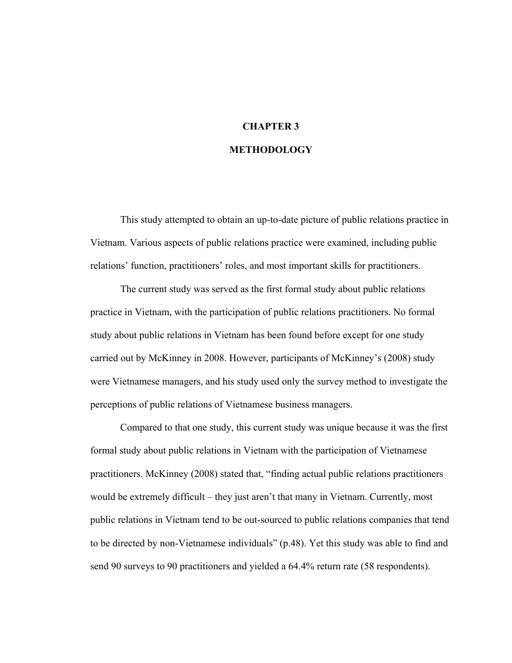# **CHAPTER 3 METHODOLOGY**

# This study attempted to obtain an up-to-date picture of public relations practice in Vietnam. Various aspects of public relations practice were examined, including public relations' function, practitioners' roles, and most important skills for practitioners.

The current study was served as the first formal study about public relations practice in Vietnam, with the participation of public relations practitioners. No formal study about public relations in Vietnam has been found before except for one study carried out by McKinney in 2008. However, participants of McKinney's (2008) study were Vietnamese managers, and his study used only the survey method to investigate the perceptions of public relations of Vietnamese business managers.

Compared to that one study, this current study was unique because it was the first formal study about public relations in Vietnam with the participation of Vietnamese practitioners. McKinney (2008) stated that, "finding actual public relations practitioners would be extremely difficult – they just aren't that many in Vietnam. Currently, most public relations in Vietnam tend to be out-sourced to public relations companies that tend to be directed by non-Vietnamese individuals" (p.48). Yet this study was able to find and send 90 surveys to 90 practitioners and yielded a 64.4% return rate (58 respondents).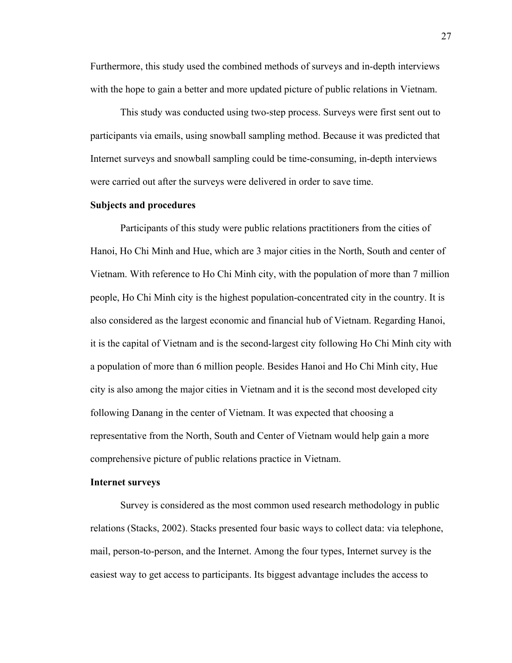Furthermore, this study used the combined methods of surveys and in-depth interviews with the hope to gain a better and more updated picture of public relations in Vietnam.

This study was conducted using two-step process. Surveys were first sent out to participants via emails, using snowball sampling method. Because it was predicted that Internet surveys and snowball sampling could be time-consuming, in-depth interviews were carried out after the surveys were delivered in order to save time.

#### **Subjects and procedures**

Participants of this study were public relations practitioners from the cities of Hanoi, Ho Chi Minh and Hue, which are 3 major cities in the North, South and center of Vietnam. With reference to Ho Chi Minh city, with the population of more than 7 million people, Ho Chi Minh city is the highest population-concentrated city in the country. It is also considered as the largest economic and financial hub of Vietnam. Regarding Hanoi, it is the capital of Vietnam and is the second-largest city following Ho Chi Minh city with a population of more than 6 million people. Besides Hanoi and Ho Chi Minh city, Hue city is also among the major cities in Vietnam and it is the second most developed city following Danang in the center of Vietnam. It was expected that choosing a representative from the North, South and Center of Vietnam would help gain a more comprehensive picture of public relations practice in Vietnam.

#### **Internet surveys**

Survey is considered as the most common used research methodology in public relations (Stacks, 2002). Stacks presented four basic ways to collect data: via telephone, mail, person-to-person, and the Internet. Among the four types, Internet survey is the easiest way to get access to participants. Its biggest advantage includes the access to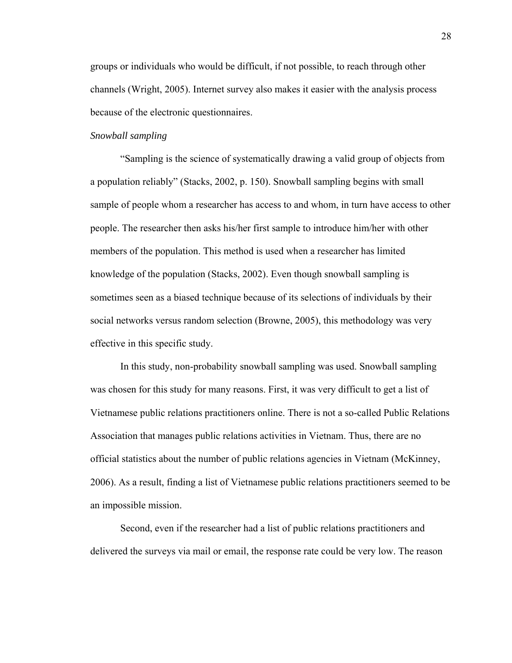groups or individuals who would be difficult, if not possible, to reach through other channels (Wright, 2005). Internet survey also makes it easier with the analysis process because of the electronic questionnaires.

#### *Snowball sampling*

"Sampling is the science of systematically drawing a valid group of objects from a population reliably" (Stacks, 2002, p. 150). Snowball sampling begins with small sample of people whom a researcher has access to and whom, in turn have access to other people. The researcher then asks his/her first sample to introduce him/her with other members of the population. This method is used when a researcher has limited knowledge of the population (Stacks, 2002). Even though snowball sampling is sometimes seen as a biased technique because of its selections of individuals by their social networks versus random selection (Browne, 2005), this methodology was very effective in this specific study.

In this study, non-probability snowball sampling was used. Snowball sampling was chosen for this study for many reasons. First, it was very difficult to get a list of Vietnamese public relations practitioners online. There is not a so-called Public Relations Association that manages public relations activities in Vietnam. Thus, there are no official statistics about the number of public relations agencies in Vietnam (McKinney, 2006). As a result, finding a list of Vietnamese public relations practitioners seemed to be an impossible mission.

Second, even if the researcher had a list of public relations practitioners and delivered the surveys via mail or email, the response rate could be very low. The reason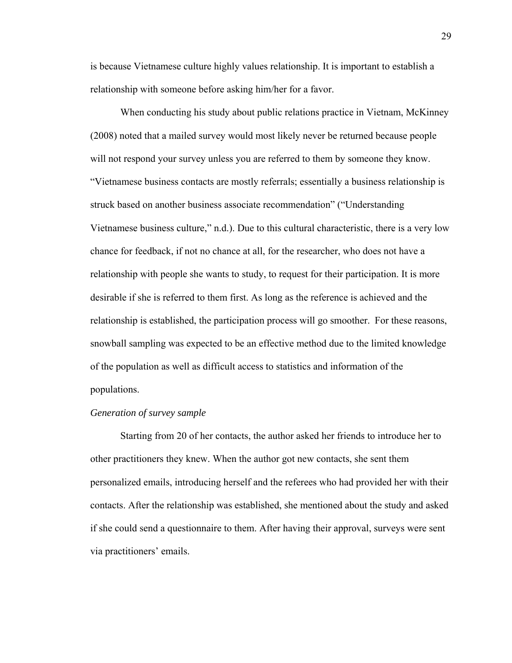is because Vietnamese culture highly values relationship. It is important to establish a relationship with someone before asking him/her for a favor.

When conducting his study about public relations practice in Vietnam, McKinney (2008) noted that a mailed survey would most likely never be returned because people will not respond your survey unless you are referred to them by someone they know. "Vietnamese business contacts are mostly referrals; essentially a business relationship is struck based on another business associate recommendation" ("Understanding Vietnamese business culture," n.d.). Due to this cultural characteristic, there is a very low chance for feedback, if not no chance at all, for the researcher, who does not have a relationship with people she wants to study, to request for their participation. It is more desirable if she is referred to them first. As long as the reference is achieved and the relationship is established, the participation process will go smoother. For these reasons, snowball sampling was expected to be an effective method due to the limited knowledge of the population as well as difficult access to statistics and information of the populations.

#### *Generation of survey sample*

Starting from 20 of her contacts, the author asked her friends to introduce her to other practitioners they knew. When the author got new contacts, she sent them personalized emails, introducing herself and the referees who had provided her with their contacts. After the relationship was established, she mentioned about the study and asked if she could send a questionnaire to them. After having their approval, surveys were sent via practitioners' emails.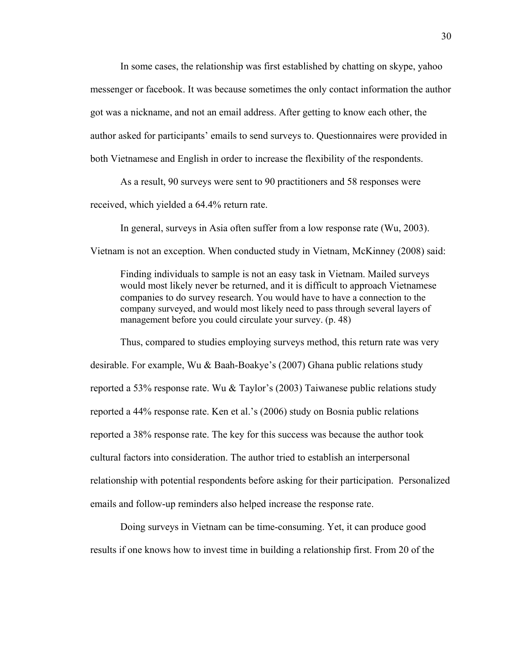In some cases, the relationship was first established by chatting on skype, yahoo messenger or facebook. It was because sometimes the only contact information the author got was a nickname, and not an email address. After getting to know each other, the author asked for participants' emails to send surveys to. Questionnaires were provided in both Vietnamese and English in order to increase the flexibility of the respondents.

As a result, 90 surveys were sent to 90 practitioners and 58 responses were received, which yielded a 64.4% return rate.

In general, surveys in Asia often suffer from a low response rate (Wu, 2003). Vietnam is not an exception. When conducted study in Vietnam, McKinney (2008) said:

Finding individuals to sample is not an easy task in Vietnam. Mailed surveys would most likely never be returned, and it is difficult to approach Vietnamese companies to do survey research. You would have to have a connection to the company surveyed, and would most likely need to pass through several layers of management before you could circulate your survey. (p. 48)

Thus, compared to studies employing surveys method, this return rate was very desirable. For example, Wu & Baah-Boakye's (2007) Ghana public relations study reported a 53% response rate. Wu & Taylor's (2003) Taiwanese public relations study reported a 44% response rate. Ken et al.'s (2006) study on Bosnia public relations reported a 38% response rate. The key for this success was because the author took cultural factors into consideration. The author tried to establish an interpersonal relationship with potential respondents before asking for their participation. Personalized emails and follow-up reminders also helped increase the response rate.

Doing surveys in Vietnam can be time-consuming. Yet, it can produce good results if one knows how to invest time in building a relationship first. From 20 of the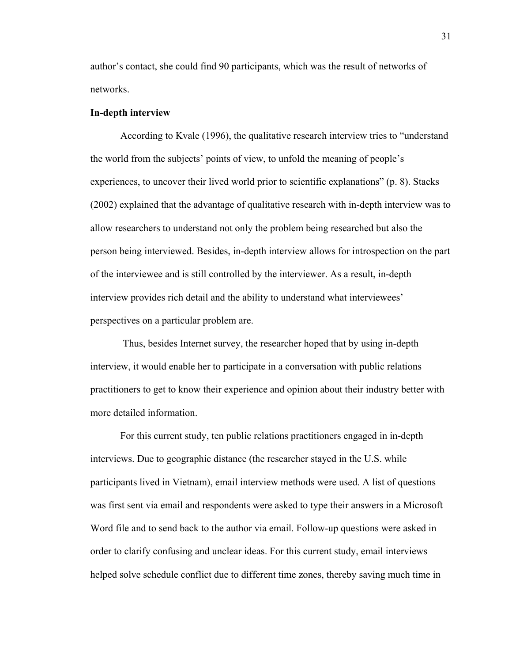author's contact, she could find 90 participants, which was the result of networks of networks.

#### **In-depth interview**

According to Kvale (1996), the qualitative research interview tries to "understand the world from the subjects' points of view, to unfold the meaning of people's experiences, to uncover their lived world prior to scientific explanations" (p. 8). Stacks (2002) explained that the advantage of qualitative research with in-depth interview was to allow researchers to understand not only the problem being researched but also the person being interviewed. Besides, in-depth interview allows for introspection on the part of the interviewee and is still controlled by the interviewer. As a result, in-depth interview provides rich detail and the ability to understand what interviewees' perspectives on a particular problem are.

 Thus, besides Internet survey, the researcher hoped that by using in-depth interview, it would enable her to participate in a conversation with public relations practitioners to get to know their experience and opinion about their industry better with more detailed information.

For this current study, ten public relations practitioners engaged in in-depth interviews. Due to geographic distance (the researcher stayed in the U.S. while participants lived in Vietnam), email interview methods were used. A list of questions was first sent via email and respondents were asked to type their answers in a Microsoft Word file and to send back to the author via email. Follow-up questions were asked in order to clarify confusing and unclear ideas. For this current study, email interviews helped solve schedule conflict due to different time zones, thereby saving much time in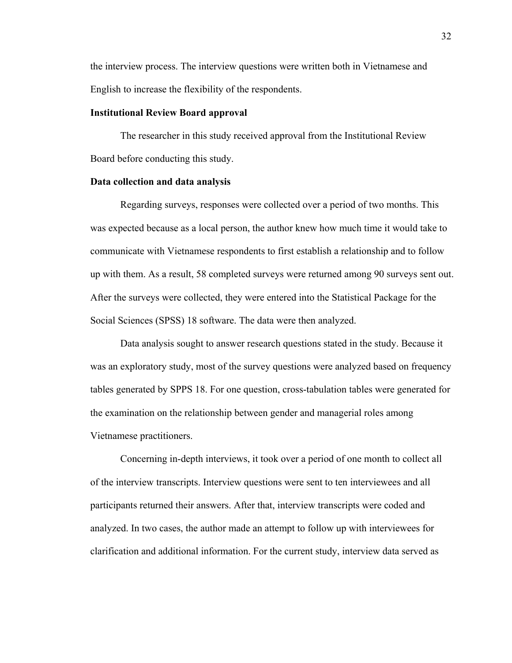the interview process. The interview questions were written both in Vietnamese and English to increase the flexibility of the respondents.

#### **Institutional Review Board approval**

The researcher in this study received approval from the Institutional Review Board before conducting this study.

#### **Data collection and data analysis**

Regarding surveys, responses were collected over a period of two months. This was expected because as a local person, the author knew how much time it would take to communicate with Vietnamese respondents to first establish a relationship and to follow up with them. As a result, 58 completed surveys were returned among 90 surveys sent out. After the surveys were collected, they were entered into the Statistical Package for the Social Sciences (SPSS) 18 software. The data were then analyzed.

Data analysis sought to answer research questions stated in the study. Because it was an exploratory study, most of the survey questions were analyzed based on frequency tables generated by SPPS 18. For one question, cross-tabulation tables were generated for the examination on the relationship between gender and managerial roles among Vietnamese practitioners.

Concerning in-depth interviews, it took over a period of one month to collect all of the interview transcripts. Interview questions were sent to ten interviewees and all participants returned their answers. After that, interview transcripts were coded and analyzed. In two cases, the author made an attempt to follow up with interviewees for clarification and additional information. For the current study, interview data served as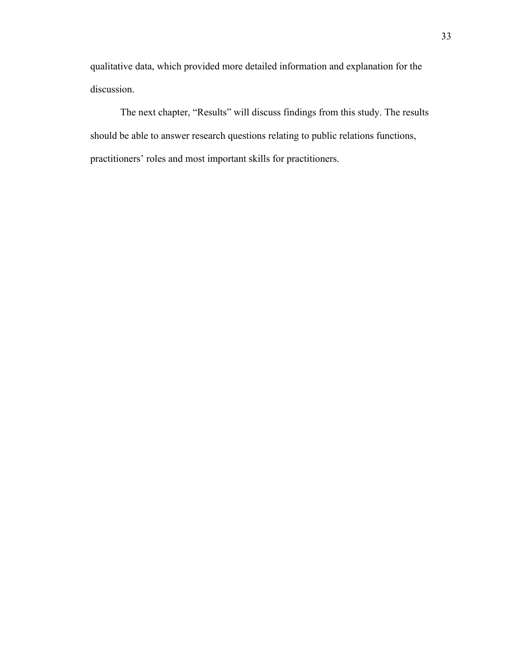qualitative data, which provided more detailed information and explanation for the discussion.

The next chapter, "Results" will discuss findings from this study. The results should be able to answer research questions relating to public relations functions, practitioners' roles and most important skills for practitioners.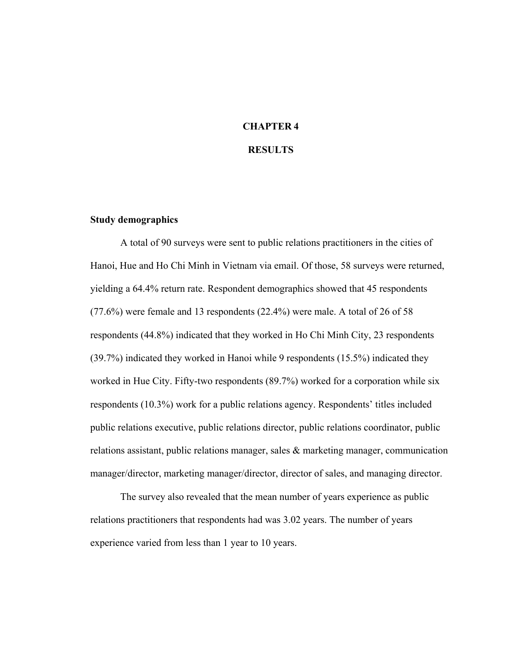# **CHAPTER 4**

### **RESULTS**

#### **Study demographics**

A total of 90 surveys were sent to public relations practitioners in the cities of Hanoi, Hue and Ho Chi Minh in Vietnam via email. Of those, 58 surveys were returned, yielding a 64.4% return rate. Respondent demographics showed that 45 respondents (77.6%) were female and 13 respondents (22.4%) were male. A total of 26 of 58 respondents (44.8%) indicated that they worked in Ho Chi Minh City, 23 respondents (39.7%) indicated they worked in Hanoi while 9 respondents (15.5%) indicated they worked in Hue City. Fifty-two respondents (89.7%) worked for a corporation while six respondents (10.3%) work for a public relations agency. Respondents' titles included public relations executive, public relations director, public relations coordinator, public relations assistant, public relations manager, sales & marketing manager, communication manager/director, marketing manager/director, director of sales, and managing director.

The survey also revealed that the mean number of years experience as public relations practitioners that respondents had was 3.02 years. The number of years experience varied from less than 1 year to 10 years.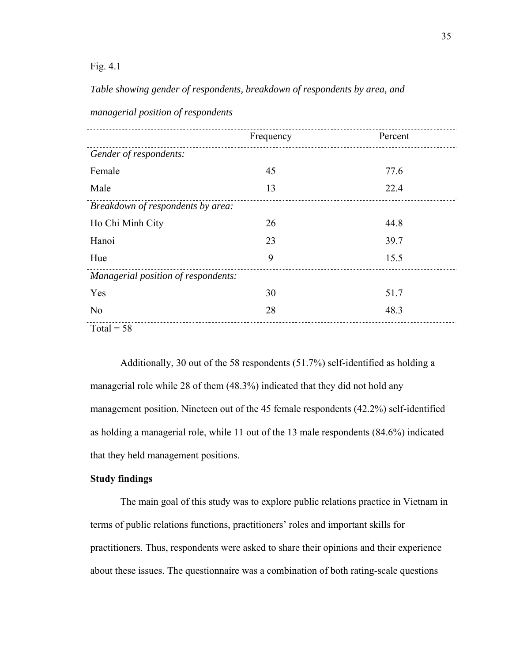#### Fig. 4.1

*Table showing gender of respondents, breakdown of respondents by area, and* 

|                                     | Frequency | Percent |
|-------------------------------------|-----------|---------|
| Gender of respondents:              |           |         |
| Female                              | 45        | 77.6    |
| Male                                | 13        | 22.4    |
| Breakdown of respondents by area:   |           |         |
| Ho Chi Minh City                    | 26        | 44.8    |
| Hanoi                               | 23        | 39.7    |
| Hue                                 | 9         | 15.5    |
| Managerial position of respondents: |           |         |
| Yes                                 | 30        | 51.7    |
| N <sub>o</sub>                      | 28        | 48.3    |
| Total = $58$                        |           |         |

*managerial position of respondents* 

Additionally, 30 out of the 58 respondents (51.7%) self-identified as holding a managerial role while 28 of them (48.3%) indicated that they did not hold any management position. Nineteen out of the 45 female respondents (42.2%) self-identified as holding a managerial role, while 11 out of the 13 male respondents (84.6%) indicated that they held management positions.

### **Study findings**

The main goal of this study was to explore public relations practice in Vietnam in terms of public relations functions, practitioners' roles and important skills for practitioners. Thus, respondents were asked to share their opinions and their experience about these issues. The questionnaire was a combination of both rating-scale questions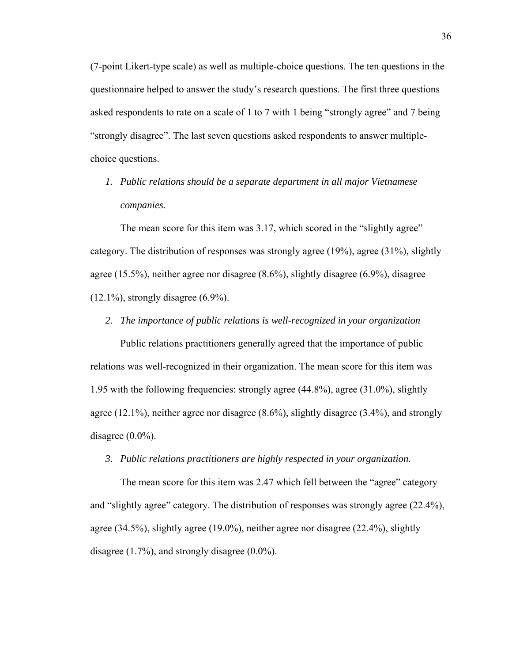(7-point Likert-type scale) as well as multiple-choice questions. The ten questions in the questionnaire helped to answer the study's research questions. The first three questions asked respondents to rate on a scale of 1 to 7 with 1 being "strongly agree" and 7 being "strongly disagree". The last seven questions asked respondents to answer multiplechoice questions.

*1. Public relations should be a separate department in all major Vietnamese companies.* 

The mean score for this item was 3.17, which scored in the "slightly agree" category. The distribution of responses was strongly agree (19%), agree (31%), slightly agree (15.5%), neither agree nor disagree (8.6%), slightly disagree (6.9%), disagree  $(12.1\%)$ , strongly disagree  $(6.9\%)$ .

*2. The importance of public relations is well-recognized in your organization* 

Public relations practitioners generally agreed that the importance of public relations was well-recognized in their organization. The mean score for this item was 1.95 with the following frequencies: strongly agree (44.8%), agree (31.0%), slightly agree (12.1%), neither agree nor disagree (8.6%), slightly disagree (3.4%), and strongly disagree  $(0.0\%)$ .

*3. Public relations practitioners are highly respected in your organization.* 

The mean score for this item was 2.47 which fell between the "agree" category and "slightly agree" category. The distribution of responses was strongly agree (22.4%), agree (34.5%), slightly agree (19.0%), neither agree nor disagree (22.4%), slightly disagree (1.7%), and strongly disagree (0.0%).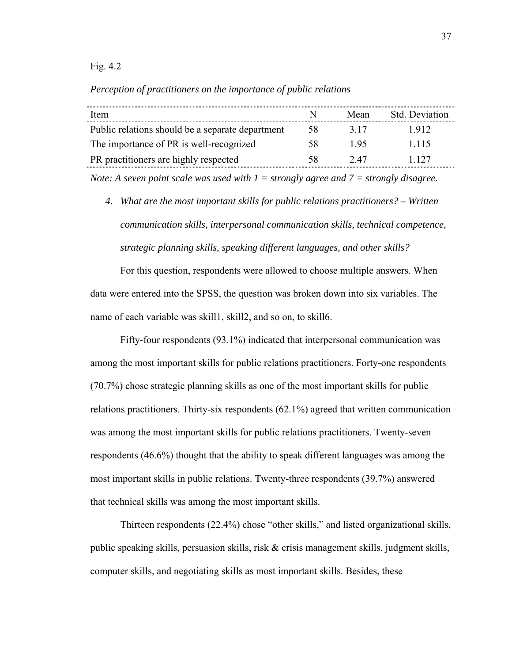Fig. 4.2

*Perception of practitioners on the importance of public relations* 

| Item                                                                                      | N  | Mean  | <b>Std.</b> Deviation |
|-------------------------------------------------------------------------------------------|----|-------|-----------------------|
| Public relations should be a separate department                                          | 58 | 3 1 7 | 1912                  |
| The importance of PR is well-recognized                                                   | 58 | 195   | 1 1 1 5               |
| PR practitioners are highly respected                                                     | 58 | 2.47  | 1 1 2 7               |
| Note: A seven point scale was used with $I =$ strongly agree and $7 =$ strongly disagree. |    |       |                       |

*4. What are the most important skills for public relations practitioners? – Written communication skills, interpersonal communication skills, technical competence, strategic planning skills, speaking different languages, and other skills?* 

For this question, respondents were allowed to choose multiple answers. When data were entered into the SPSS, the question was broken down into six variables. The name of each variable was skill1, skill2, and so on, to skill6.

Fifty-four respondents (93.1%) indicated that interpersonal communication was among the most important skills for public relations practitioners. Forty-one respondents (70.7%) chose strategic planning skills as one of the most important skills for public relations practitioners. Thirty-six respondents (62.1%) agreed that written communication was among the most important skills for public relations practitioners. Twenty-seven respondents (46.6%) thought that the ability to speak different languages was among the most important skills in public relations. Twenty-three respondents (39.7%) answered that technical skills was among the most important skills.

Thirteen respondents (22.4%) chose "other skills," and listed organizational skills, public speaking skills, persuasion skills, risk & crisis management skills, judgment skills, computer skills, and negotiating skills as most important skills. Besides, these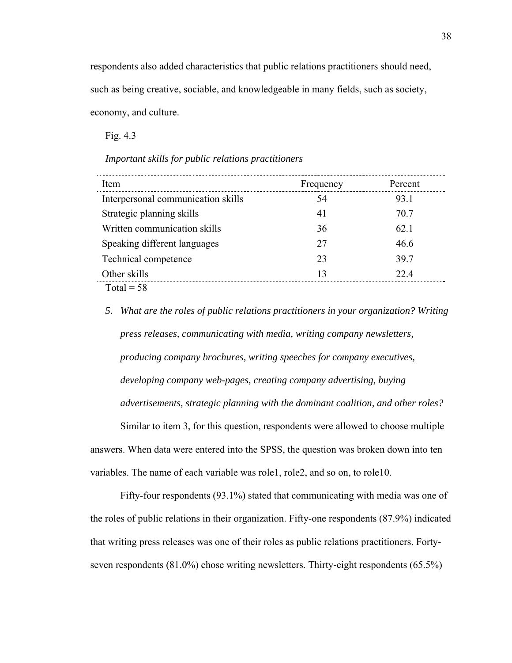respondents also added characteristics that public relations practitioners should need, such as being creative, sociable, and knowledgeable in many fields, such as society, economy, and culture.

Fig. 4.3

*Important skills for public relations practitioners* 

| Item                               | Frequency | Percent |
|------------------------------------|-----------|---------|
| Interpersonal communication skills | 54        | 93.1    |
| Strategic planning skills          | 41        | 70.7    |
| Written communication skills       | 36        | 62.1    |
| Speaking different languages       | 27        | 46.6    |
| Technical competence               | 23        | 39.7    |
| Other skills                       | 13        | 22.4    |
| $Total = 58$                       |           |         |

*5. What are the roles of public relations practitioners in your organization? Writing press releases, communicating with media, writing company newsletters, producing company brochures, writing speeches for company executives, developing company web-pages, creating company advertising, buying advertisements, strategic planning with the dominant coalition, and other roles?*  Similar to item 3, for this question, respondents were allowed to choose multiple

answers. When data were entered into the SPSS, the question was broken down into ten variables. The name of each variable was role1, role2, and so on, to role10.

Fifty-four respondents (93.1%) stated that communicating with media was one of the roles of public relations in their organization. Fifty-one respondents (87.9%) indicated that writing press releases was one of their roles as public relations practitioners. Fortyseven respondents (81.0%) chose writing newsletters. Thirty-eight respondents (65.5%)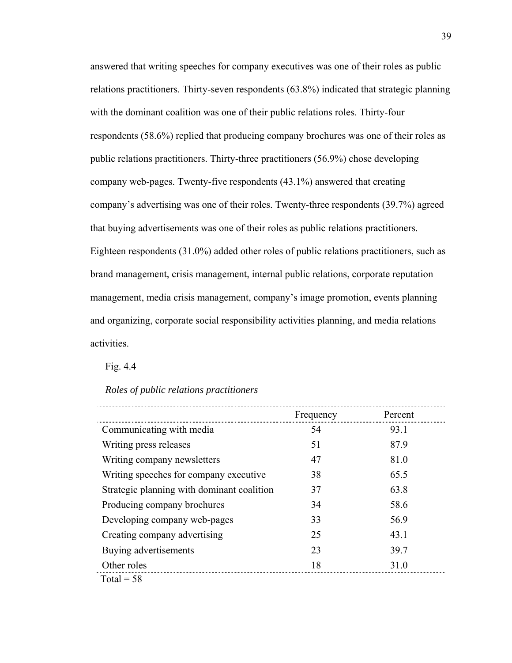answered that writing speeches for company executives was one of their roles as public relations practitioners. Thirty-seven respondents (63.8%) indicated that strategic planning with the dominant coalition was one of their public relations roles. Thirty-four respondents (58.6%) replied that producing company brochures was one of their roles as public relations practitioners. Thirty-three practitioners (56.9%) chose developing company web-pages. Twenty-five respondents (43.1%) answered that creating company's advertising was one of their roles. Twenty-three respondents (39.7%) agreed that buying advertisements was one of their roles as public relations practitioners. Eighteen respondents (31.0%) added other roles of public relations practitioners, such as brand management, crisis management, internal public relations, corporate reputation management, media crisis management, company's image promotion, events planning and organizing, corporate social responsibility activities planning, and media relations activities.

Fig. 4.4

*Roles of public relations practitioners* 

|                                            | Frequency | Percent |
|--------------------------------------------|-----------|---------|
| Communicating with media                   | 54        | 93.1    |
| Writing press releases                     | 51        | 87.9    |
| Writing company newsletters                | 47        | 81.0    |
| Writing speeches for company executive.    | 38        | 65.5    |
| Strategic planning with dominant coalition | 37        | 63.8    |
| Producing company brochures                | 34        | 58.6    |
| Developing company web-pages               | 33        | 56.9    |
| Creating company advertising               | 25        | 43.1    |
| Buying advertisements                      | 23        | 39.7    |
| Other roles                                | 18        | 31.0    |
| Total = $58$                               |           |         |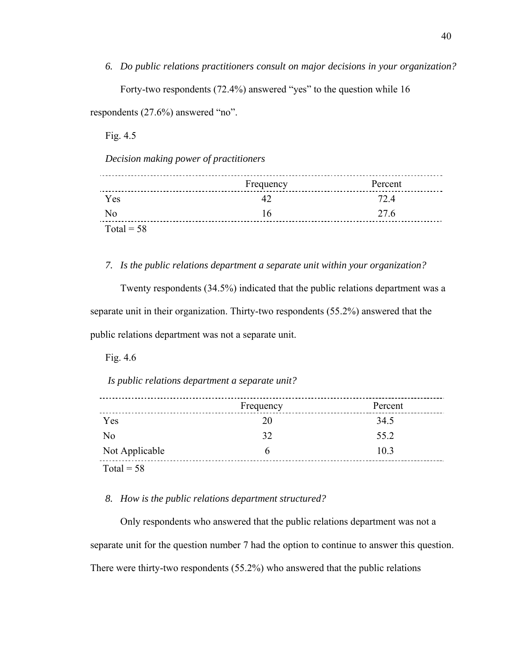*6. Do public relations practitioners consult on major decisions in your organization?*  Forty-two respondents (72.4%) answered "yes" to the question while 16

respondents (27.6%) answered "no".

Fig. 4.5

*Decision making power of practitioners* 

|                | Frequency | Percent |
|----------------|-----------|---------|
| <b>Yes</b>     |           | 72.4    |
| $\overline{N}$ | 16        | 27.6    |
| Total = $58$   |           |         |

#### *7. Is the public relations department a separate unit within your organization?*

Twenty respondents (34.5%) indicated that the public relations department was a separate unit in their organization. Thirty-two respondents (55.2%) answered that the public relations department was not a separate unit.

Fig. 4.6

 *Is public relations department a separate unit?* 

|                | Frequency | Percent |
|----------------|-----------|---------|
| Yes            | 20        | 34.5    |
| No             | 32        | 55.2    |
| Not Applicable | h         | 10.3    |
| Total = $58$   |           |         |

## *8. How is the public relations department structured?*

Only respondents who answered that the public relations department was not a separate unit for the question number 7 had the option to continue to answer this question. There were thirty-two respondents (55.2%) who answered that the public relations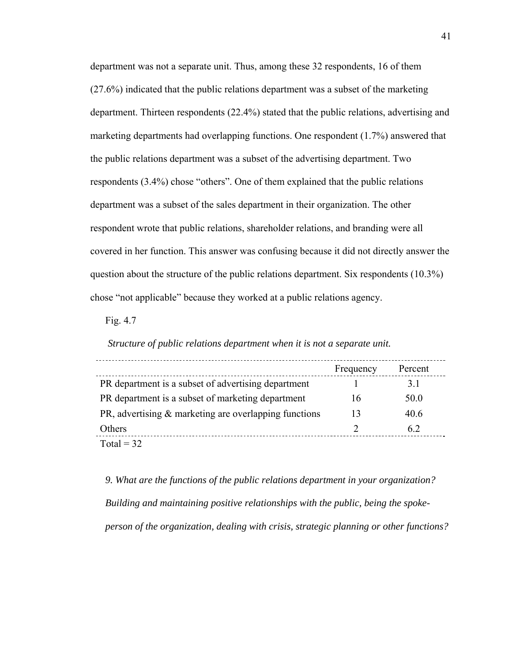department was not a separate unit. Thus, among these 32 respondents, 16 of them (27.6%) indicated that the public relations department was a subset of the marketing department. Thirteen respondents (22.4%) stated that the public relations, advertising and marketing departments had overlapping functions. One respondent (1.7%) answered that the public relations department was a subset of the advertising department. Two respondents (3.4%) chose "others". One of them explained that the public relations department was a subset of the sales department in their organization. The other respondent wrote that public relations, shareholder relations, and branding were all covered in her function. This answer was confusing because it did not directly answer the question about the structure of the public relations department. Six respondents (10.3%) chose "not applicable" because they worked at a public relations agency.

Fig. 4.7

 *Structure of public relations department when it is not a separate unit.* 

|                                                       | Frequency | Percent |  |
|-------------------------------------------------------|-----------|---------|--|
| PR department is a subset of advertising department   |           | 31      |  |
| PR department is a subset of marketing department     | 16        | 50.0    |  |
| PR, advertising & marketing are overlapping functions | 13        | 40.6    |  |
| Others                                                |           | 62      |  |
| Total = $32$                                          |           |         |  |

*9. What are the functions of the public relations department in your organization? Building and maintaining positive relationships with the public, being the spokeperson of the organization, dealing with crisis, strategic planning or other functions?*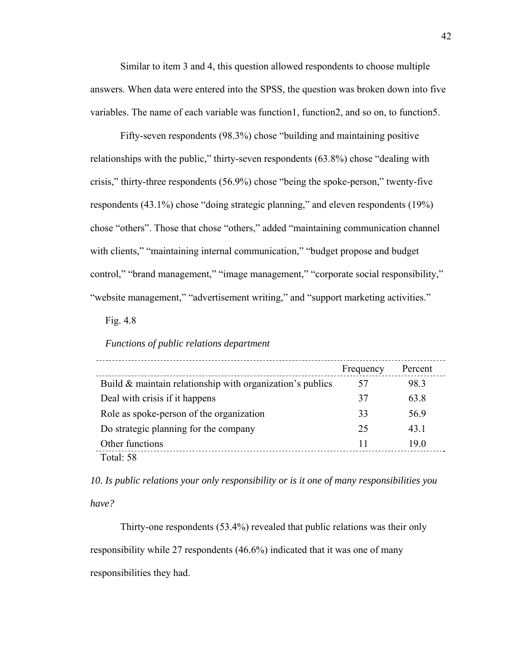Similar to item 3 and 4, this question allowed respondents to choose multiple answers. When data were entered into the SPSS, the question was broken down into five variables. The name of each variable was function1, function2, and so on, to function5.

Fifty-seven respondents (98.3%) chose "building and maintaining positive relationships with the public," thirty-seven respondents (63.8%) chose "dealing with crisis," thirty-three respondents (56.9%) chose "being the spoke-person," twenty-five respondents (43.1%) chose "doing strategic planning," and eleven respondents (19%) chose "others". Those that chose "others," added "maintaining communication channel with clients," "maintaining internal communication," "budget propose and budget control," "brand management," "image management," "corporate social responsibility," "website management," "advertisement writing," and "support marketing activities."

Fig. 4.8

#### *Functions of public relations department*

|                                                              | Frequency | Percent |  |
|--------------------------------------------------------------|-----------|---------|--|
| Build $\&$ maintain relationship with organization's publics | 57        | 98.3    |  |
| Deal with crisis if it happens                               | 37        | 63.8    |  |
| Role as spoke-person of the organization                     | 33        | 56.9    |  |
| Do strategic planning for the company                        | 25        | 43.1    |  |
| Other functions                                              |           | 19.0    |  |
| Total: 58                                                    |           |         |  |

*10. Is public relations your only responsibility or is it one of many responsibilities you have?* 

Thirty-one respondents (53.4%) revealed that public relations was their only responsibility while 27 respondents (46.6%) indicated that it was one of many responsibilities they had.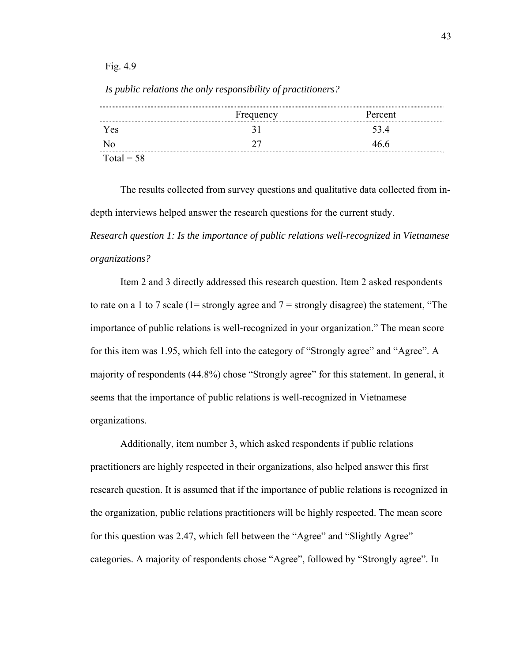Fig. 4.9

|                | Frequency | Percent |
|----------------|-----------|---------|
| Yes            | 3 I       | 534     |
| N <sub>0</sub> | つワ        | 46.6    |
| Total = $58$   |           |         |

*Is public relations the only responsibility of practitioners?* 

 The results collected from survey questions and qualitative data collected from indepth interviews helped answer the research questions for the current study.

*Research question 1: Is the importance of public relations well-recognized in Vietnamese organizations?* 

Item 2 and 3 directly addressed this research question. Item 2 asked respondents to rate on a 1 to 7 scale (1= strongly agree and  $7 =$  strongly disagree) the statement, "The importance of public relations is well-recognized in your organization." The mean score for this item was 1.95, which fell into the category of "Strongly agree" and "Agree". A majority of respondents (44.8%) chose "Strongly agree" for this statement. In general, it seems that the importance of public relations is well-recognized in Vietnamese organizations.

Additionally, item number 3, which asked respondents if public relations practitioners are highly respected in their organizations, also helped answer this first research question. It is assumed that if the importance of public relations is recognized in the organization, public relations practitioners will be highly respected. The mean score for this question was 2.47, which fell between the "Agree" and "Slightly Agree" categories. A majority of respondents chose "Agree", followed by "Strongly agree". In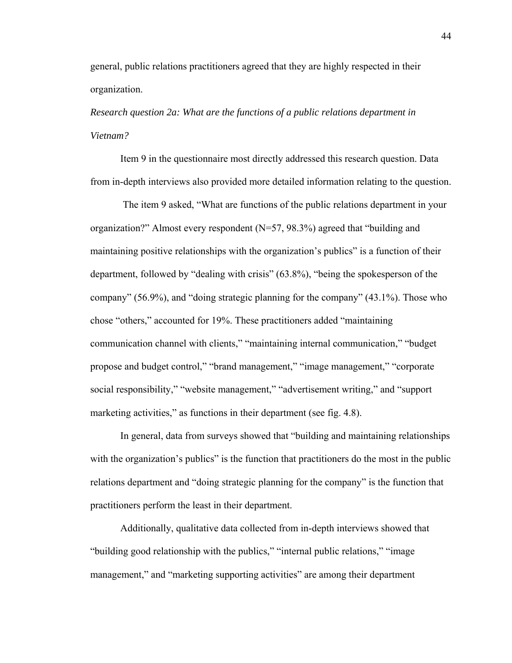general, public relations practitioners agreed that they are highly respected in their organization.

*Research question 2a: What are the functions of a public relations department in Vietnam?* 

Item 9 in the questionnaire most directly addressed this research question. Data from in-depth interviews also provided more detailed information relating to the question.

 The item 9 asked, "What are functions of the public relations department in your organization?" Almost every respondent (N=57, 98.3%) agreed that "building and maintaining positive relationships with the organization's publics" is a function of their department, followed by "dealing with crisis" (63.8%), "being the spokesperson of the company" (56.9%), and "doing strategic planning for the company" (43.1%). Those who chose "others," accounted for 19%. These practitioners added "maintaining communication channel with clients," "maintaining internal communication," "budget propose and budget control," "brand management," "image management," "corporate social responsibility," "website management," "advertisement writing," and "support marketing activities," as functions in their department (see fig. 4.8).

In general, data from surveys showed that "building and maintaining relationships with the organization's publics" is the function that practitioners do the most in the public relations department and "doing strategic planning for the company" is the function that practitioners perform the least in their department.

Additionally, qualitative data collected from in-depth interviews showed that "building good relationship with the publics," "internal public relations," "image management," and "marketing supporting activities" are among their department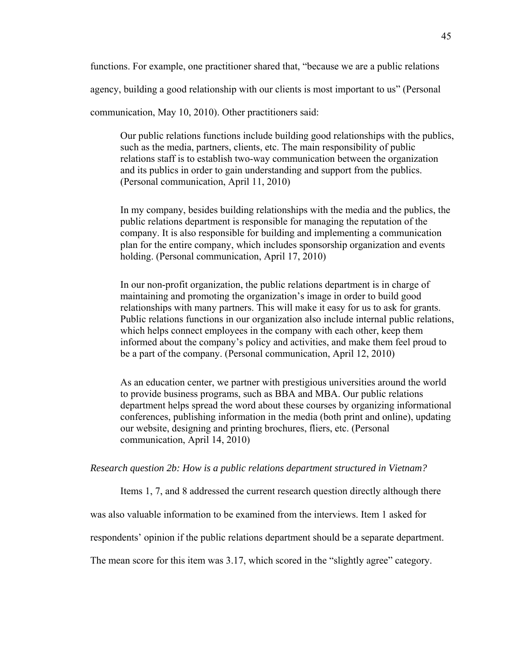functions. For example, one practitioner shared that, "because we are a public relations

agency, building a good relationship with our clients is most important to us" (Personal

communication, May 10, 2010). Other practitioners said:

Our public relations functions include building good relationships with the publics, such as the media, partners, clients, etc. The main responsibility of public relations staff is to establish two-way communication between the organization and its publics in order to gain understanding and support from the publics. (Personal communication, April 11, 2010)

In my company, besides building relationships with the media and the publics, the public relations department is responsible for managing the reputation of the company. It is also responsible for building and implementing a communication plan for the entire company, which includes sponsorship organization and events holding. (Personal communication, April 17, 2010)

In our non-profit organization, the public relations department is in charge of maintaining and promoting the organization's image in order to build good relationships with many partners. This will make it easy for us to ask for grants. Public relations functions in our organization also include internal public relations, which helps connect employees in the company with each other, keep them informed about the company's policy and activities, and make them feel proud to be a part of the company. (Personal communication, April 12, 2010)

As an education center, we partner with prestigious universities around the world to provide business programs, such as BBA and MBA. Our public relations department helps spread the word about these courses by organizing informational conferences, publishing information in the media (both print and online), updating our website, designing and printing brochures, fliers, etc. (Personal communication, April 14, 2010)

*Research question 2b: How is a public relations department structured in Vietnam?* 

Items 1, 7, and 8 addressed the current research question directly although there

was also valuable information to be examined from the interviews. Item 1 asked for

respondents' opinion if the public relations department should be a separate department.

The mean score for this item was 3.17, which scored in the "slightly agree" category.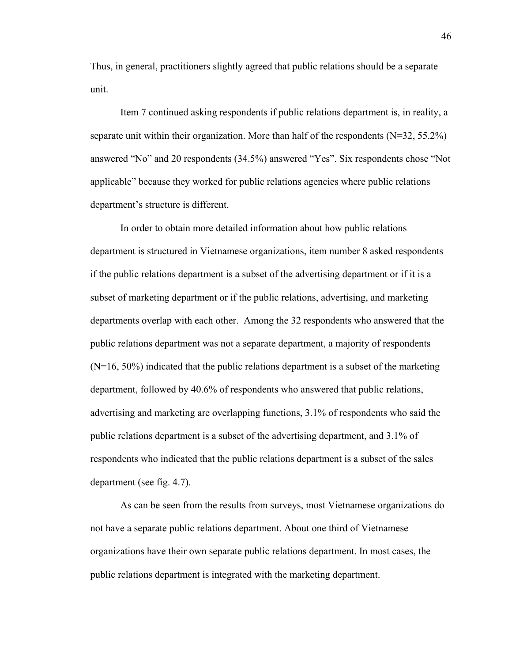Thus, in general, practitioners slightly agreed that public relations should be a separate unit.

Item 7 continued asking respondents if public relations department is, in reality, a separate unit within their organization. More than half of the respondents  $(N=32, 55.2\%)$ answered "No" and 20 respondents (34.5%) answered "Yes". Six respondents chose "Not applicable" because they worked for public relations agencies where public relations department's structure is different.

In order to obtain more detailed information about how public relations department is structured in Vietnamese organizations, item number 8 asked respondents if the public relations department is a subset of the advertising department or if it is a subset of marketing department or if the public relations, advertising, and marketing departments overlap with each other. Among the 32 respondents who answered that the public relations department was not a separate department, a majority of respondents  $(N=16, 50%)$  indicated that the public relations department is a subset of the marketing department, followed by 40.6% of respondents who answered that public relations, advertising and marketing are overlapping functions, 3.1% of respondents who said the public relations department is a subset of the advertising department, and 3.1% of respondents who indicated that the public relations department is a subset of the sales department (see fig. 4.7).

As can be seen from the results from surveys, most Vietnamese organizations do not have a separate public relations department. About one third of Vietnamese organizations have their own separate public relations department. In most cases, the public relations department is integrated with the marketing department.

46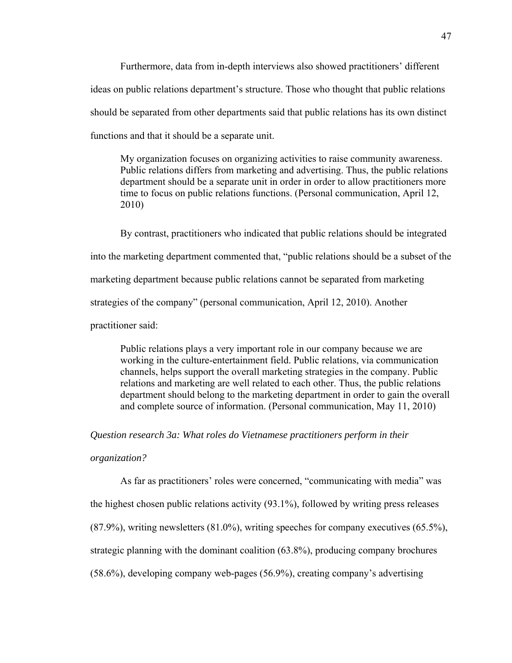Furthermore, data from in-depth interviews also showed practitioners' different ideas on public relations department's structure. Those who thought that public relations should be separated from other departments said that public relations has its own distinct functions and that it should be a separate unit.

My organization focuses on organizing activities to raise community awareness. Public relations differs from marketing and advertising. Thus, the public relations department should be a separate unit in order in order to allow practitioners more time to focus on public relations functions. (Personal communication, April 12, 2010)

By contrast, practitioners who indicated that public relations should be integrated into the marketing department commented that, "public relations should be a subset of the marketing department because public relations cannot be separated from marketing strategies of the company" (personal communication, April 12, 2010). Another practitioner said:

Public relations plays a very important role in our company because we are working in the culture-entertainment field. Public relations, via communication channels, helps support the overall marketing strategies in the company. Public relations and marketing are well related to each other. Thus, the public relations department should belong to the marketing department in order to gain the overall and complete source of information. (Personal communication, May 11, 2010)

*Question research 3a: What roles do Vietnamese practitioners perform in their* 

*organization?* 

As far as practitioners' roles were concerned, "communicating with media" was the highest chosen public relations activity (93.1%), followed by writing press releases (87.9%), writing newsletters (81.0%), writing speeches for company executives (65.5%), strategic planning with the dominant coalition (63.8%), producing company brochures (58.6%), developing company web-pages (56.9%), creating company's advertising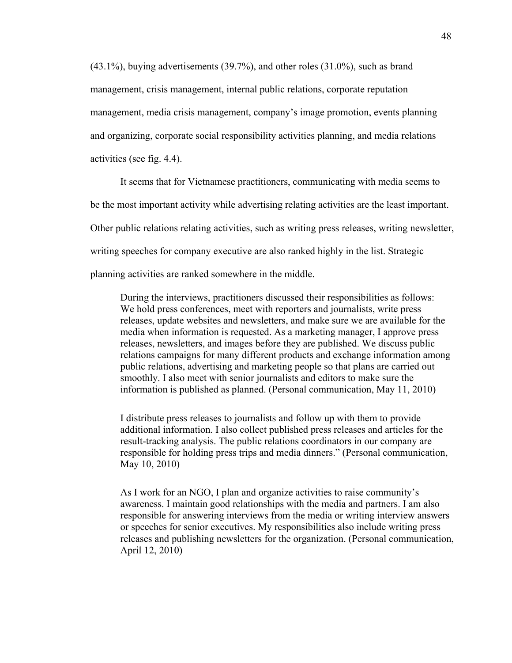(43.1%), buying advertisements (39.7%), and other roles (31.0%), such as brand management, crisis management, internal public relations, corporate reputation management, media crisis management, company's image promotion, events planning and organizing, corporate social responsibility activities planning, and media relations activities (see fig. 4.4).

It seems that for Vietnamese practitioners, communicating with media seems to be the most important activity while advertising relating activities are the least important. Other public relations relating activities, such as writing press releases, writing newsletter, writing speeches for company executive are also ranked highly in the list. Strategic planning activities are ranked somewhere in the middle.

During the interviews, practitioners discussed their responsibilities as follows: We hold press conferences, meet with reporters and journalists, write press releases, update websites and newsletters, and make sure we are available for the media when information is requested. As a marketing manager, I approve press releases, newsletters, and images before they are published. We discuss public relations campaigns for many different products and exchange information among public relations, advertising and marketing people so that plans are carried out smoothly. I also meet with senior journalists and editors to make sure the information is published as planned. (Personal communication, May 11, 2010)

I distribute press releases to journalists and follow up with them to provide additional information. I also collect published press releases and articles for the result-tracking analysis. The public relations coordinators in our company are responsible for holding press trips and media dinners." (Personal communication, May 10, 2010)

As I work for an NGO, I plan and organize activities to raise community's awareness. I maintain good relationships with the media and partners. I am also responsible for answering interviews from the media or writing interview answers or speeches for senior executives. My responsibilities also include writing press releases and publishing newsletters for the organization. (Personal communication, April 12, 2010)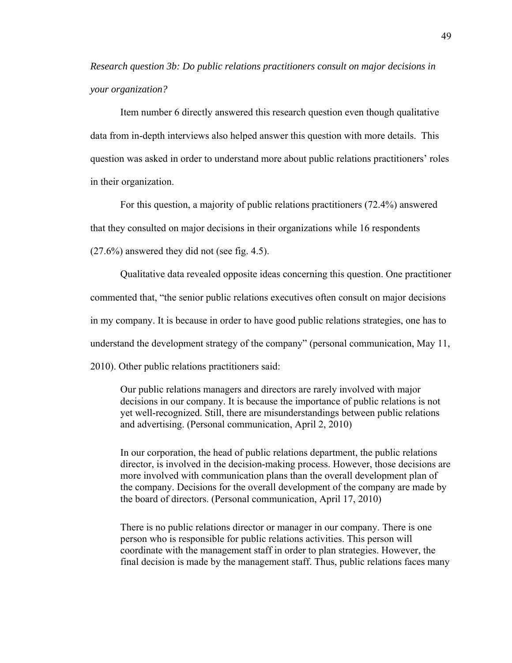*Research question 3b: Do public relations practitioners consult on major decisions in your organization?* 

Item number 6 directly answered this research question even though qualitative data from in-depth interviews also helped answer this question with more details. This question was asked in order to understand more about public relations practitioners' roles in their organization.

For this question, a majority of public relations practitioners (72.4%) answered that they consulted on major decisions in their organizations while 16 respondents (27.6%) answered they did not (see fig. 4.5).

Qualitative data revealed opposite ideas concerning this question. One practitioner commented that, "the senior public relations executives often consult on major decisions in my company. It is because in order to have good public relations strategies, one has to understand the development strategy of the company" (personal communication, May 11, 2010). Other public relations practitioners said:

Our public relations managers and directors are rarely involved with major decisions in our company. It is because the importance of public relations is not yet well-recognized. Still, there are misunderstandings between public relations and advertising. (Personal communication, April 2, 2010)

In our corporation, the head of public relations department, the public relations director, is involved in the decision-making process. However, those decisions are more involved with communication plans than the overall development plan of the company. Decisions for the overall development of the company are made by the board of directors. (Personal communication, April 17, 2010)

There is no public relations director or manager in our company. There is one person who is responsible for public relations activities. This person will coordinate with the management staff in order to plan strategies. However, the final decision is made by the management staff. Thus, public relations faces many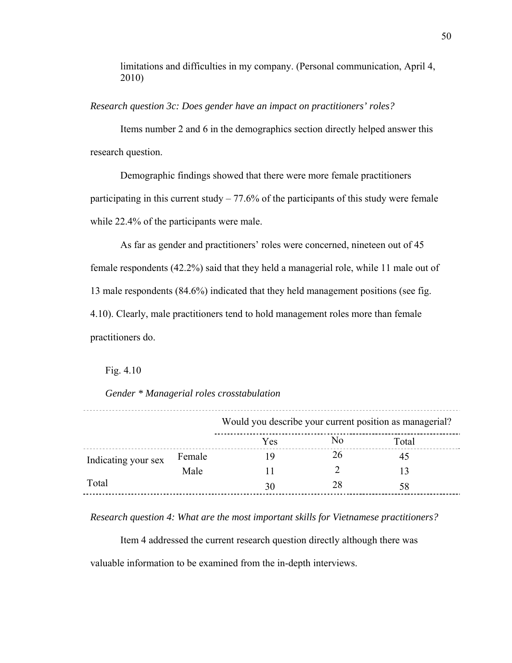limitations and difficulties in my company. (Personal communication, April 4, 2010)

*Research question 3c: Does gender have an impact on practitioners' roles?* 

Items number 2 and 6 in the demographics section directly helped answer this research question.

Demographic findings showed that there were more female practitioners participating in this current study  $-77.6\%$  of the participants of this study were female while 22.4% of the participants were male.

As far as gender and practitioners' roles were concerned, nineteen out of 45 female respondents (42.2%) said that they held a managerial role, while 11 male out of 13 male respondents (84.6%) indicated that they held management positions (see fig. 4.10). Clearly, male practitioners tend to hold management roles more than female practitioners do.

Fig. 4.10

*Gender \* Managerial roles crosstabulation* 

|                     |        | Would you describe your current position as managerial? |    |       |
|---------------------|--------|---------------------------------------------------------|----|-------|
|                     |        | Yes                                                     | No | Total |
| Indicating your sex | Female |                                                         | 26 | 45    |
|                     | Male   |                                                         |    |       |
| Total               |        | 30                                                      | 28 | 58    |

*Research question 4: What are the most important skills for Vietnamese practitioners?* 

Item 4 addressed the current research question directly although there was valuable information to be examined from the in-depth interviews.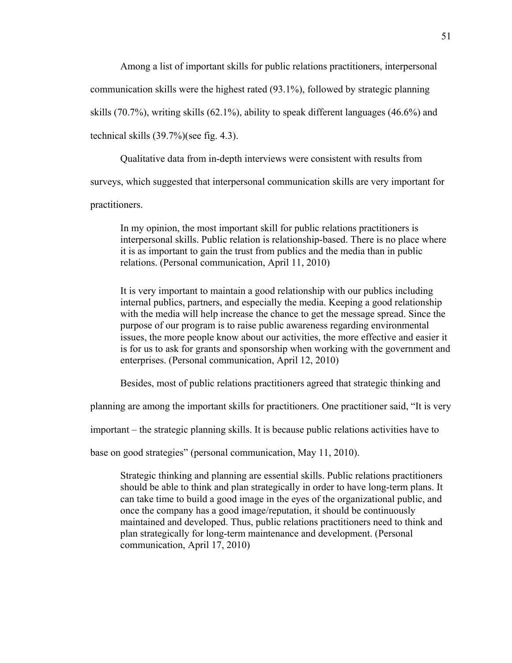Among a list of important skills for public relations practitioners, interpersonal

communication skills were the highest rated (93.1%), followed by strategic planning

skills (70.7%), writing skills (62.1%), ability to speak different languages (46.6%) and

technical skills (39.7%)(see fig. 4.3).

Qualitative data from in-depth interviews were consistent with results from

surveys, which suggested that interpersonal communication skills are very important for

practitioners.

In my opinion, the most important skill for public relations practitioners is interpersonal skills. Public relation is relationship-based. There is no place where it is as important to gain the trust from publics and the media than in public relations. (Personal communication, April 11, 2010)

It is very important to maintain a good relationship with our publics including internal publics, partners, and especially the media. Keeping a good relationship with the media will help increase the chance to get the message spread. Since the purpose of our program is to raise public awareness regarding environmental issues, the more people know about our activities, the more effective and easier it is for us to ask for grants and sponsorship when working with the government and enterprises. (Personal communication, April 12, 2010)

Besides, most of public relations practitioners agreed that strategic thinking and

planning are among the important skills for practitioners. One practitioner said, "It is very

important – the strategic planning skills. It is because public relations activities have to

base on good strategies" (personal communication, May 11, 2010).

Strategic thinking and planning are essential skills. Public relations practitioners should be able to think and plan strategically in order to have long-term plans. It can take time to build a good image in the eyes of the organizational public, and once the company has a good image/reputation, it should be continuously maintained and developed. Thus, public relations practitioners need to think and plan strategically for long-term maintenance and development. (Personal communication, April 17, 2010)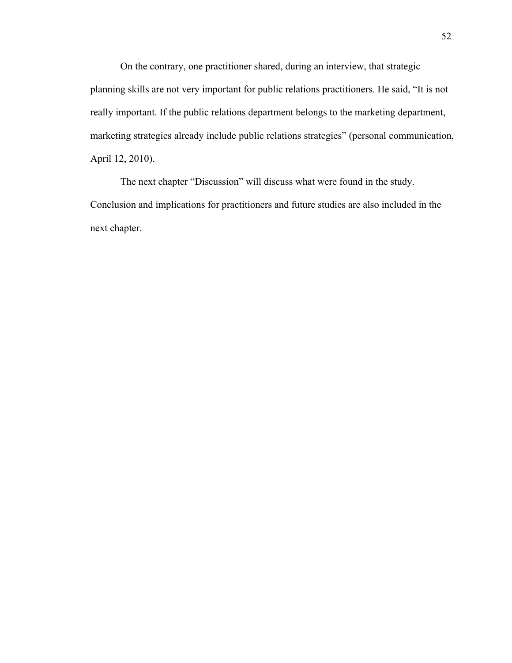On the contrary, one practitioner shared, during an interview, that strategic planning skills are not very important for public relations practitioners. He said, "It is not really important. If the public relations department belongs to the marketing department, marketing strategies already include public relations strategies" (personal communication, April 12, 2010).

The next chapter "Discussion" will discuss what were found in the study. Conclusion and implications for practitioners and future studies are also included in the next chapter.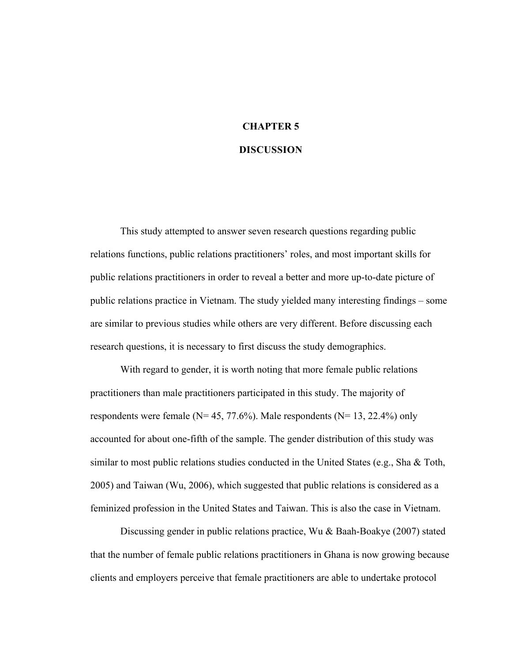# **CHAPTER 5 DISCUSSION**

This study attempted to answer seven research questions regarding public relations functions, public relations practitioners' roles, and most important skills for public relations practitioners in order to reveal a better and more up-to-date picture of public relations practice in Vietnam. The study yielded many interesting findings – some are similar to previous studies while others are very different. Before discussing each research questions, it is necessary to first discuss the study demographics.

With regard to gender, it is worth noting that more female public relations practitioners than male practitioners participated in this study. The majority of respondents were female ( $N= 45, 77.6\%$ ). Male respondents ( $N= 13, 22.4\%$ ) only accounted for about one-fifth of the sample. The gender distribution of this study was similar to most public relations studies conducted in the United States (e.g., Sha & Toth, 2005) and Taiwan (Wu, 2006), which suggested that public relations is considered as a feminized profession in the United States and Taiwan. This is also the case in Vietnam.

Discussing gender in public relations practice, Wu & Baah-Boakye (2007) stated that the number of female public relations practitioners in Ghana is now growing because clients and employers perceive that female practitioners are able to undertake protocol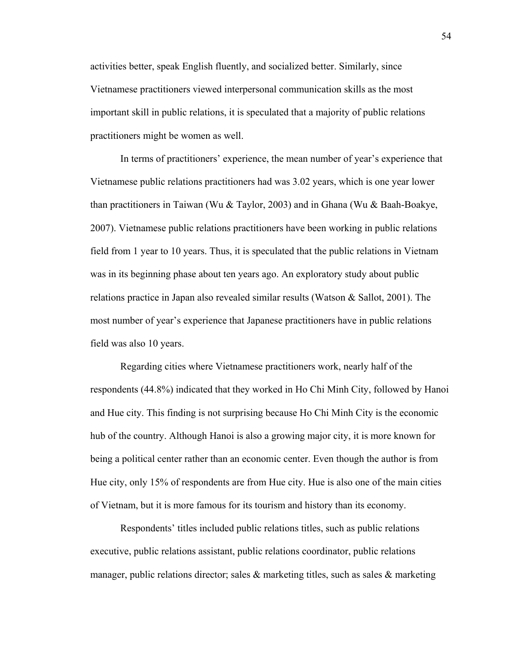activities better, speak English fluently, and socialized better. Similarly, since Vietnamese practitioners viewed interpersonal communication skills as the most important skill in public relations, it is speculated that a majority of public relations practitioners might be women as well.

In terms of practitioners' experience, the mean number of year's experience that Vietnamese public relations practitioners had was 3.02 years, which is one year lower than practitioners in Taiwan (Wu & Taylor, 2003) and in Ghana (Wu & Baah-Boakye, 2007). Vietnamese public relations practitioners have been working in public relations field from 1 year to 10 years. Thus, it is speculated that the public relations in Vietnam was in its beginning phase about ten years ago. An exploratory study about public relations practice in Japan also revealed similar results (Watson & Sallot, 2001). The most number of year's experience that Japanese practitioners have in public relations field was also 10 years.

Regarding cities where Vietnamese practitioners work, nearly half of the respondents (44.8%) indicated that they worked in Ho Chi Minh City, followed by Hanoi and Hue city. This finding is not surprising because Ho Chi Minh City is the economic hub of the country. Although Hanoi is also a growing major city, it is more known for being a political center rather than an economic center. Even though the author is from Hue city, only 15% of respondents are from Hue city. Hue is also one of the main cities of Vietnam, but it is more famous for its tourism and history than its economy.

Respondents' titles included public relations titles, such as public relations executive, public relations assistant, public relations coordinator, public relations manager, public relations director; sales  $\&$  marketing titles, such as sales  $\&$  marketing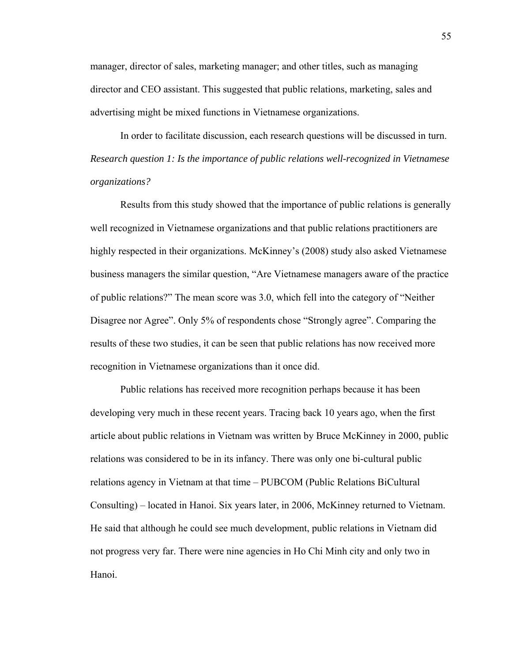manager, director of sales, marketing manager; and other titles, such as managing director and CEO assistant. This suggested that public relations, marketing, sales and advertising might be mixed functions in Vietnamese organizations.

In order to facilitate discussion, each research questions will be discussed in turn. *Research question 1: Is the importance of public relations well-recognized in Vietnamese organizations?* 

Results from this study showed that the importance of public relations is generally well recognized in Vietnamese organizations and that public relations practitioners are highly respected in their organizations. McKinney's (2008) study also asked Vietnamese business managers the similar question, "Are Vietnamese managers aware of the practice of public relations?" The mean score was 3.0, which fell into the category of "Neither Disagree nor Agree". Only 5% of respondents chose "Strongly agree". Comparing the results of these two studies, it can be seen that public relations has now received more recognition in Vietnamese organizations than it once did.

Public relations has received more recognition perhaps because it has been developing very much in these recent years. Tracing back 10 years ago, when the first article about public relations in Vietnam was written by Bruce McKinney in 2000, public relations was considered to be in its infancy. There was only one bi-cultural public relations agency in Vietnam at that time – PUBCOM (Public Relations BiCultural Consulting) – located in Hanoi. Six years later, in 2006, McKinney returned to Vietnam. He said that although he could see much development, public relations in Vietnam did not progress very far. There were nine agencies in Ho Chi Minh city and only two in Hanoi.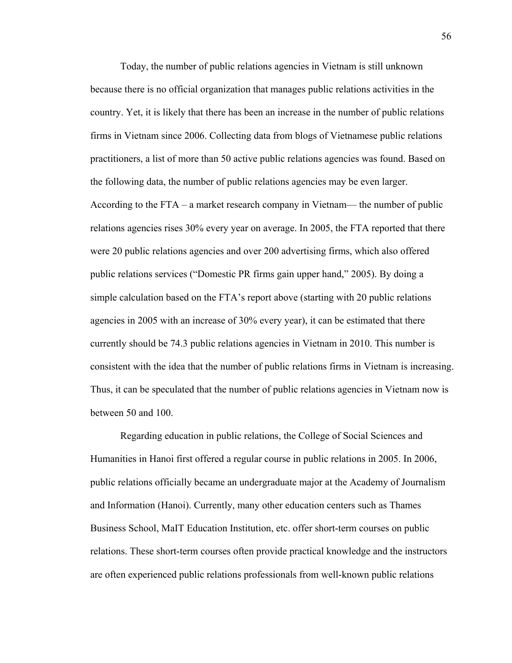Today, the number of public relations agencies in Vietnam is still unknown because there is no official organization that manages public relations activities in the country. Yet, it is likely that there has been an increase in the number of public relations firms in Vietnam since 2006. Collecting data from blogs of Vietnamese public relations practitioners, a list of more than 50 active public relations agencies was found. Based on the following data, the number of public relations agencies may be even larger. According to the FTA – a market research company in Vietnam— the number of public relations agencies rises 30% every year on average. In 2005, the FTA reported that there were 20 public relations agencies and over 200 advertising firms, which also offered public relations services ("Domestic PR firms gain upper hand," 2005). By doing a simple calculation based on the FTA's report above (starting with 20 public relations agencies in 2005 with an increase of 30% every year), it can be estimated that there currently should be 74.3 public relations agencies in Vietnam in 2010. This number is consistent with the idea that the number of public relations firms in Vietnam is increasing. Thus, it can be speculated that the number of public relations agencies in Vietnam now is between 50 and 100.

Regarding education in public relations, the College of Social Sciences and Humanities in Hanoi first offered a regular course in public relations in 2005. In 2006, public relations officially became an undergraduate major at the Academy of Journalism and Information (Hanoi). Currently, many other education centers such as Thames Business School, MaIT Education Institution, etc. offer short-term courses on public relations. These short-term courses often provide practical knowledge and the instructors are often experienced public relations professionals from well-known public relations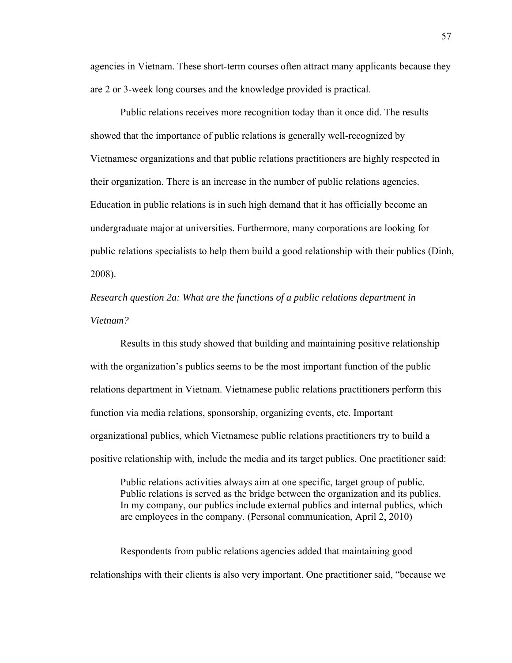agencies in Vietnam. These short-term courses often attract many applicants because they are 2 or 3-week long courses and the knowledge provided is practical.

Public relations receives more recognition today than it once did. The results showed that the importance of public relations is generally well-recognized by Vietnamese organizations and that public relations practitioners are highly respected in their organization. There is an increase in the number of public relations agencies. Education in public relations is in such high demand that it has officially become an undergraduate major at universities. Furthermore, many corporations are looking for public relations specialists to help them build a good relationship with their publics (Dinh, 2008).

*Research question 2a: What are the functions of a public relations department in Vietnam?* 

Results in this study showed that building and maintaining positive relationship with the organization's publics seems to be the most important function of the public relations department in Vietnam. Vietnamese public relations practitioners perform this function via media relations, sponsorship, organizing events, etc. Important organizational publics, which Vietnamese public relations practitioners try to build a positive relationship with, include the media and its target publics. One practitioner said:

Public relations activities always aim at one specific, target group of public. Public relations is served as the bridge between the organization and its publics. In my company, our publics include external publics and internal publics, which are employees in the company. (Personal communication, April 2, 2010)

Respondents from public relations agencies added that maintaining good relationships with their clients is also very important. One practitioner said, "because we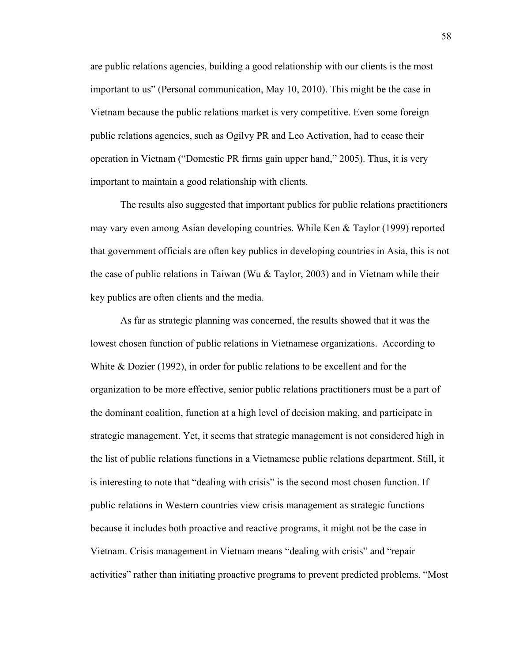are public relations agencies, building a good relationship with our clients is the most important to us" (Personal communication, May 10, 2010). This might be the case in Vietnam because the public relations market is very competitive. Even some foreign public relations agencies, such as Ogilvy PR and Leo Activation, had to cease their operation in Vietnam ("Domestic PR firms gain upper hand," 2005). Thus, it is very important to maintain a good relationship with clients.

The results also suggested that important publics for public relations practitioners may vary even among Asian developing countries. While Ken & Taylor (1999) reported that government officials are often key publics in developing countries in Asia, this is not the case of public relations in Taiwan (Wu & Taylor, 2003) and in Vietnam while their key publics are often clients and the media.

As far as strategic planning was concerned, the results showed that it was the lowest chosen function of public relations in Vietnamese organizations. According to White & Dozier (1992), in order for public relations to be excellent and for the organization to be more effective, senior public relations practitioners must be a part of the dominant coalition, function at a high level of decision making, and participate in strategic management. Yet, it seems that strategic management is not considered high in the list of public relations functions in a Vietnamese public relations department. Still, it is interesting to note that "dealing with crisis" is the second most chosen function. If public relations in Western countries view crisis management as strategic functions because it includes both proactive and reactive programs, it might not be the case in Vietnam. Crisis management in Vietnam means "dealing with crisis" and "repair activities" rather than initiating proactive programs to prevent predicted problems. "Most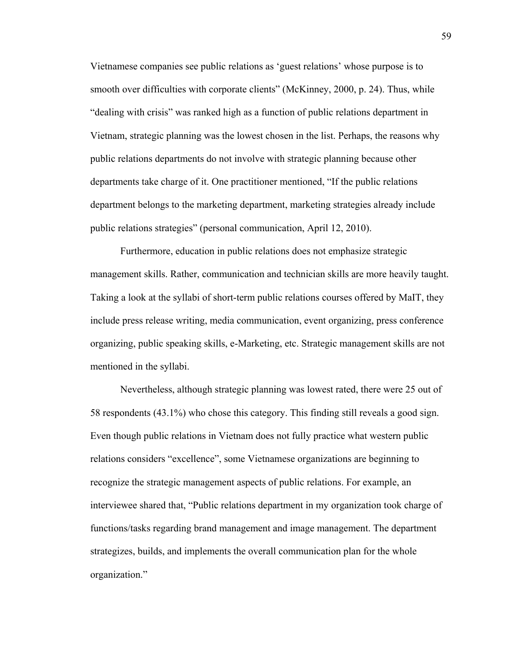Vietnamese companies see public relations as 'guest relations' whose purpose is to smooth over difficulties with corporate clients" (McKinney, 2000, p. 24). Thus, while "dealing with crisis" was ranked high as a function of public relations department in Vietnam, strategic planning was the lowest chosen in the list. Perhaps, the reasons why public relations departments do not involve with strategic planning because other departments take charge of it. One practitioner mentioned, "If the public relations department belongs to the marketing department, marketing strategies already include public relations strategies" (personal communication, April 12, 2010).

Furthermore, education in public relations does not emphasize strategic management skills. Rather, communication and technician skills are more heavily taught. Taking a look at the syllabi of short-term public relations courses offered by MaIT, they include press release writing, media communication, event organizing, press conference organizing, public speaking skills, e-Marketing, etc. Strategic management skills are not mentioned in the syllabi.

Nevertheless, although strategic planning was lowest rated, there were 25 out of 58 respondents (43.1%) who chose this category. This finding still reveals a good sign. Even though public relations in Vietnam does not fully practice what western public relations considers "excellence", some Vietnamese organizations are beginning to recognize the strategic management aspects of public relations. For example, an interviewee shared that, "Public relations department in my organization took charge of functions/tasks regarding brand management and image management. The department strategizes, builds, and implements the overall communication plan for the whole organization."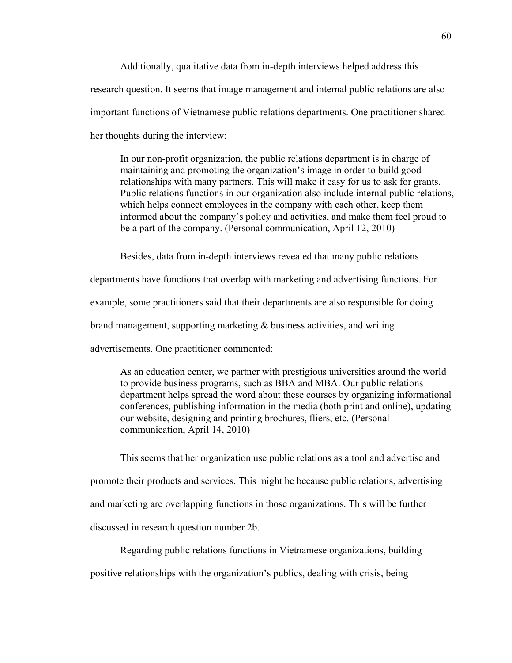Additionally, qualitative data from in-depth interviews helped address this research question. It seems that image management and internal public relations are also important functions of Vietnamese public relations departments. One practitioner shared her thoughts during the interview:

In our non-profit organization, the public relations department is in charge of maintaining and promoting the organization's image in order to build good relationships with many partners. This will make it easy for us to ask for grants. Public relations functions in our organization also include internal public relations, which helps connect employees in the company with each other, keep them informed about the company's policy and activities, and make them feel proud to be a part of the company. (Personal communication, April 12, 2010)

Besides, data from in-depth interviews revealed that many public relations

departments have functions that overlap with marketing and advertising functions. For

example, some practitioners said that their departments are also responsible for doing

brand management, supporting marketing & business activities, and writing

advertisements. One practitioner commented:

As an education center, we partner with prestigious universities around the world to provide business programs, such as BBA and MBA. Our public relations department helps spread the word about these courses by organizing informational conferences, publishing information in the media (both print and online), updating our website, designing and printing brochures, fliers, etc. (Personal communication, April 14, 2010)

This seems that her organization use public relations as a tool and advertise and promote their products and services. This might be because public relations, advertising and marketing are overlapping functions in those organizations. This will be further discussed in research question number 2b.

Regarding public relations functions in Vietnamese organizations, building positive relationships with the organization's publics, dealing with crisis, being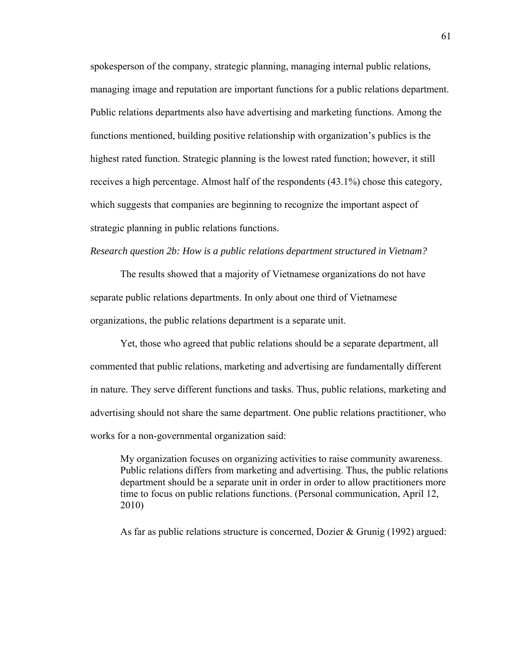spokesperson of the company, strategic planning, managing internal public relations, managing image and reputation are important functions for a public relations department. Public relations departments also have advertising and marketing functions. Among the functions mentioned, building positive relationship with organization's publics is the highest rated function. Strategic planning is the lowest rated function; however, it still receives a high percentage. Almost half of the respondents (43.1%) chose this category, which suggests that companies are beginning to recognize the important aspect of strategic planning in public relations functions.

*Research question 2b: How is a public relations department structured in Vietnam?* 

The results showed that a majority of Vietnamese organizations do not have separate public relations departments. In only about one third of Vietnamese organizations, the public relations department is a separate unit.

Yet, those who agreed that public relations should be a separate department, all commented that public relations, marketing and advertising are fundamentally different in nature. They serve different functions and tasks. Thus, public relations, marketing and advertising should not share the same department. One public relations practitioner, who works for a non-governmental organization said:

My organization focuses on organizing activities to raise community awareness. Public relations differs from marketing and advertising. Thus, the public relations department should be a separate unit in order in order to allow practitioners more time to focus on public relations functions. (Personal communication, April 12, 2010)

As far as public relations structure is concerned, Dozier & Grunig (1992) argued: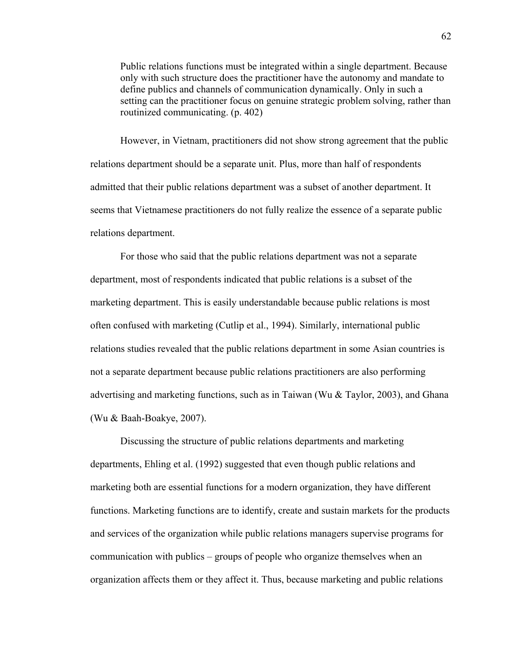Public relations functions must be integrated within a single department. Because only with such structure does the practitioner have the autonomy and mandate to define publics and channels of communication dynamically. Only in such a setting can the practitioner focus on genuine strategic problem solving, rather than routinized communicating. (p. 402)

However, in Vietnam, practitioners did not show strong agreement that the public relations department should be a separate unit. Plus, more than half of respondents admitted that their public relations department was a subset of another department. It seems that Vietnamese practitioners do not fully realize the essence of a separate public relations department.

For those who said that the public relations department was not a separate department, most of respondents indicated that public relations is a subset of the marketing department. This is easily understandable because public relations is most often confused with marketing (Cutlip et al., 1994). Similarly, international public relations studies revealed that the public relations department in some Asian countries is not a separate department because public relations practitioners are also performing advertising and marketing functions, such as in Taiwan (Wu  $\&$  Taylor, 2003), and Ghana (Wu & Baah-Boakye, 2007).

Discussing the structure of public relations departments and marketing departments, Ehling et al. (1992) suggested that even though public relations and marketing both are essential functions for a modern organization, they have different functions. Marketing functions are to identify, create and sustain markets for the products and services of the organization while public relations managers supervise programs for communication with publics – groups of people who organize themselves when an organization affects them or they affect it. Thus, because marketing and public relations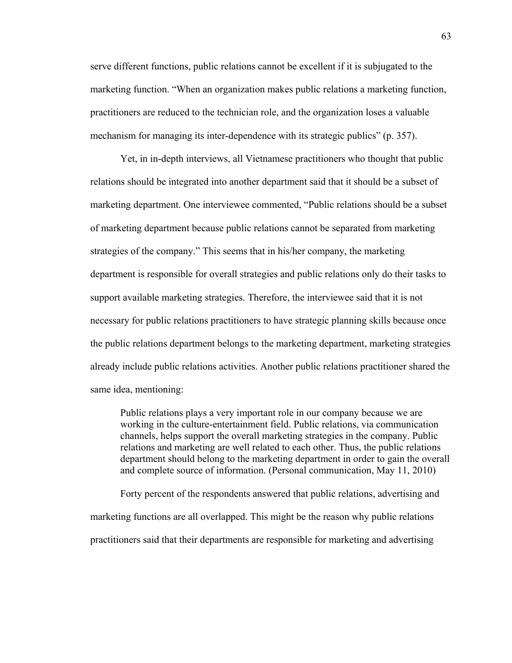serve different functions, public relations cannot be excellent if it is subjugated to the marketing function. "When an organization makes public relations a marketing function, practitioners are reduced to the technician role, and the organization loses a valuable mechanism for managing its inter-dependence with its strategic publics" (p. 357).

Yet, in in-depth interviews, all Vietnamese practitioners who thought that public relations should be integrated into another department said that it should be a subset of marketing department. One interviewee commented, "Public relations should be a subset of marketing department because public relations cannot be separated from marketing strategies of the company." This seems that in his/her company, the marketing department is responsible for overall strategies and public relations only do their tasks to support available marketing strategies. Therefore, the interviewee said that it is not necessary for public relations practitioners to have strategic planning skills because once the public relations department belongs to the marketing department, marketing strategies already include public relations activities. Another public relations practitioner shared the same idea, mentioning:

Public relations plays a very important role in our company because we are working in the culture-entertainment field. Public relations, via communication channels, helps support the overall marketing strategies in the company. Public relations and marketing are well related to each other. Thus, the public relations department should belong to the marketing department in order to gain the overall and complete source of information. (Personal communication, May 11, 2010)

Forty percent of the respondents answered that public relations, advertising and marketing functions are all overlapped. This might be the reason why public relations practitioners said that their departments are responsible for marketing and advertising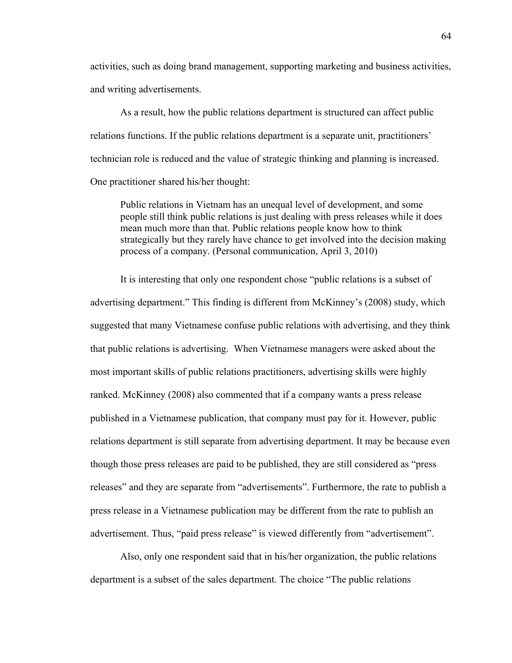activities, such as doing brand management, supporting marketing and business activities, and writing advertisements.

As a result, how the public relations department is structured can affect public relations functions. If the public relations department is a separate unit, practitioners' technician role is reduced and the value of strategic thinking and planning is increased. One practitioner shared his/her thought:

Public relations in Vietnam has an unequal level of development, and some people still think public relations is just dealing with press releases while it does mean much more than that. Public relations people know how to think strategically but they rarely have chance to get involved into the decision making process of a company. (Personal communication, April 3, 2010)

It is interesting that only one respondent chose "public relations is a subset of advertising department." This finding is different from McKinney's (2008) study, which suggested that many Vietnamese confuse public relations with advertising, and they think that public relations is advertising. When Vietnamese managers were asked about the most important skills of public relations practitioners, advertising skills were highly ranked. McKinney (2008) also commented that if a company wants a press release published in a Vietnamese publication, that company must pay for it. However, public relations department is still separate from advertising department. It may be because even though those press releases are paid to be published, they are still considered as "press releases" and they are separate from "advertisements". Furthermore, the rate to publish a press release in a Vietnamese publication may be different from the rate to publish an advertisement. Thus, "paid press release" is viewed differently from "advertisement".

Also, only one respondent said that in his/her organization, the public relations department is a subset of the sales department. The choice "The public relations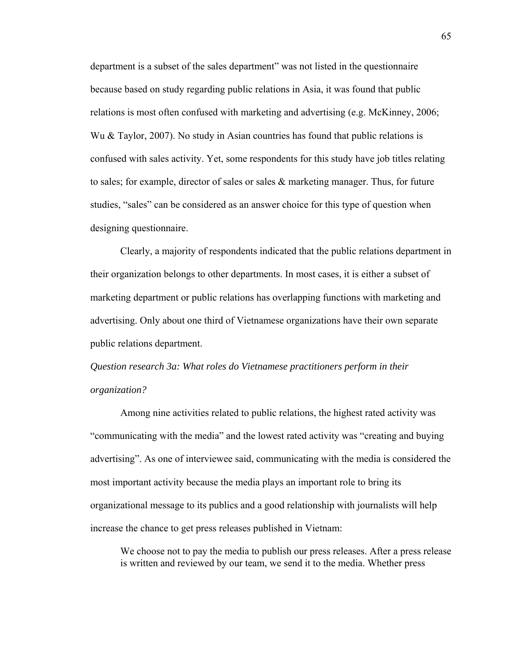department is a subset of the sales department" was not listed in the questionnaire because based on study regarding public relations in Asia, it was found that public relations is most often confused with marketing and advertising (e.g. McKinney, 2006; Wu & Taylor, 2007). No study in Asian countries has found that public relations is confused with sales activity. Yet, some respondents for this study have job titles relating to sales; for example, director of sales or sales & marketing manager. Thus, for future studies, "sales" can be considered as an answer choice for this type of question when designing questionnaire.

Clearly, a majority of respondents indicated that the public relations department in their organization belongs to other departments. In most cases, it is either a subset of marketing department or public relations has overlapping functions with marketing and advertising. Only about one third of Vietnamese organizations have their own separate public relations department.

# *Question research 3a: What roles do Vietnamese practitioners perform in their organization?*

Among nine activities related to public relations, the highest rated activity was "communicating with the media" and the lowest rated activity was "creating and buying advertising". As one of interviewee said, communicating with the media is considered the most important activity because the media plays an important role to bring its organizational message to its publics and a good relationship with journalists will help increase the chance to get press releases published in Vietnam:

We choose not to pay the media to publish our press releases. After a press release is written and reviewed by our team, we send it to the media. Whether press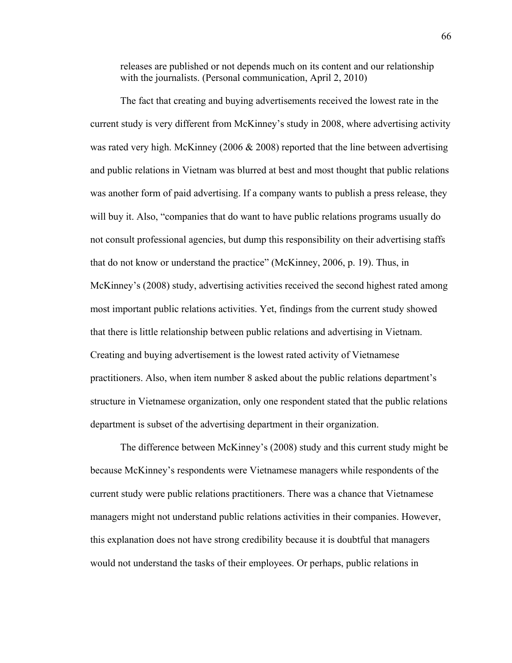releases are published or not depends much on its content and our relationship with the journalists. (Personal communication, April 2, 2010)

The fact that creating and buying advertisements received the lowest rate in the current study is very different from McKinney's study in 2008, where advertising activity was rated very high. McKinney (2006 & 2008) reported that the line between advertising and public relations in Vietnam was blurred at best and most thought that public relations was another form of paid advertising. If a company wants to publish a press release, they will buy it. Also, "companies that do want to have public relations programs usually do not consult professional agencies, but dump this responsibility on their advertising staffs that do not know or understand the practice" (McKinney, 2006, p. 19). Thus, in McKinney's (2008) study, advertising activities received the second highest rated among most important public relations activities. Yet, findings from the current study showed that there is little relationship between public relations and advertising in Vietnam. Creating and buying advertisement is the lowest rated activity of Vietnamese practitioners. Also, when item number 8 asked about the public relations department's structure in Vietnamese organization, only one respondent stated that the public relations department is subset of the advertising department in their organization.

The difference between McKinney's (2008) study and this current study might be because McKinney's respondents were Vietnamese managers while respondents of the current study were public relations practitioners. There was a chance that Vietnamese managers might not understand public relations activities in their companies. However, this explanation does not have strong credibility because it is doubtful that managers would not understand the tasks of their employees. Or perhaps, public relations in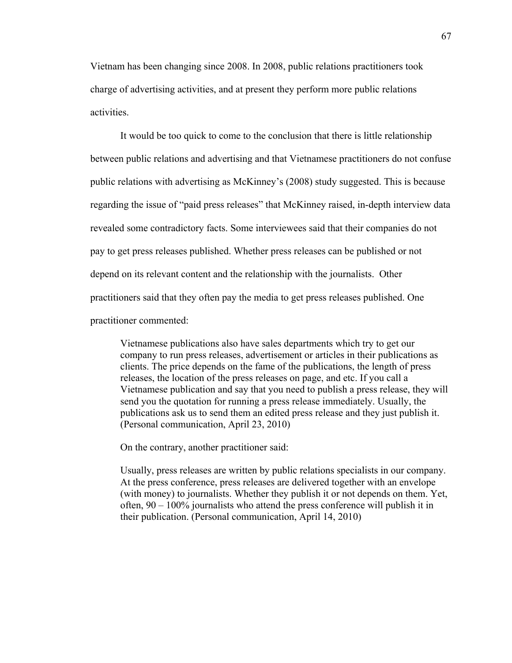Vietnam has been changing since 2008. In 2008, public relations practitioners took charge of advertising activities, and at present they perform more public relations activities.

It would be too quick to come to the conclusion that there is little relationship between public relations and advertising and that Vietnamese practitioners do not confuse public relations with advertising as McKinney's (2008) study suggested. This is because regarding the issue of "paid press releases" that McKinney raised, in-depth interview data revealed some contradictory facts. Some interviewees said that their companies do not pay to get press releases published. Whether press releases can be published or not depend on its relevant content and the relationship with the journalists. Other practitioners said that they often pay the media to get press releases published. One practitioner commented:

Vietnamese publications also have sales departments which try to get our company to run press releases, advertisement or articles in their publications as clients. The price depends on the fame of the publications, the length of press releases, the location of the press releases on page, and etc. If you call a Vietnamese publication and say that you need to publish a press release, they will send you the quotation for running a press release immediately. Usually, the publications ask us to send them an edited press release and they just publish it. (Personal communication, April 23, 2010)

On the contrary, another practitioner said:

Usually, press releases are written by public relations specialists in our company. At the press conference, press releases are delivered together with an envelope (with money) to journalists. Whether they publish it or not depends on them. Yet, often,  $90 - 100\%$  journalists who attend the press conference will publish it in their publication. (Personal communication, April 14, 2010)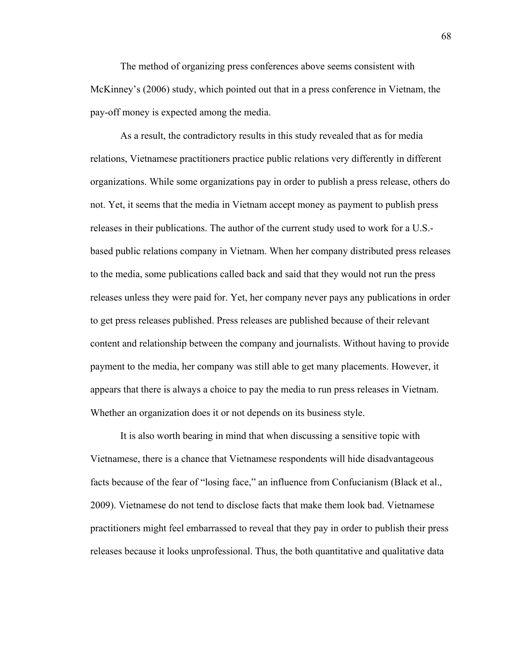The method of organizing press conferences above seems consistent with McKinney's (2006) study, which pointed out that in a press conference in Vietnam, the pay-off money is expected among the media.

As a result, the contradictory results in this study revealed that as for media relations, Vietnamese practitioners practice public relations very differently in different organizations. While some organizations pay in order to publish a press release, others do not. Yet, it seems that the media in Vietnam accept money as payment to publish press releases in their publications. The author of the current study used to work for a U.S. based public relations company in Vietnam. When her company distributed press releases to the media, some publications called back and said that they would not run the press releases unless they were paid for. Yet, her company never pays any publications in order to get press releases published. Press releases are published because of their relevant content and relationship between the company and journalists. Without having to provide payment to the media, her company was still able to get many placements. However, it appears that there is always a choice to pay the media to run press releases in Vietnam. Whether an organization does it or not depends on its business style.

It is also worth bearing in mind that when discussing a sensitive topic with Vietnamese, there is a chance that Vietnamese respondents will hide disadvantageous facts because of the fear of "losing face," an influence from Confucianism (Black et al., 2009). Vietnamese do not tend to disclose facts that make them look bad. Vietnamese practitioners might feel embarrassed to reveal that they pay in order to publish their press releases because it looks unprofessional. Thus, the both quantitative and qualitative data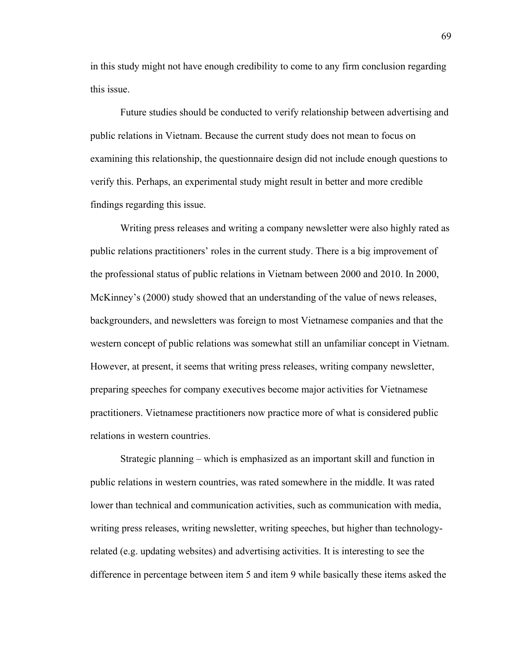in this study might not have enough credibility to come to any firm conclusion regarding this issue.

Future studies should be conducted to verify relationship between advertising and public relations in Vietnam. Because the current study does not mean to focus on examining this relationship, the questionnaire design did not include enough questions to verify this. Perhaps, an experimental study might result in better and more credible findings regarding this issue.

Writing press releases and writing a company newsletter were also highly rated as public relations practitioners' roles in the current study. There is a big improvement of the professional status of public relations in Vietnam between 2000 and 2010. In 2000, McKinney's (2000) study showed that an understanding of the value of news releases, backgrounders, and newsletters was foreign to most Vietnamese companies and that the western concept of public relations was somewhat still an unfamiliar concept in Vietnam. However, at present, it seems that writing press releases, writing company newsletter, preparing speeches for company executives become major activities for Vietnamese practitioners. Vietnamese practitioners now practice more of what is considered public relations in western countries.

Strategic planning – which is emphasized as an important skill and function in public relations in western countries, was rated somewhere in the middle. It was rated lower than technical and communication activities, such as communication with media, writing press releases, writing newsletter, writing speeches, but higher than technologyrelated (e.g. updating websites) and advertising activities. It is interesting to see the difference in percentage between item 5 and item 9 while basically these items asked the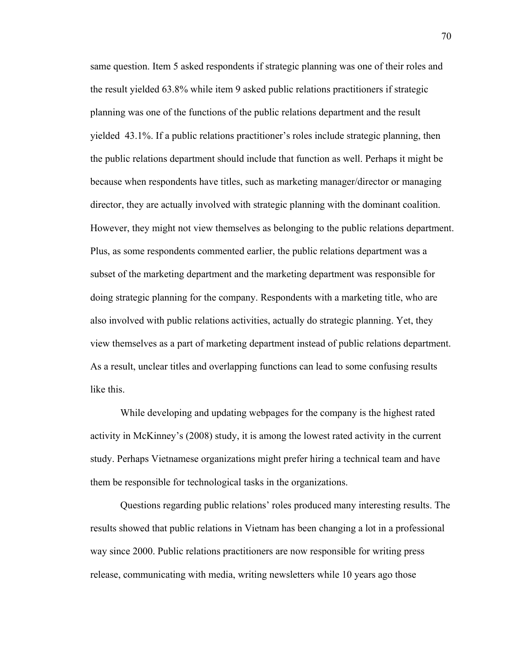same question. Item 5 asked respondents if strategic planning was one of their roles and the result yielded 63.8% while item 9 asked public relations practitioners if strategic planning was one of the functions of the public relations department and the result yielded 43.1%. If a public relations practitioner's roles include strategic planning, then the public relations department should include that function as well. Perhaps it might be because when respondents have titles, such as marketing manager/director or managing director, they are actually involved with strategic planning with the dominant coalition. However, they might not view themselves as belonging to the public relations department. Plus, as some respondents commented earlier, the public relations department was a subset of the marketing department and the marketing department was responsible for doing strategic planning for the company. Respondents with a marketing title, who are also involved with public relations activities, actually do strategic planning. Yet, they view themselves as a part of marketing department instead of public relations department. As a result, unclear titles and overlapping functions can lead to some confusing results like this.

While developing and updating webpages for the company is the highest rated activity in McKinney's (2008) study, it is among the lowest rated activity in the current study. Perhaps Vietnamese organizations might prefer hiring a technical team and have them be responsible for technological tasks in the organizations.

Questions regarding public relations' roles produced many interesting results. The results showed that public relations in Vietnam has been changing a lot in a professional way since 2000. Public relations practitioners are now responsible for writing press release, communicating with media, writing newsletters while 10 years ago those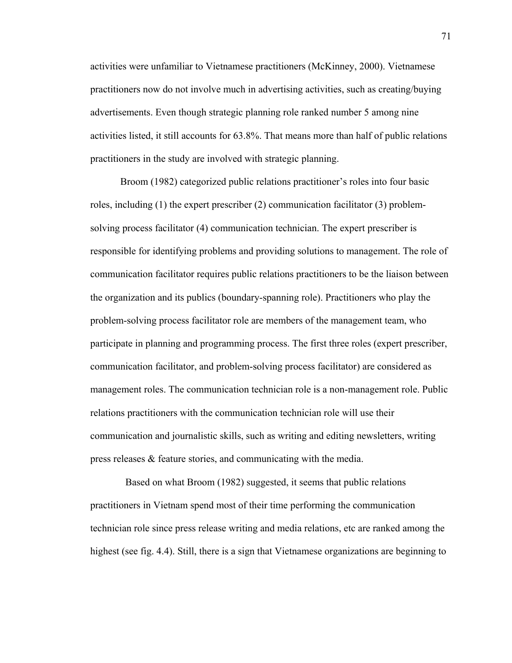activities were unfamiliar to Vietnamese practitioners (McKinney, 2000). Vietnamese practitioners now do not involve much in advertising activities, such as creating/buying advertisements. Even though strategic planning role ranked number 5 among nine activities listed, it still accounts for 63.8%. That means more than half of public relations practitioners in the study are involved with strategic planning.

Broom (1982) categorized public relations practitioner's roles into four basic roles, including (1) the expert prescriber (2) communication facilitator (3) problemsolving process facilitator (4) communication technician. The expert prescriber is responsible for identifying problems and providing solutions to management. The role of communication facilitator requires public relations practitioners to be the liaison between the organization and its publics (boundary-spanning role). Practitioners who play the problem-solving process facilitator role are members of the management team, who participate in planning and programming process. The first three roles (expert prescriber, communication facilitator, and problem-solving process facilitator) are considered as management roles. The communication technician role is a non-management role. Public relations practitioners with the communication technician role will use their communication and journalistic skills, such as writing and editing newsletters, writing press releases & feature stories, and communicating with the media.

 Based on what Broom (1982) suggested, it seems that public relations practitioners in Vietnam spend most of their time performing the communication technician role since press release writing and media relations, etc are ranked among the highest (see fig. 4.4). Still, there is a sign that Vietnamese organizations are beginning to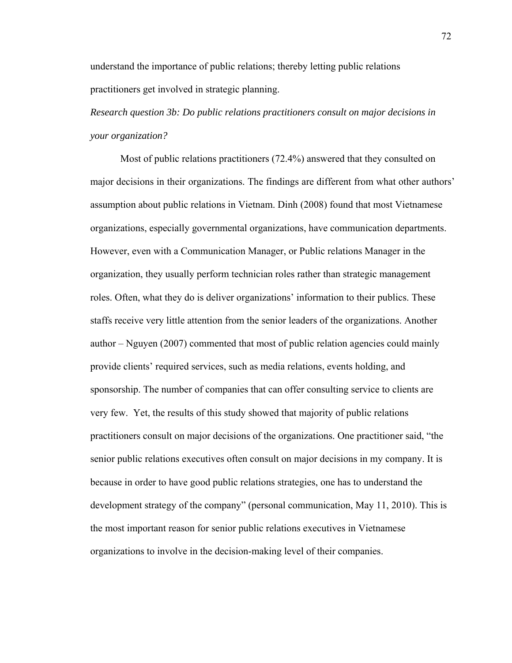understand the importance of public relations; thereby letting public relations practitioners get involved in strategic planning.

*Research question 3b: Do public relations practitioners consult on major decisions in your organization?* 

Most of public relations practitioners (72.4%) answered that they consulted on major decisions in their organizations. The findings are different from what other authors' assumption about public relations in Vietnam. Dinh (2008) found that most Vietnamese organizations, especially governmental organizations, have communication departments. However, even with a Communication Manager, or Public relations Manager in the organization, they usually perform technician roles rather than strategic management roles. Often, what they do is deliver organizations' information to their publics. These staffs receive very little attention from the senior leaders of the organizations. Another author – Nguyen (2007) commented that most of public relation agencies could mainly provide clients' required services, such as media relations, events holding, and sponsorship. The number of companies that can offer consulting service to clients are very few. Yet, the results of this study showed that majority of public relations practitioners consult on major decisions of the organizations. One practitioner said, "the senior public relations executives often consult on major decisions in my company. It is because in order to have good public relations strategies, one has to understand the development strategy of the company" (personal communication, May 11, 2010). This is the most important reason for senior public relations executives in Vietnamese organizations to involve in the decision-making level of their companies.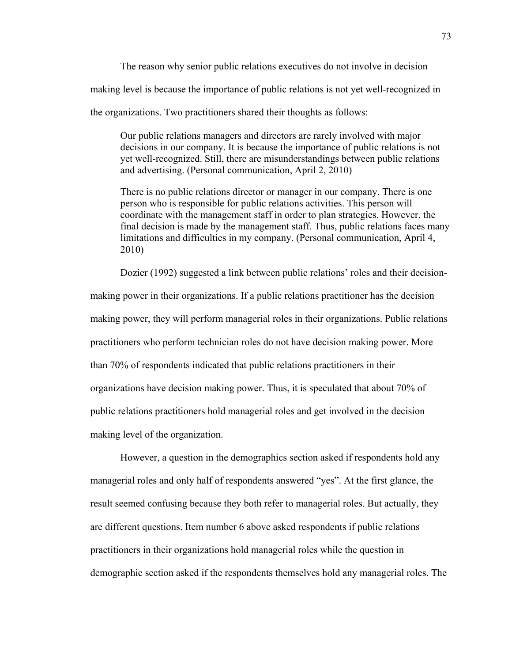The reason why senior public relations executives do not involve in decision making level is because the importance of public relations is not yet well-recognized in the organizations. Two practitioners shared their thoughts as follows:

Our public relations managers and directors are rarely involved with major decisions in our company. It is because the importance of public relations is not yet well-recognized. Still, there are misunderstandings between public relations and advertising. (Personal communication, April 2, 2010)

There is no public relations director or manager in our company. There is one person who is responsible for public relations activities. This person will coordinate with the management staff in order to plan strategies. However, the final decision is made by the management staff. Thus, public relations faces many limitations and difficulties in my company. (Personal communication, April 4, 2010)

Dozier (1992) suggested a link between public relations' roles and their decision-

making power in their organizations. If a public relations practitioner has the decision making power, they will perform managerial roles in their organizations. Public relations practitioners who perform technician roles do not have decision making power. More than 70% of respondents indicated that public relations practitioners in their organizations have decision making power. Thus, it is speculated that about 70% of public relations practitioners hold managerial roles and get involved in the decision making level of the organization.

However, a question in the demographics section asked if respondents hold any managerial roles and only half of respondents answered "yes". At the first glance, the result seemed confusing because they both refer to managerial roles. But actually, they are different questions. Item number 6 above asked respondents if public relations practitioners in their organizations hold managerial roles while the question in demographic section asked if the respondents themselves hold any managerial roles. The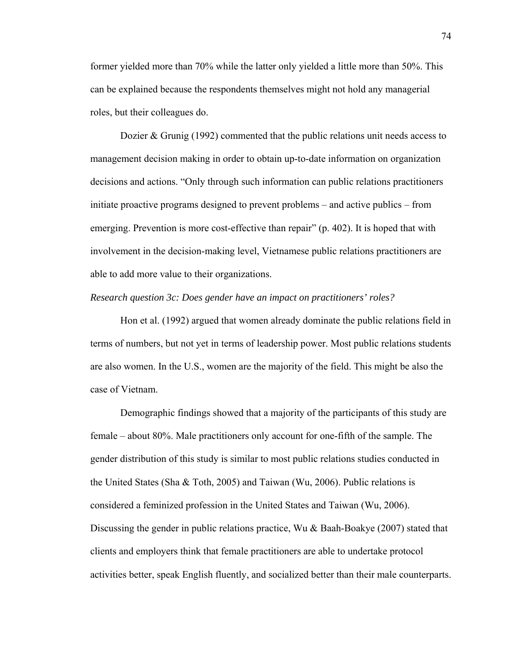former yielded more than 70% while the latter only yielded a little more than 50%. This can be explained because the respondents themselves might not hold any managerial roles, but their colleagues do.

Dozier & Grunig (1992) commented that the public relations unit needs access to management decision making in order to obtain up-to-date information on organization decisions and actions. "Only through such information can public relations practitioners initiate proactive programs designed to prevent problems – and active publics – from emerging. Prevention is more cost-effective than repair" (p. 402). It is hoped that with involvement in the decision-making level, Vietnamese public relations practitioners are able to add more value to their organizations.

## *Research question 3c: Does gender have an impact on practitioners' roles?*

Hon et al. (1992) argued that women already dominate the public relations field in terms of numbers, but not yet in terms of leadership power. Most public relations students are also women. In the U.S., women are the majority of the field. This might be also the case of Vietnam.

Demographic findings showed that a majority of the participants of this study are female – about 80%. Male practitioners only account for one-fifth of the sample. The gender distribution of this study is similar to most public relations studies conducted in the United States (Sha & Toth, 2005) and Taiwan (Wu, 2006). Public relations is considered a feminized profession in the United States and Taiwan (Wu, 2006). Discussing the gender in public relations practice, Wu & Baah-Boakye (2007) stated that clients and employers think that female practitioners are able to undertake protocol activities better, speak English fluently, and socialized better than their male counterparts.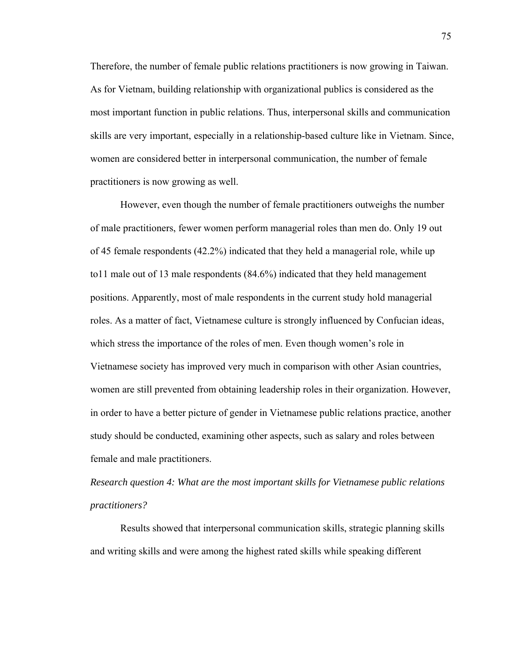Therefore, the number of female public relations practitioners is now growing in Taiwan. As for Vietnam, building relationship with organizational publics is considered as the most important function in public relations. Thus, interpersonal skills and communication skills are very important, especially in a relationship-based culture like in Vietnam. Since, women are considered better in interpersonal communication, the number of female practitioners is now growing as well.

However, even though the number of female practitioners outweighs the number of male practitioners, fewer women perform managerial roles than men do. Only 19 out of 45 female respondents (42.2%) indicated that they held a managerial role, while up to11 male out of 13 male respondents (84.6%) indicated that they held management positions. Apparently, most of male respondents in the current study hold managerial roles. As a matter of fact, Vietnamese culture is strongly influenced by Confucian ideas, which stress the importance of the roles of men. Even though women's role in Vietnamese society has improved very much in comparison with other Asian countries, women are still prevented from obtaining leadership roles in their organization. However, in order to have a better picture of gender in Vietnamese public relations practice, another study should be conducted, examining other aspects, such as salary and roles between female and male practitioners.

*Research question 4: What are the most important skills for Vietnamese public relations practitioners?* 

Results showed that interpersonal communication skills, strategic planning skills and writing skills and were among the highest rated skills while speaking different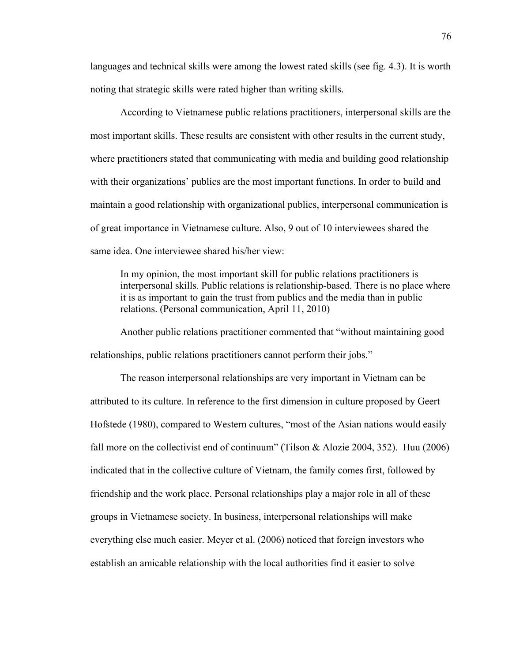languages and technical skills were among the lowest rated skills (see fig. 4.3). It is worth noting that strategic skills were rated higher than writing skills.

According to Vietnamese public relations practitioners, interpersonal skills are the most important skills. These results are consistent with other results in the current study, where practitioners stated that communicating with media and building good relationship with their organizations' publics are the most important functions. In order to build and maintain a good relationship with organizational publics, interpersonal communication is of great importance in Vietnamese culture. Also, 9 out of 10 interviewees shared the same idea. One interviewee shared his/her view:

In my opinion, the most important skill for public relations practitioners is interpersonal skills. Public relations is relationship-based. There is no place where it is as important to gain the trust from publics and the media than in public relations. (Personal communication, April 11, 2010)

Another public relations practitioner commented that "without maintaining good relationships, public relations practitioners cannot perform their jobs."

The reason interpersonal relationships are very important in Vietnam can be attributed to its culture. In reference to the first dimension in culture proposed by Geert Hofstede (1980), compared to Western cultures, "most of the Asian nations would easily fall more on the collectivist end of continuum" (Tilson & Alozie 2004, 352). Huu (2006) indicated that in the collective culture of Vietnam, the family comes first, followed by friendship and the work place. Personal relationships play a major role in all of these groups in Vietnamese society. In business, interpersonal relationships will make everything else much easier. Meyer et al. (2006) noticed that foreign investors who establish an amicable relationship with the local authorities find it easier to solve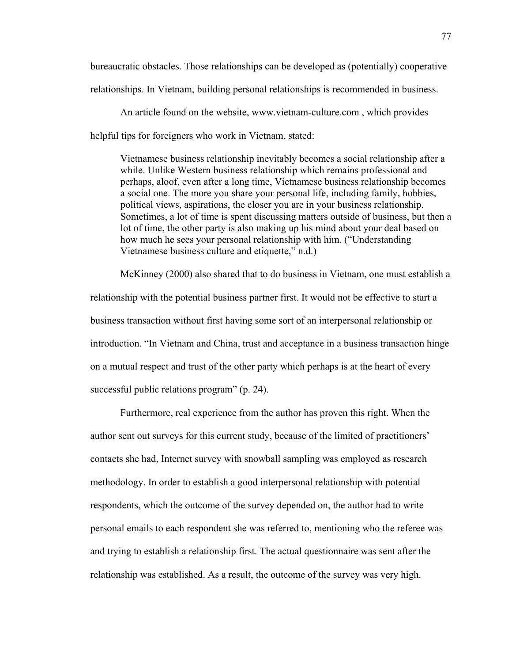bureaucratic obstacles. Those relationships can be developed as (potentially) cooperative relationships. In Vietnam, building personal relationships is recommended in business.

An article found on the website, www.vietnam-culture.com , which provides helpful tips for foreigners who work in Vietnam, stated:

Vietnamese business relationship inevitably becomes a social relationship after a while. Unlike Western business relationship which remains professional and perhaps, aloof, even after a long time, Vietnamese business relationship becomes a social one. The more you share your personal life, including family, hobbies, political views, aspirations, the closer you are in your business relationship. Sometimes, a lot of time is spent discussing matters outside of business, but then a lot of time, the other party is also making up his mind about your deal based on how much he sees your personal relationship with him. ("Understanding Vietnamese business culture and etiquette," n.d.)

McKinney (2000) also shared that to do business in Vietnam, one must establish a relationship with the potential business partner first. It would not be effective to start a business transaction without first having some sort of an interpersonal relationship or introduction. "In Vietnam and China, trust and acceptance in a business transaction hinge on a mutual respect and trust of the other party which perhaps is at the heart of every successful public relations program" (p. 24).

Furthermore, real experience from the author has proven this right. When the author sent out surveys for this current study, because of the limited of practitioners' contacts she had, Internet survey with snowball sampling was employed as research methodology. In order to establish a good interpersonal relationship with potential respondents, which the outcome of the survey depended on, the author had to write personal emails to each respondent she was referred to, mentioning who the referee was and trying to establish a relationship first. The actual questionnaire was sent after the relationship was established. As a result, the outcome of the survey was very high.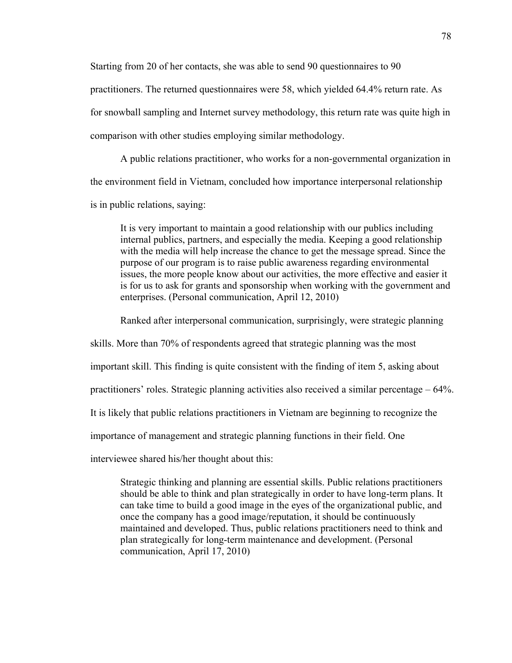Starting from 20 of her contacts, she was able to send 90 questionnaires to 90 practitioners. The returned questionnaires were 58, which yielded 64.4% return rate. As for snowball sampling and Internet survey methodology, this return rate was quite high in comparison with other studies employing similar methodology.

A public relations practitioner, who works for a non-governmental organization in the environment field in Vietnam, concluded how importance interpersonal relationship is in public relations, saying:

It is very important to maintain a good relationship with our publics including internal publics, partners, and especially the media. Keeping a good relationship with the media will help increase the chance to get the message spread. Since the purpose of our program is to raise public awareness regarding environmental issues, the more people know about our activities, the more effective and easier it is for us to ask for grants and sponsorship when working with the government and enterprises. (Personal communication, April 12, 2010)

Ranked after interpersonal communication, surprisingly, were strategic planning

skills. More than 70% of respondents agreed that strategic planning was the most

important skill. This finding is quite consistent with the finding of item 5, asking about

practitioners' roles. Strategic planning activities also received a similar percentage – 64%.

It is likely that public relations practitioners in Vietnam are beginning to recognize the

importance of management and strategic planning functions in their field. One

interviewee shared his/her thought about this:

Strategic thinking and planning are essential skills. Public relations practitioners should be able to think and plan strategically in order to have long-term plans. It can take time to build a good image in the eyes of the organizational public, and once the company has a good image/reputation, it should be continuously maintained and developed. Thus, public relations practitioners need to think and plan strategically for long-term maintenance and development. (Personal communication, April 17, 2010)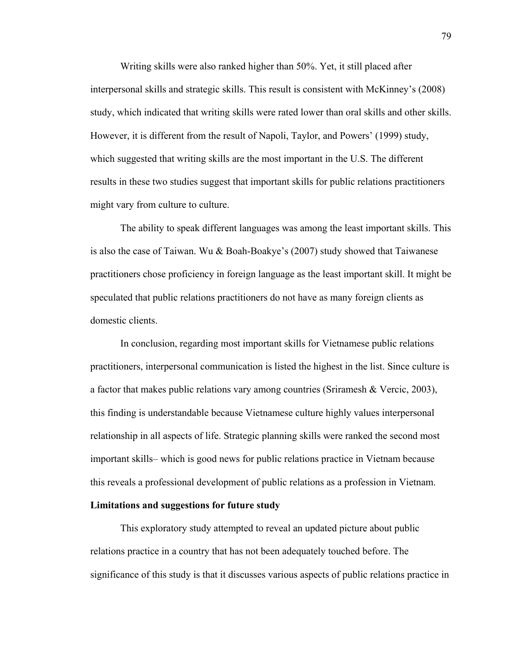Writing skills were also ranked higher than 50%. Yet, it still placed after interpersonal skills and strategic skills. This result is consistent with McKinney's (2008) study, which indicated that writing skills were rated lower than oral skills and other skills. However, it is different from the result of Napoli, Taylor, and Powers' (1999) study, which suggested that writing skills are the most important in the U.S. The different results in these two studies suggest that important skills for public relations practitioners might vary from culture to culture.

 The ability to speak different languages was among the least important skills. This is also the case of Taiwan. Wu & Boah-Boakye's (2007) study showed that Taiwanese practitioners chose proficiency in foreign language as the least important skill. It might be speculated that public relations practitioners do not have as many foreign clients as domestic clients.

In conclusion, regarding most important skills for Vietnamese public relations practitioners, interpersonal communication is listed the highest in the list. Since culture is a factor that makes public relations vary among countries (Sriramesh & Vercic, 2003), this finding is understandable because Vietnamese culture highly values interpersonal relationship in all aspects of life. Strategic planning skills were ranked the second most important skills– which is good news for public relations practice in Vietnam because this reveals a professional development of public relations as a profession in Vietnam.

## **Limitations and suggestions for future study**

This exploratory study attempted to reveal an updated picture about public relations practice in a country that has not been adequately touched before. The significance of this study is that it discusses various aspects of public relations practice in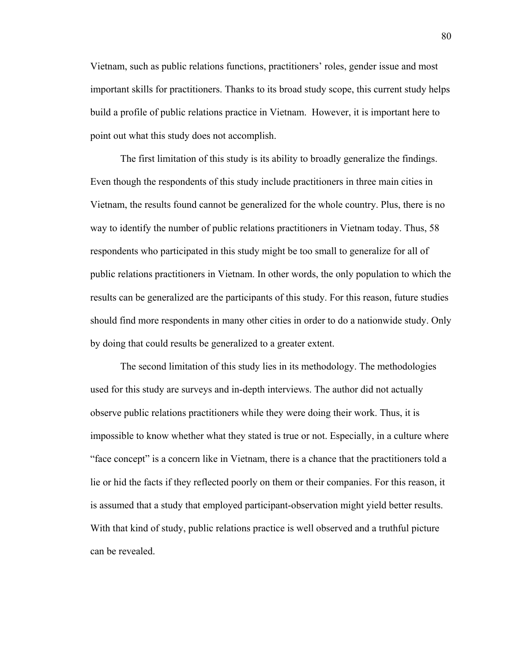Vietnam, such as public relations functions, practitioners' roles, gender issue and most important skills for practitioners. Thanks to its broad study scope, this current study helps build a profile of public relations practice in Vietnam. However, it is important here to point out what this study does not accomplish.

The first limitation of this study is its ability to broadly generalize the findings. Even though the respondents of this study include practitioners in three main cities in Vietnam, the results found cannot be generalized for the whole country. Plus, there is no way to identify the number of public relations practitioners in Vietnam today. Thus, 58 respondents who participated in this study might be too small to generalize for all of public relations practitioners in Vietnam. In other words, the only population to which the results can be generalized are the participants of this study. For this reason, future studies should find more respondents in many other cities in order to do a nationwide study. Only by doing that could results be generalized to a greater extent.

The second limitation of this study lies in its methodology. The methodologies used for this study are surveys and in-depth interviews. The author did not actually observe public relations practitioners while they were doing their work. Thus, it is impossible to know whether what they stated is true or not. Especially, in a culture where "face concept" is a concern like in Vietnam, there is a chance that the practitioners told a lie or hid the facts if they reflected poorly on them or their companies. For this reason, it is assumed that a study that employed participant-observation might yield better results. With that kind of study, public relations practice is well observed and a truthful picture can be revealed.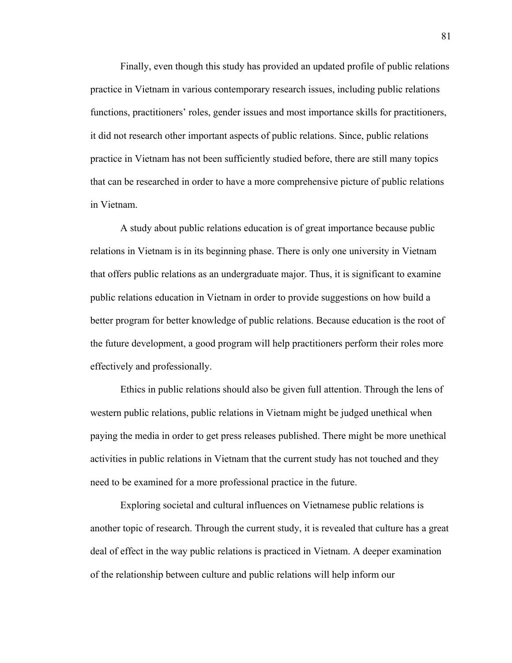Finally, even though this study has provided an updated profile of public relations practice in Vietnam in various contemporary research issues, including public relations functions, practitioners' roles, gender issues and most importance skills for practitioners, it did not research other important aspects of public relations. Since, public relations practice in Vietnam has not been sufficiently studied before, there are still many topics that can be researched in order to have a more comprehensive picture of public relations in Vietnam.

A study about public relations education is of great importance because public relations in Vietnam is in its beginning phase. There is only one university in Vietnam that offers public relations as an undergraduate major. Thus, it is significant to examine public relations education in Vietnam in order to provide suggestions on how build a better program for better knowledge of public relations. Because education is the root of the future development, a good program will help practitioners perform their roles more effectively and professionally.

Ethics in public relations should also be given full attention. Through the lens of western public relations, public relations in Vietnam might be judged unethical when paying the media in order to get press releases published. There might be more unethical activities in public relations in Vietnam that the current study has not touched and they need to be examined for a more professional practice in the future.

Exploring societal and cultural influences on Vietnamese public relations is another topic of research. Through the current study, it is revealed that culture has a great deal of effect in the way public relations is practiced in Vietnam. A deeper examination of the relationship between culture and public relations will help inform our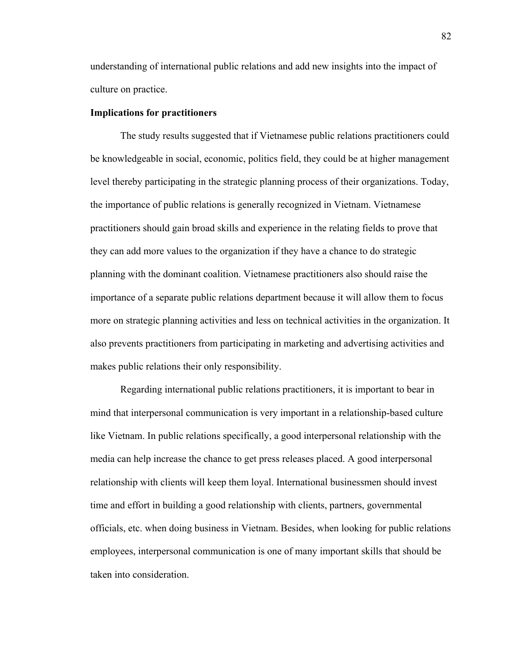understanding of international public relations and add new insights into the impact of culture on practice.

### **Implications for practitioners**

The study results suggested that if Vietnamese public relations practitioners could be knowledgeable in social, economic, politics field, they could be at higher management level thereby participating in the strategic planning process of their organizations. Today, the importance of public relations is generally recognized in Vietnam. Vietnamese practitioners should gain broad skills and experience in the relating fields to prove that they can add more values to the organization if they have a chance to do strategic planning with the dominant coalition. Vietnamese practitioners also should raise the importance of a separate public relations department because it will allow them to focus more on strategic planning activities and less on technical activities in the organization. It also prevents practitioners from participating in marketing and advertising activities and makes public relations their only responsibility.

Regarding international public relations practitioners, it is important to bear in mind that interpersonal communication is very important in a relationship-based culture like Vietnam. In public relations specifically, a good interpersonal relationship with the media can help increase the chance to get press releases placed. A good interpersonal relationship with clients will keep them loyal. International businessmen should invest time and effort in building a good relationship with clients, partners, governmental officials, etc. when doing business in Vietnam. Besides, when looking for public relations employees, interpersonal communication is one of many important skills that should be taken into consideration.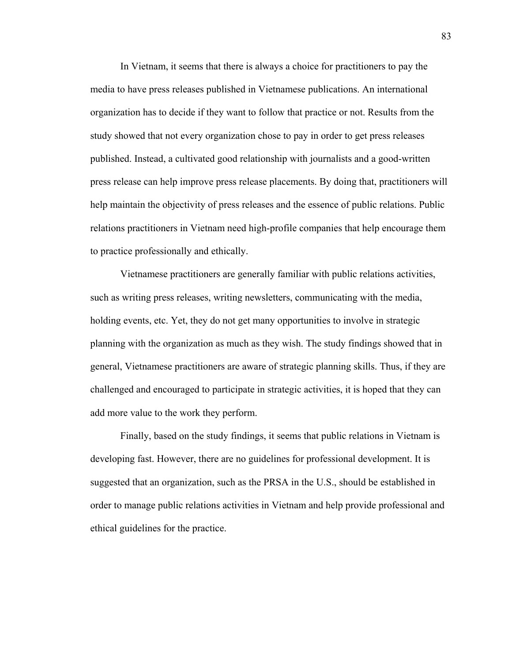In Vietnam, it seems that there is always a choice for practitioners to pay the media to have press releases published in Vietnamese publications. An international organization has to decide if they want to follow that practice or not. Results from the study showed that not every organization chose to pay in order to get press releases published. Instead, a cultivated good relationship with journalists and a good-written press release can help improve press release placements. By doing that, practitioners will help maintain the objectivity of press releases and the essence of public relations. Public relations practitioners in Vietnam need high-profile companies that help encourage them to practice professionally and ethically.

Vietnamese practitioners are generally familiar with public relations activities, such as writing press releases, writing newsletters, communicating with the media, holding events, etc. Yet, they do not get many opportunities to involve in strategic planning with the organization as much as they wish. The study findings showed that in general, Vietnamese practitioners are aware of strategic planning skills. Thus, if they are challenged and encouraged to participate in strategic activities, it is hoped that they can add more value to the work they perform.

Finally, based on the study findings, it seems that public relations in Vietnam is developing fast. However, there are no guidelines for professional development. It is suggested that an organization, such as the PRSA in the U.S., should be established in order to manage public relations activities in Vietnam and help provide professional and ethical guidelines for the practice.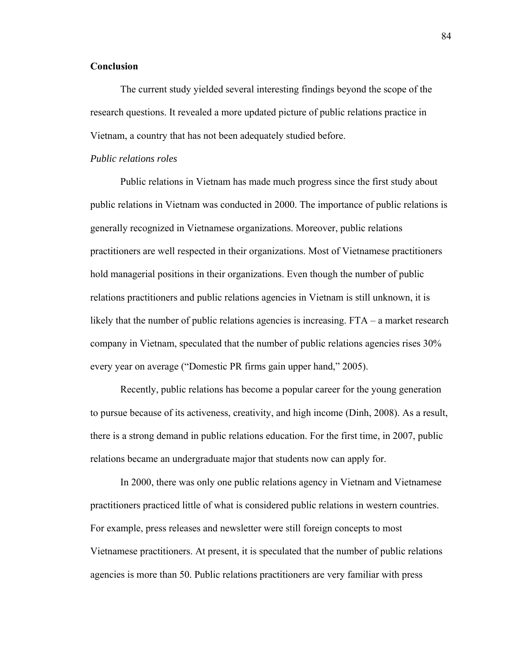# **Conclusion**

The current study yielded several interesting findings beyond the scope of the research questions. It revealed a more updated picture of public relations practice in Vietnam, a country that has not been adequately studied before.

# *Public relations roles*

Public relations in Vietnam has made much progress since the first study about public relations in Vietnam was conducted in 2000. The importance of public relations is generally recognized in Vietnamese organizations. Moreover, public relations practitioners are well respected in their organizations. Most of Vietnamese practitioners hold managerial positions in their organizations. Even though the number of public relations practitioners and public relations agencies in Vietnam is still unknown, it is likely that the number of public relations agencies is increasing. FTA – a market research company in Vietnam, speculated that the number of public relations agencies rises 30% every year on average ("Domestic PR firms gain upper hand," 2005).

Recently, public relations has become a popular career for the young generation to pursue because of its activeness, creativity, and high income (Dinh, 2008). As a result, there is a strong demand in public relations education. For the first time, in 2007, public relations became an undergraduate major that students now can apply for.

In 2000, there was only one public relations agency in Vietnam and Vietnamese practitioners practiced little of what is considered public relations in western countries. For example, press releases and newsletter were still foreign concepts to most Vietnamese practitioners. At present, it is speculated that the number of public relations agencies is more than 50. Public relations practitioners are very familiar with press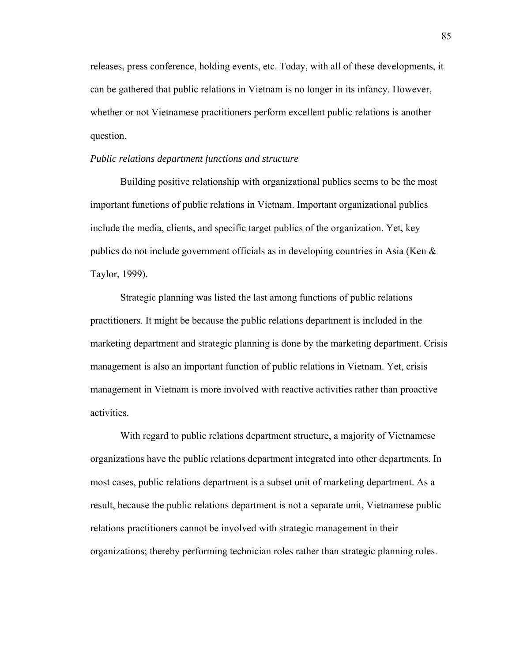releases, press conference, holding events, etc. Today, with all of these developments, it can be gathered that public relations in Vietnam is no longer in its infancy. However, whether or not Vietnamese practitioners perform excellent public relations is another question.

### *Public relations department functions and structure*

Building positive relationship with organizational publics seems to be the most important functions of public relations in Vietnam. Important organizational publics include the media, clients, and specific target publics of the organization. Yet, key publics do not include government officials as in developing countries in Asia (Ken & Taylor, 1999).

Strategic planning was listed the last among functions of public relations practitioners. It might be because the public relations department is included in the marketing department and strategic planning is done by the marketing department. Crisis management is also an important function of public relations in Vietnam. Yet, crisis management in Vietnam is more involved with reactive activities rather than proactive activities.

With regard to public relations department structure, a majority of Vietnamese organizations have the public relations department integrated into other departments. In most cases, public relations department is a subset unit of marketing department. As a result, because the public relations department is not a separate unit, Vietnamese public relations practitioners cannot be involved with strategic management in their organizations; thereby performing technician roles rather than strategic planning roles.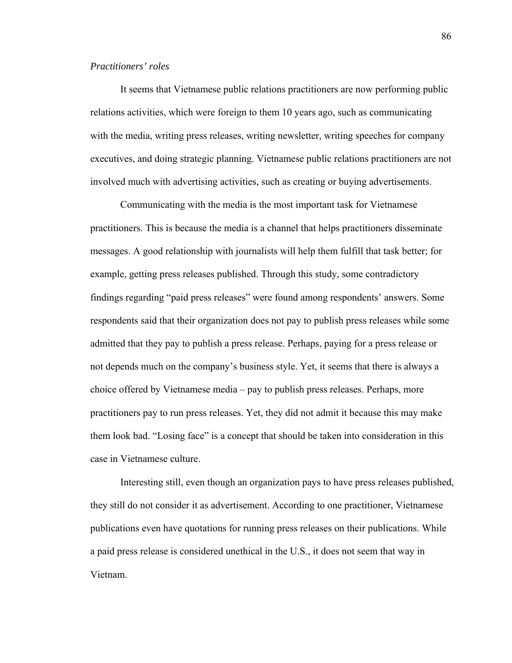# *Practitioners' roles*

It seems that Vietnamese public relations practitioners are now performing public relations activities, which were foreign to them 10 years ago, such as communicating with the media, writing press releases, writing newsletter, writing speeches for company executives, and doing strategic planning. Vietnamese public relations practitioners are not involved much with advertising activities, such as creating or buying advertisements.

Communicating with the media is the most important task for Vietnamese practitioners. This is because the media is a channel that helps practitioners disseminate messages. A good relationship with journalists will help them fulfill that task better; for example, getting press releases published. Through this study, some contradictory findings regarding "paid press releases" were found among respondents' answers. Some respondents said that their organization does not pay to publish press releases while some admitted that they pay to publish a press release. Perhaps, paying for a press release or not depends much on the company's business style. Yet, it seems that there is always a choice offered by Vietnamese media – pay to publish press releases. Perhaps, more practitioners pay to run press releases. Yet, they did not admit it because this may make them look bad. "Losing face" is a concept that should be taken into consideration in this case in Vietnamese culture.

Interesting still, even though an organization pays to have press releases published, they still do not consider it as advertisement. According to one practitioner, Vietnamese publications even have quotations for running press releases on their publications. While a paid press release is considered unethical in the U.S., it does not seem that way in Vietnam.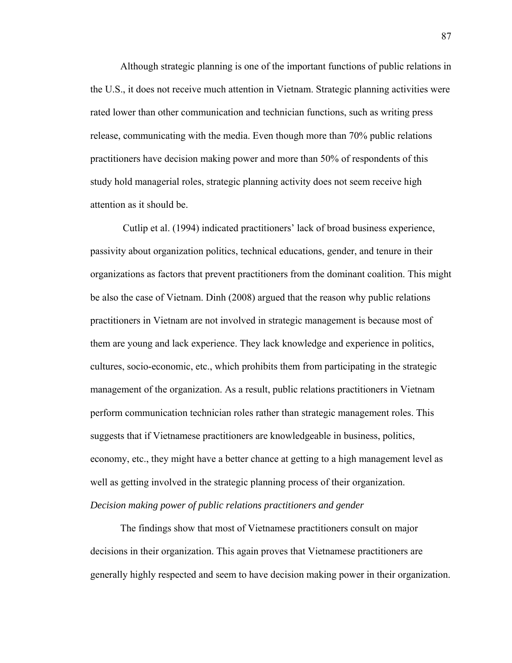Although strategic planning is one of the important functions of public relations in the U.S., it does not receive much attention in Vietnam. Strategic planning activities were rated lower than other communication and technician functions, such as writing press release, communicating with the media. Even though more than 70% public relations practitioners have decision making power and more than 50% of respondents of this study hold managerial roles, strategic planning activity does not seem receive high attention as it should be.

 Cutlip et al. (1994) indicated practitioners' lack of broad business experience, passivity about organization politics, technical educations, gender, and tenure in their organizations as factors that prevent practitioners from the dominant coalition. This might be also the case of Vietnam. Dinh (2008) argued that the reason why public relations practitioners in Vietnam are not involved in strategic management is because most of them are young and lack experience. They lack knowledge and experience in politics, cultures, socio-economic, etc., which prohibits them from participating in the strategic management of the organization. As a result, public relations practitioners in Vietnam perform communication technician roles rather than strategic management roles. This suggests that if Vietnamese practitioners are knowledgeable in business, politics, economy, etc., they might have a better chance at getting to a high management level as well as getting involved in the strategic planning process of their organization. *Decision making power of public relations practitioners and gender* 

The findings show that most of Vietnamese practitioners consult on major decisions in their organization. This again proves that Vietnamese practitioners are generally highly respected and seem to have decision making power in their organization.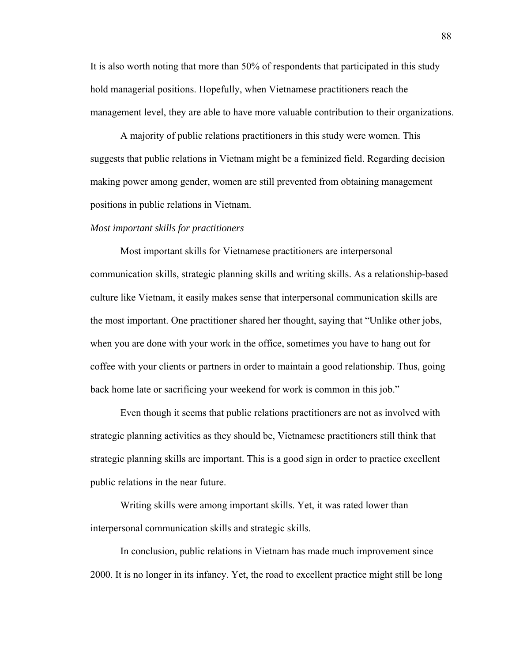It is also worth noting that more than 50% of respondents that participated in this study hold managerial positions. Hopefully, when Vietnamese practitioners reach the management level, they are able to have more valuable contribution to their organizations.

A majority of public relations practitioners in this study were women. This suggests that public relations in Vietnam might be a feminized field. Regarding decision making power among gender, women are still prevented from obtaining management positions in public relations in Vietnam.

#### *Most important skills for practitioners*

Most important skills for Vietnamese practitioners are interpersonal communication skills, strategic planning skills and writing skills. As a relationship-based culture like Vietnam, it easily makes sense that interpersonal communication skills are the most important. One practitioner shared her thought, saying that "Unlike other jobs, when you are done with your work in the office, sometimes you have to hang out for coffee with your clients or partners in order to maintain a good relationship. Thus, going back home late or sacrificing your weekend for work is common in this job."

Even though it seems that public relations practitioners are not as involved with strategic planning activities as they should be, Vietnamese practitioners still think that strategic planning skills are important. This is a good sign in order to practice excellent public relations in the near future.

Writing skills were among important skills. Yet, it was rated lower than interpersonal communication skills and strategic skills.

In conclusion, public relations in Vietnam has made much improvement since 2000. It is no longer in its infancy. Yet, the road to excellent practice might still be long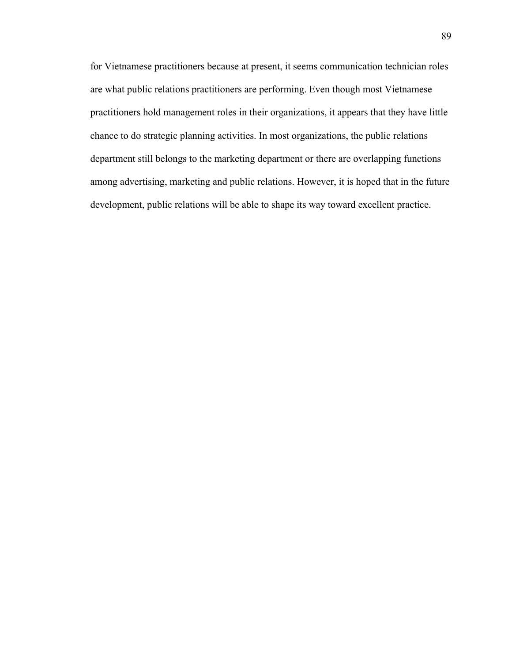for Vietnamese practitioners because at present, it seems communication technician roles are what public relations practitioners are performing. Even though most Vietnamese practitioners hold management roles in their organizations, it appears that they have little chance to do strategic planning activities. In most organizations, the public relations department still belongs to the marketing department or there are overlapping functions among advertising, marketing and public relations. However, it is hoped that in the future development, public relations will be able to shape its way toward excellent practice.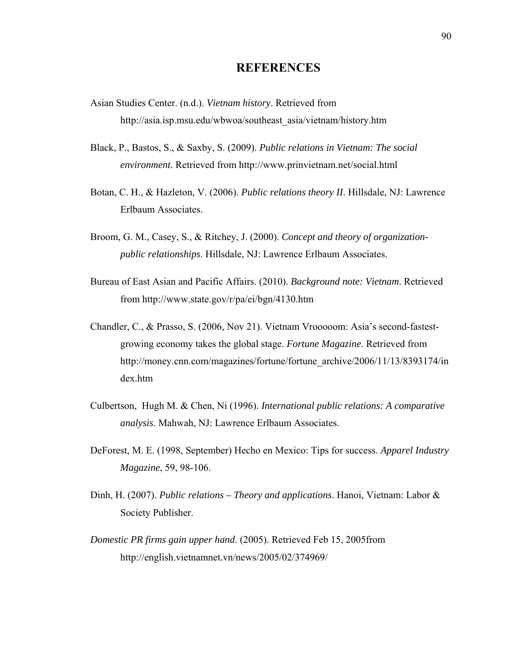# **REFERENCES**

- Asian Studies Center. (n.d.). *Vietnam history*. Retrieved from http://asia.isp.msu.edu/wbwoa/southeast\_asia/vietnam/history.htm
- Black, P., Bastos, S., & Saxby, S. (2009). *Public relations in Vietnam: The social environment*. Retrieved from http://www.prinvietnam.net/social.html
- Botan, C. H., & Hazleton, V. (2006). *Public relations theory II*. Hillsdale, NJ: Lawrence Erlbaum Associates.
- Broom, G. M., Casey, S., & Ritchey, J. (2000). *Concept and theory of organizationpublic relationships*. Hillsdale, NJ: Lawrence Erlbaum Associates.
- Bureau of East Asian and Pacific Affairs. (2010). *Background note: Vietnam*. Retrieved from<http://www.state.gov/r/pa/ei/bgn/4130.htm>
- Chandler, C., & Prasso, S. (2006, Nov 21). Vietnam Vrooooom: Asia's second-fastestgrowing economy takes the global stage. *Fortune Magazine*. Retrieved from http://money.cnn.com/magazines/fortune/fortune\_archive/2006/11/13/8393174/in dex.htm
- Culbertson, Hugh M. & Chen, Ni (1996). *International public relations: A comparative analysis*. Mahwah, NJ: Lawrence Erlbaum Associates.
- DeForest, M. E. (1998, September) Hecho en Mexico: Tips for success. *Apparel Industry Magazine*, 59, 98-106.
- Dinh, H. (2007). *Public relations Theory and applications*. Hanoi, Vietnam: Labor & Society Publisher.
- *Domestic PR firms gain upper hand*. (2005). Retrieved Feb 15, 2005from http://english.vietnamnet.vn/news/2005/02/374969/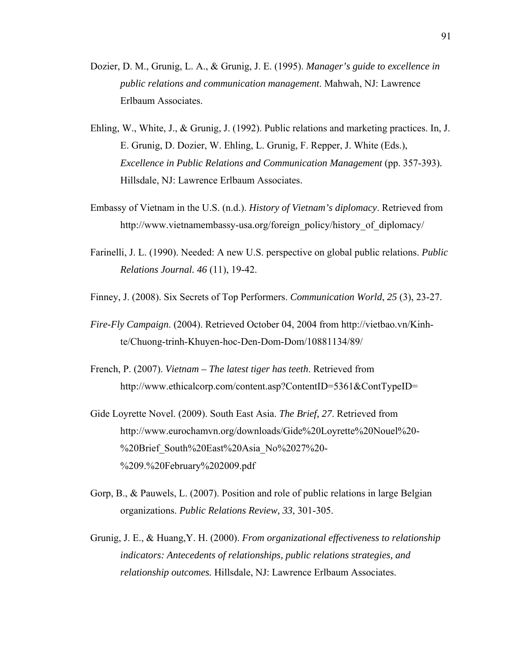- Dozier, D. M., Grunig, L. A., & Grunig, J. E. (1995). *Manager's guide to excellence in public relations and communication management*. Mahwah, NJ: Lawrence Erlbaum Associates.
- Ehling, W., White, J., & Grunig, J. (1992). Public relations and marketing practices. In, J. E. Grunig, D. Dozier, W. Ehling, L. Grunig, F. Repper, J. White (Eds.), *Excellence in Public Relations and Communication Management* (pp. 357-393)*.*  Hillsdale, NJ: Lawrence Erlbaum Associates.
- Embassy of Vietnam in the U.S. (n.d.). *History of Vietnam's diplomacy*. Retrieved from http://www.vietnamembassy-usa.org/foreign\_policy/history\_of\_diplomacy/
- Farinelli, J. L. (1990). Needed: A new U.S. perspective on global public relations. *Public Relations Journal. 46* (11), 19-42.
- Finney, J. (2008). Six Secrets of Top Performers. *Communication World*, *25* (3), 23-27.
- *Fire-Fly Campaign*. (2004). Retrieved October 04, 2004 from http://vietbao.vn/Kinhte/Chuong-trinh-Khuyen-hoc-Den-Dom-Dom/10881134/89/
- French, P. (2007). *Vietnam The latest tiger has teeth*. Retrieved from http://www.ethicalcorp.com/content.asp?ContentID=5361&ContTypeID=
- Gide Loyrette Novel. (2009). South East Asia. *The Brief, 27*. Retrieved from http://www.eurochamvn.org/downloads/Gide%20Loyrette%20Nouel%20- %20Brief\_South%20East%20Asia\_No%2027%20-%209.%20February%202009.pdf
- Gorp, B., & Pauwels, L. (2007). Position and role of public relations in large Belgian organizations. *Public Relations Review, 33*, 301-305.
- Grunig, J. E., & Huang,Y. H. (2000). *From organizational effectiveness to relationship indicators: Antecedents of relationships, public relations strategies, and relationship outcomes.* Hillsdale, NJ: Lawrence Erlbaum Associates.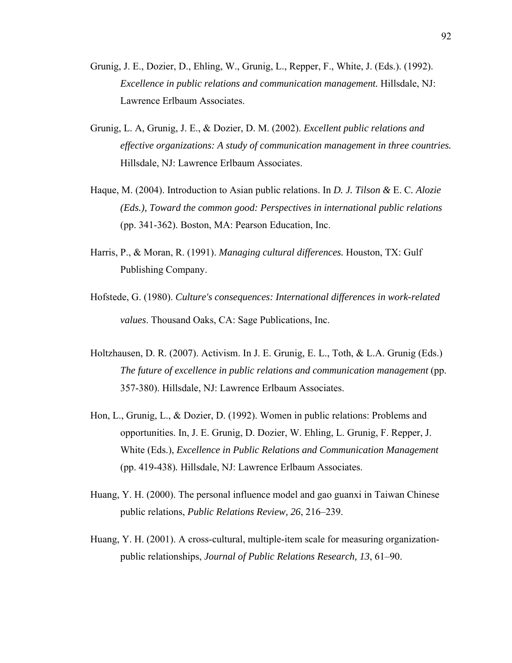- Grunig, J. E., Dozier, D., Ehling, W., Grunig, L., Repper, F., White, J. (Eds.). (1992). *Excellence in public relations and communication management.* Hillsdale, NJ: Lawrence Erlbaum Associates.
- Grunig, L. A, Grunig, J. E., & Dozier, D. M. (2002). *Excellent public relations and effective organizations: A study of communication management in three countries.* Hillsdale, NJ: Lawrence Erlbaum Associates.
- Haque, M. (2004). Introduction to Asian public relations. In *D. J. Tilson &* E. C*. Alozie (Eds.), Toward the common good: Perspectives in international public relations*  (pp. 341-362). Boston, MA: Pearson Education, Inc.
- Harris, P., & Moran, R. (1991). *Managing cultural differences.* Houston, TX: Gulf Publishing Company.
- Hofstede, G. (1980). *[Culture's consequences: International differences in work-related](http://www.amazon.com/exec/obidos/ASIN/0803913060/help4u-20)  [values](http://www.amazon.com/exec/obidos/ASIN/0803913060/help4u-20)*. Thousand Oaks, CA: Sage Publications, Inc.
- Holtzhausen, D. R. (2007). Activism. In J. E. Grunig, E. L., Toth, & L.A. Grunig (Eds.) *The future of excellence in public relations and communication management* (pp. 357-380). Hillsdale, NJ: Lawrence Erlbaum Associates.
- Hon, L., Grunig, L., & Dozier, D. (1992). Women in public relations: Problems and opportunities. In, J. E. Grunig, D. Dozier, W. Ehling, L. Grunig, F. Repper, J. White (Eds.), *Excellence in Public Relations and Communication Management* (pp. 419-438)*.* Hillsdale, NJ: Lawrence Erlbaum Associates.
- Huang, Y. H. (2000). The personal influence model and gao guanxi in Taiwan Chinese public relations, *Public Relations Review, 26*, 216–239.
- Huang, Y. H. (2001). A cross-cultural, multiple-item scale for measuring organizationpublic relationships, *Journal of Public Relations Research, 13*, 61–90.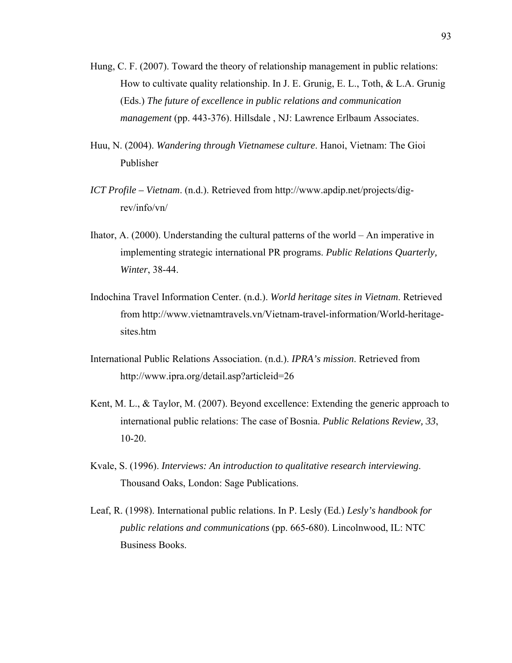- Hung, C. F. (2007). Toward the theory of relationship management in public relations: How to cultivate quality relationship. In J. E. Grunig, E. L., Toth, & L.A. Grunig (Eds.) *The future of excellence in public relations and communication management* (pp. 443-376). Hillsdale , NJ: Lawrence Erlbaum Associates.
- Huu, N. (2004). *Wandering through Vietnamese culture*. Hanoi, Vietnam: The Gioi Publisher
- *ICT Profile Vietnam*. (n.d.). Retrieved from http://www.apdip.net/projects/digrev/info/vn/
- Ihator, A. (2000). Understanding the cultural patterns of the world An imperative in implementing strategic international PR programs. *Public Relations Quarterly, Winter*, 38-44.
- Indochina Travel Information Center. (n.d.). *World heritage sites in Vietnam*. Retrieved from http://www.vietnamtravels.vn/Vietnam-travel-information/World-heritagesites.htm
- International Public Relations Association. (n.d.). *IPRA's mission*. Retrieved from http://www.ipra.org/detail.asp?articleid=26
- Kent, M. L., & Taylor, M. (2007). Beyond excellence: Extending the generic approach to international public relations: The case of Bosnia. *Public Relations Review, 33*, 10-20.
- Kvale, S. (1996). *Interviews: An introduction to qualitative research interviewing*. Thousand Oaks, London: Sage Publications.
- Leaf, R. (1998). International public relations. In P. Lesly (Ed.) *Lesly's handbook for public relations and communications* (pp. 665-680). Lincolnwood, IL: NTC Business Books.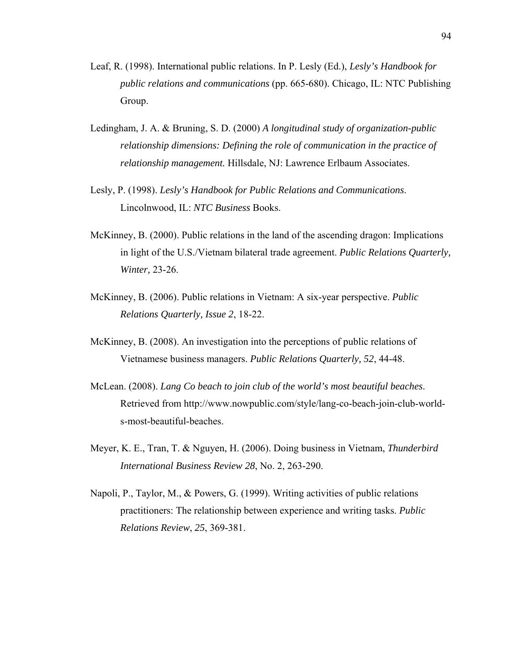- Leaf, R. (1998). International public relations. In P. Lesly (Ed.), *Lesly's Handbook for public relations and communications* (pp. 665-680). Chicago, IL: NTC Publishing Group.
- Ledingham, J. A. & Bruning, S. D. (2000) *A longitudinal study of organization-public relationship dimensions: Defining the role of communication in the practice of relationship management.* Hillsdale, NJ: Lawrence Erlbaum Associates.
- Lesly, P. (1998). *Lesly's Handbook for Public Relations and Communications*. Lincolnwood, IL: *NTC Business* Books.
- McKinney, B. (2000). Public relations in the land of the ascending dragon: Implications in light of the U.S./Vietnam bilateral trade agreement. *Public Relations Quarterly, Winter,* 23-26.
- McKinney, B. (2006). Public relations in Vietnam: A six-year perspective. *Public Relations Quarterly, Issue 2*, 18-22.
- McKinney, B. (2008). An investigation into the perceptions of public relations of Vietnamese business managers. *Public Relations Quarterly, 52*, 44-48.
- McLean. (2008). *Lang Co beach to join club of the world's most beautiful beaches*. Retrieved from http://www.nowpublic.com/style/lang-co-beach-join-club-worlds-most-beautiful-beaches.
- Meyer, K. E., Tran, T. & Nguyen, H. (2006). Doing business in Vietnam, *Thunderbird International Business Review 28*, No. 2, 263-290.
- Napoli, P., Taylor, M., & Powers, G. (1999). Writing activities of public relations practitioners: The relationship between experience and writing tasks. *Public Relations Review*, *25*, 369-381.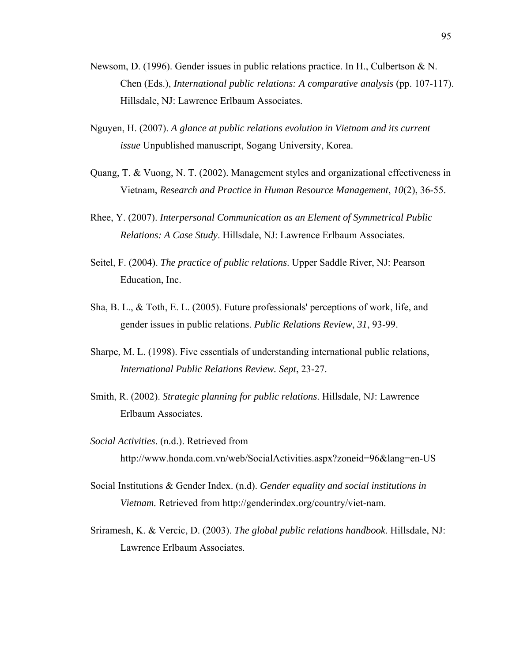- Newsom, D. (1996). Gender issues in public relations practice. In H., Culbertson & N. Chen (Eds.), *International public relations: A comparative analysis* (pp. 107-117). Hillsdale, NJ: Lawrence Erlbaum Associates.
- Nguyen, H. (2007). *A glance at public relations evolution in Vietnam and its current issue* Unpublished manuscript, Sogang University, Korea.
- Quang, T. & Vuong, N. T. (2002). Management styles and organizational effectiveness in Vietnam, *Research and Practice in Human Resource Management*, *10*(2), 36-55.
- Rhee, Y. (2007). *Interpersonal Communication as an Element of Symmetrical Public Relations: A Case Study*. Hillsdale, NJ: Lawrence Erlbaum Associates.
- Seitel, F. (2004). *The practice of public relations*. Upper Saddle River, NJ: Pearson Education, Inc.
- Sha, B. L., & Toth, E. L. (2005). Future professionals' perceptions of work, life, and gender issues in public relations. *Public Relations Review*, *31*, 93-99.
- Sharpe, M. L. (1998). Five essentials of understanding international public relations, *International Public Relations Review. Sept*, 23-27.
- Smith, R. (2002). *Strategic planning for public relations*. Hillsdale, NJ: Lawrence Erlbaum Associates.
- *Social Activities*. (n.d.). Retrieved from http://www.honda.com.vn/web/SocialActivities.aspx?zoneid=96&lang=en-US
- Social Institutions & Gender Index. (n.d). *Gender equality and social institutions in Vietnam.* Retrieved from http://genderindex.org/country/viet-nam.
- [Sriramesh, K. & Vercic, D. \(2003](http://www.sciencedirect.com/science?_ob=ArticleURL&_udi=B6W5W-4J2M48P-1&_user=5172862&_coverDate=03%2F31%2F2006&_rdoc=1&_fmt=high&_orig=search&_sort=d&_docanchor=&view=c&_searchStrId=1379414034&_rerunOrigin=google&_acct=C000066447&_version=1&_urlVersion=0&_userid=5172862&md5=aa1e56f1d48d54a0a318fe7ad88f6851#bbib19)). *The global public relations handbook*. Hillsdale, NJ: Lawrence Erlbaum Associates.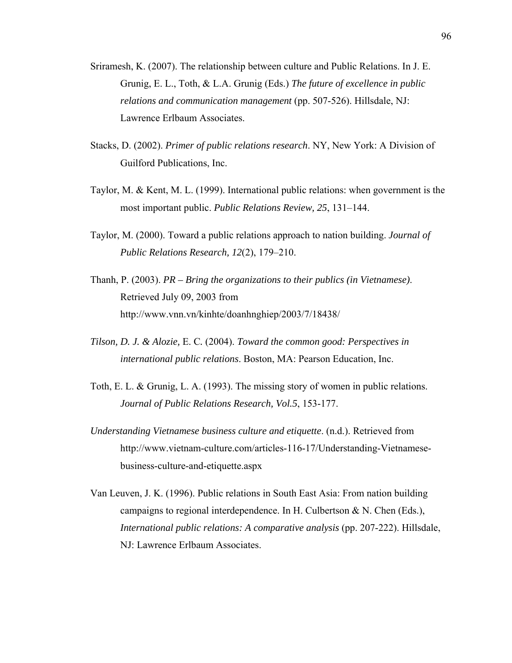- Sriramesh, K. (2007). The relationship between culture and Public Relations. In J. E. Grunig, E. L., Toth, & L.A. Grunig (Eds.) *The future of excellence in public relations and communication management* (pp. 507-526). Hillsdale, NJ: Lawrence Erlbaum Associates.
- Stacks, D. (2002). *Primer of public relations research*. NY, New York: A Division of Guilford Publications, Inc.
- Taylor, M. & Kent, M. L. (1999). International public relations: when government is the most important public. *Public Relations Review, 25*, 131–144.
- Taylor, M. (2000). Toward a public relations approach to nation building. *Journal of Public Relations Research, 12*(2), 179–210.
- Thanh, P. (2003). *PR Bring the organizations to their publics (in Vietnamese)*. Retrieved July 09, 2003 from http://www.vnn.vn/kinhte/doanhnghiep/2003/7/18438/
- *Tilson, D. J. & Alozie,* E. C*.* (2004). *Toward the common good: Perspectives in international public relations*. Boston, MA: Pearson Education, Inc.
- Toth, E. L. & Grunig, L. A. (1993). The missing story of women in public relations. *Journal of Public Relations Research, Vol.5*, 153-177.
- *Understanding Vietnamese business culture and etiquette*. (n.d.). Retrieved from http://www.vietnam-culture.com/articles-116-17/Understanding-Vietnamesebusiness-culture-and-etiquette.aspx
- Van Leuven, J. K. (1996). Public relations in South East Asia: From nation building campaigns to regional interdependence. In H. Culbertson & N. Chen (Eds.), *International public relations: A comparative analysis* (pp. 207-222). Hillsdale, NJ: Lawrence Erlbaum Associates.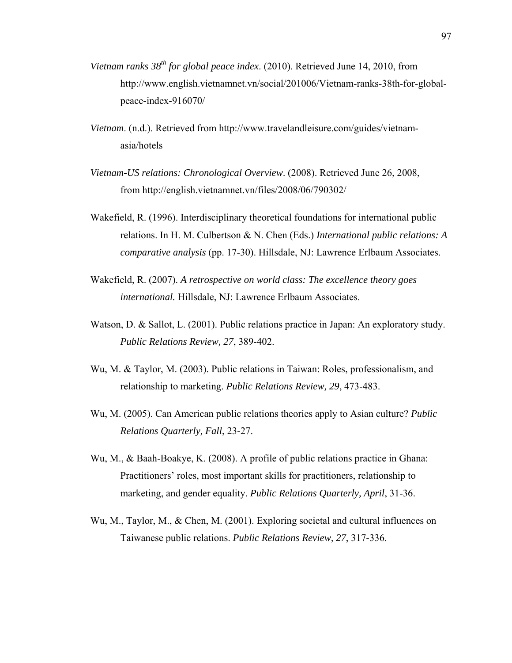- *Vietnam ranks 38th for global peace index*. (2010). Retrieved June 14, 2010, from http://www.english.vietnamnet.vn/social/201006/Vietnam-ranks-38th-for-globalpeace-index-916070/
- *Vietnam*. (n.d.). Retrieved from [http://www.travelandleisure.com/guides/vietnam](http://www.travelandleisure.com/guides/vietnam-asia/hotels)[asia/hotels](http://www.travelandleisure.com/guides/vietnam-asia/hotels)
- *Vietnam-US relations: Chronological Overview*. (2008). Retrieved June 26, 2008, from<http://english.vietnamnet.vn/files/2008/06/790302/>
- Wakefield, R. (1996). Interdisciplinary theoretical foundations for international public relations. In H. M. Culbertson & N. Chen (Eds.) *International public relations: A comparative analysis* (pp. 17-30). Hillsdale, NJ: Lawrence Erlbaum Associates.
- Wakefield, R. (2007). *A retrospective on world class: The excellence theory goes international.* Hillsdale, NJ: Lawrence Erlbaum Associates.
- Watson, D. & Sallot, L. (2001). Public relations practice in Japan: An exploratory study. *Public Relations Review, 27*, 389-402.
- Wu, M. & Taylor, M. (2003). Public relations in Taiwan: Roles, professionalism, and relationship to marketing. *Public Relations Review, 29*, 473-483.
- Wu, M. (2005). Can American public relations theories apply to Asian culture? *Public Relations Quarterly, Fall*, 23-27.
- Wu, M., & Baah-Boakye, K. (2008). A profile of public relations practice in Ghana: Practitioners' roles, most important skills for practitioners, relationship to marketing, and gender equality. *Public Relations Quarterly, April*, 31-36.
- Wu, M., Taylor, M., & Chen, M. (2001). Exploring societal and cultural influences on Taiwanese public relations. *Public Relations Review, 27*, 317-336.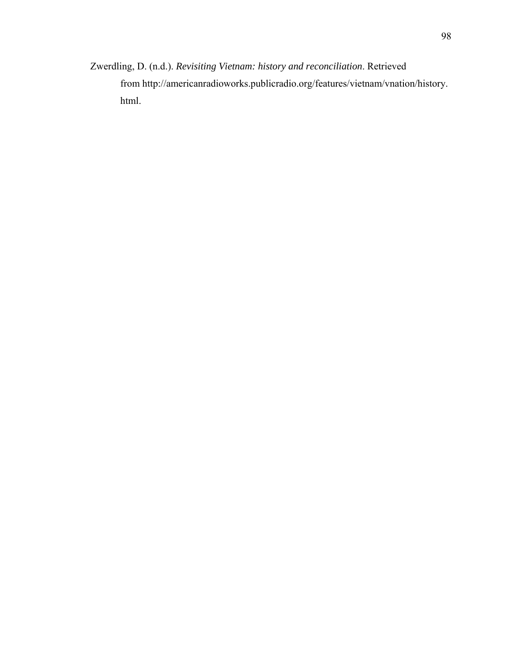Zwerdling, D. (n.d.). *Revisiting Vietnam: history and reconciliation*. Retrieved from [http://americanradioworks.publicradio.org/features/vietnam/vnation/history.](http://americanradioworks.publicradio.org/features/vietnam/vnation/history.html) [html.](http://americanradioworks.publicradio.org/features/vietnam/vnation/history.html)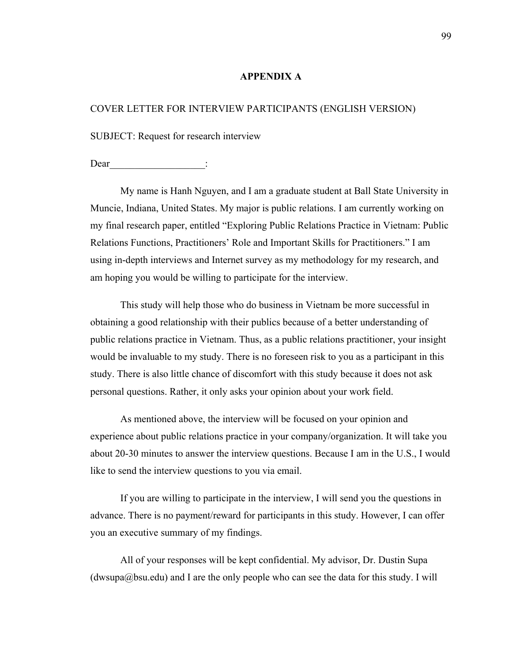## **APPENDIX A**

# COVER LETTER FOR INTERVIEW PARTICIPANTS (ENGLISH VERSION)

SUBJECT: Request for research interview

Dear

My name is Hanh Nguyen, and I am a graduate student at Ball State University in Muncie, Indiana, United States. My major is public relations. I am currently working on my final research paper, entitled "Exploring Public Relations Practice in Vietnam: Public Relations Functions, Practitioners' Role and Important Skills for Practitioners." I am using in-depth interviews and Internet survey as my methodology for my research, and am hoping you would be willing to participate for the interview.

This study will help those who do business in Vietnam be more successful in obtaining a good relationship with their publics because of a better understanding of public relations practice in Vietnam. Thus, as a public relations practitioner, your insight would be invaluable to my study. There is no foreseen risk to you as a participant in this study. There is also little chance of discomfort with this study because it does not ask personal questions. Rather, it only asks your opinion about your work field.

As mentioned above, the interview will be focused on your opinion and experience about public relations practice in your company/organization. It will take you about 20-30 minutes to answer the interview questions. Because I am in the U.S., I would like to send the interview questions to you via email.

If you are willing to participate in the interview, I will send you the questions in advance. There is no payment/reward for participants in this study. However, I can offer you an executive summary of my findings.

All of your responses will be kept confidential. My advisor, Dr. Dustin Supa  $(dwsupa@bsu.edu)$  and I are the only people who can see the data for this study. I will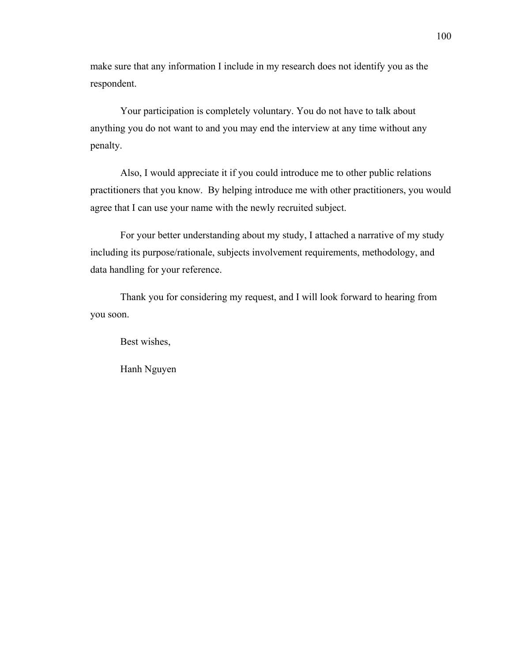make sure that any information I include in my research does not identify you as the respondent.

Your participation is completely voluntary. You do not have to talk about anything you do not want to and you may end the interview at any time without any penalty.

Also, I would appreciate it if you could introduce me to other public relations practitioners that you know. By helping introduce me with other practitioners, you would agree that I can use your name with the newly recruited subject.

For your better understanding about my study, I attached a narrative of my study including its purpose/rationale, subjects involvement requirements, methodology, and data handling for your reference.

Thank you for considering my request, and I will look forward to hearing from you soon.

Best wishes,

Hanh Nguyen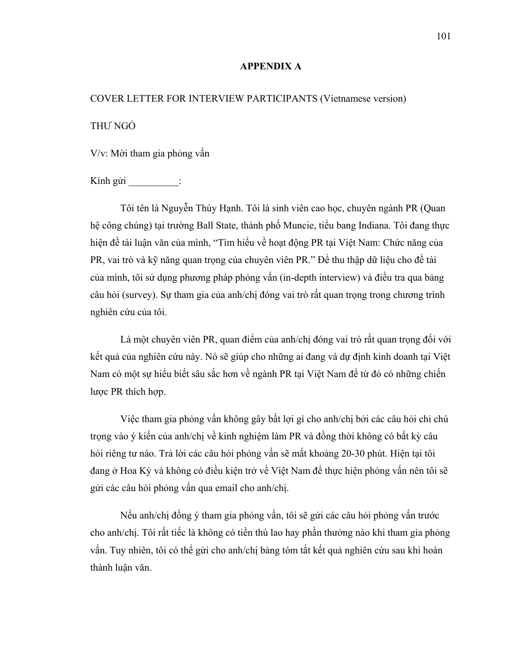# **APPENDIX A**

# COVER LETTER FOR INTERVIEW PARTICIPANTS (Vietnamese version) THƯ NGỎ

V/v: Mời tham gia phỏng vấn

Kính gửi :

Tôi tên là Nguyễn Thúy Hạnh. Tôi là sinh viên cao học, chuyên ngành PR (Quan hệ công chúng) tại trường Ball State, thành phố Muncie, tiểu bang Indiana. Tôi đang thực hiện đề tài luận văn của mình, "Tìm hiểu về hoạt động PR tại Việt Nam: Chức năng của PR, vai trò và kỹ năng quan trọng của chuyên viên PR." Để thu thập dữ liệu cho đề tài của mình, tôi sử dụng phương pháp phỏng vấn (in-depth interview) và điều tra qua bảng câu hỏi (survey). Sự tham gia của anh/chị đóng vai trò rất quan trọng trong chương trình nghiên cứu của tôi.

Là một chuyên viên PR, quan điểm của anh/chi đóng vai trò rất quan trong đối với kết quả của nghiên cứu này. Nó sẽ giúp cho những ai đang và dự định kinh doanh tại Việt Nam có một sự hiểu biết sâu sắc hơn về ngành PR tại Việt Nam để từ đó có những chiến lược PR thích hợp.

Việc tham gia phỏng vấn không gây bất lợi gì cho anh/chị bởi các câu hỏi chỉ chú trọng vào ý kiến của anh/chị về kinh nghiệm làm PR và đồng thời không có bất kỳ câu hỏi riêng tư nào. Trả lời các câu hỏi phỏng vấn sẽ mất khoảng 20-30 phút. Hiện tại tôi đang ở Hoa Kỳ và không có điều kiện trở về Việt Nam để thực hiện phỏng vấn nên tôi sẽ gửi các câu hỏi phỏng vấn qua email cho anh/chị.

Nếu anh/chị đồng ý tham gia phỏng vấn, tôi sẽ gửi các câu hỏi phỏng vấn trước cho anh/chị. Tôi rất tiếc là không có tiền thù lao hay phần thưởng nào khi tham gia phỏng vấn. Tuy nhiên, tôi có thể gửi cho anh/chị bảng tóm tắt kết quả nghiên cứu sau khi hoàn thành luận văn.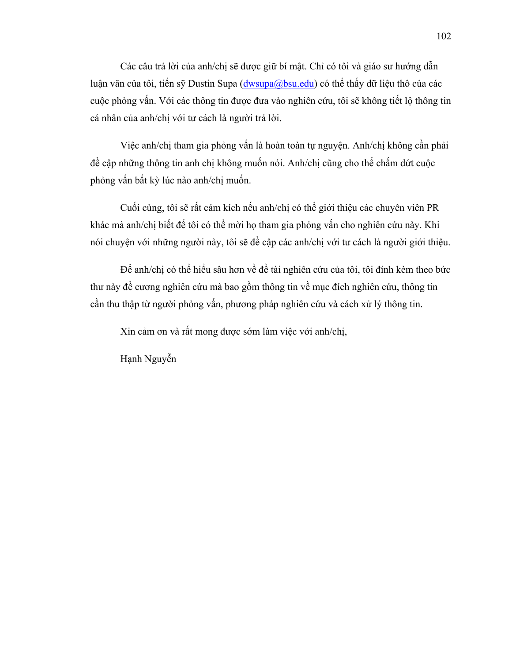Các câu trả lời của anh/chị sẽ được giữ bí mật. Chỉ có tôi và giáo sư hướng dẫn luận văn của tôi, tiến sỹ Dustin Supa ([dwsupa@bsu.edu\)](mailto:dwsupa@bsu.edu) có thể thấy dữ liệu thô của các cuộc phỏng vấn. Với các thông tin được đưa vào nghiên cứu, tôi sẽ không tiết lộ thông tin cá nhân của anh/chị với tư cách là người trả lời.

Việc anh/chị tham gia phỏng vấn là hoàn toàn tự nguyện. Anh/chị không cần phải đề cập những thông tin anh chị không muốn nói. Anh/chị cũng cho thể chấm dứt cuộc phỏng vấn bất kỳ lúc nào anh/chị muốn.

Cuối cùng, tôi sẽ rất cảm kích nếu anh/chị có thể giới thiệu các chuyên viên PR khác mà anh/chị biết để tôi có thể mời họ tham gia phỏng vấn cho nghiên cứu này. Khi nói chuyện với những người này, tôi sẽ đề cập các anh/chị với tư cách là người giới thiệu.

Để anh/chị có thể hiểu sâu hơn về đề tài nghiên cứu của tôi, tôi đính kèm theo bức thư này đề cương nghiên cứu mà bao gồm thông tin về mục đích nghiên cứu, thông tin cần thu thập từ người phỏng vấn, phương pháp nghiên cứu và cách xử lý thông tin.

Xin cảm ơn và rất mong được sớm làm việc với anh/chị,

Hạnh Nguyễn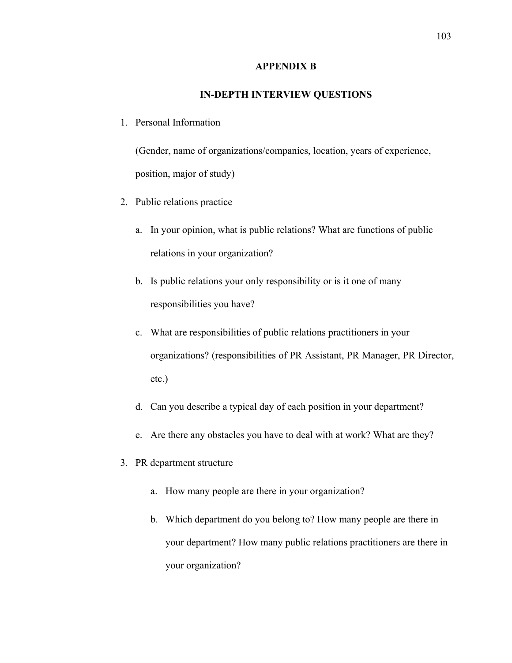## **APPENDIX B**

# **IN-DEPTH INTERVIEW QUESTIONS**

1. Personal Information

(Gender, name of organizations/companies, location, years of experience, position, major of study)

- 2. Public relations practice
	- a. In your opinion, what is public relations? What are functions of public relations in your organization?
	- b. Is public relations your only responsibility or is it one of many responsibilities you have?
	- c. What are responsibilities of public relations practitioners in your organizations? (responsibilities of PR Assistant, PR Manager, PR Director, etc.)
	- d. Can you describe a typical day of each position in your department?
	- e. Are there any obstacles you have to deal with at work? What are they?
- 3. PR department structure
	- a. How many people are there in your organization?
	- b. Which department do you belong to? How many people are there in your department? How many public relations practitioners are there in your organization?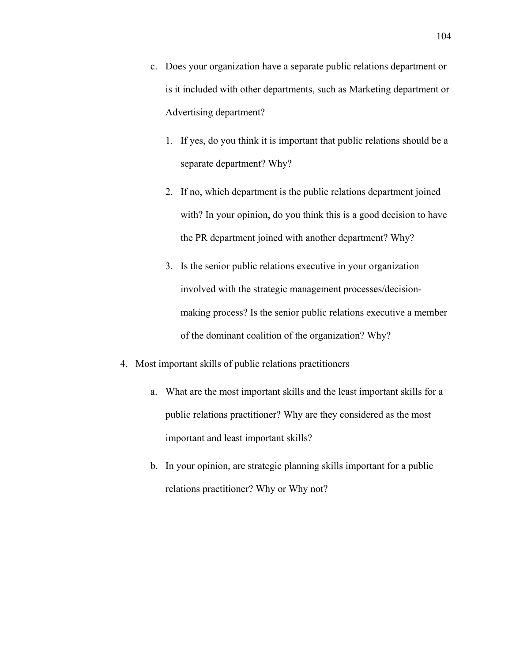- c. Does your organization have a separate public relations department or is it included with other departments, such as Marketing department or Advertising department?
	- 1. If yes, do you think it is important that public relations should be a separate department? Why?
	- 2. If no, which department is the public relations department joined with? In your opinion, do you think this is a good decision to have the PR department joined with another department? Why?
	- 3. Is the senior public relations executive in your organization involved with the strategic management processes/decisionmaking process? Is the senior public relations executive a member of the dominant coalition of the organization? Why?
- 4. Most important skills of public relations practitioners
	- a. What are the most important skills and the least important skills for a public relations practitioner? Why are they considered as the most important and least important skills?
	- b. In your opinion, are strategic planning skills important for a public relations practitioner? Why or Why not?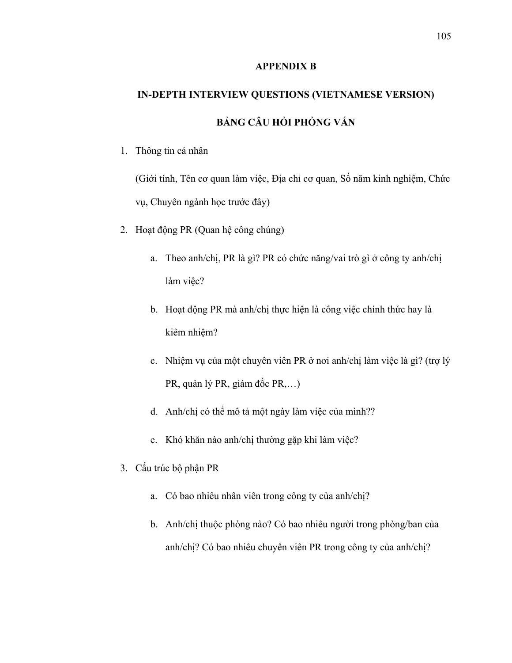### **APPENDIX B**

# **IN-DEPTH INTERVIEW QUESTIONS (VIETNAMESE VERSION) BẢNG CÂU HỎI PHỎNG VẤN**

1. Thông tin cá nhân

(Giới tính, Tên cơ quan làm việc, Địa chỉ cơ quan, Số năm kinh nghiệm, Chức vụ, Chuyên ngành học trước đây)

- 2. Hoạt động PR (Quan hệ công chúng)
	- a. Theo anh/chị, PR là gì? PR có chức năng/vai trò gì ở công ty anh/chị làm việc?
	- b. Hoạt động PR mà anh/chị thực hiện là công việc chính thức hay là kiêm nhiệm?
	- c. Nhiệm vụ của một chuyên viên PR ở nơi anh/chị làm việc là gì? (trợ lý PR, quản lý PR, giám đốc PR,…)
	- d. Anh/chị có thể mô tả một ngày làm việc của mình??
	- e. Khó khăn nào anh/chị thường gặp khi làm việc?
- 3. Cấu trúc bộ phận PR
	- a. Có bao nhiêu nhân viên trong công ty của anh/chị?
	- b. Anh/chị thuộc phòng nào? Có bao nhiêu người trong phòng/ban của anh/chị? Có bao nhiêu chuyên viên PR trong công ty của anh/chị?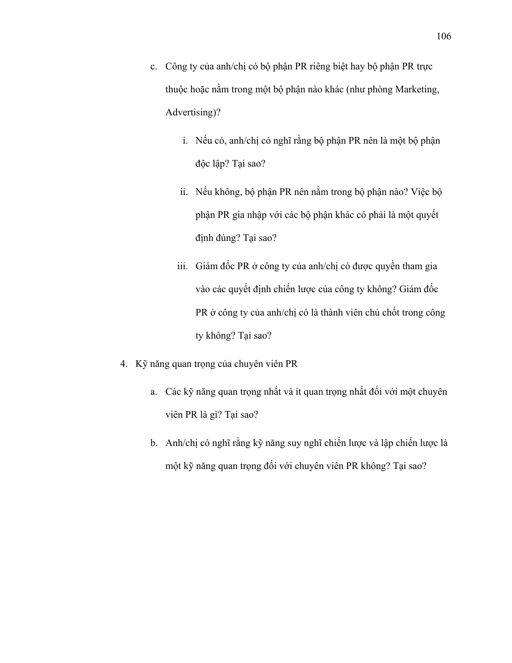- c. Công ty của anh/chị có bộ phận PR riêng biệt hay bộ phận PR trực thuộc hoặc nằm trong một bộ phận nào khác (như phòng Marketing, Advertising)?
	- i. Nếu có, anh/chị có nghĩ rằng bộ phận PR nên là một bộ phận độc lập? Tại sao?
	- ii. Nếu không, bộ phận PR nên nằm trong bộ phận nào? Việc bộ phận PR gia nhập với các bộ phận khác có phải là một quyết định đúng? Tại sao?
	- iii. Giám đốc PR ở công ty của anh/chị có được quyền tham gia vào các quyết định chiến lược của công ty không? Giám đốc PR ở công ty của anh/chị có là thành viên chủ chốt trong công ty không? Tại sao?
- 4. Kỹ năng quan trọng của chuyên viên PR
	- a. Các kỹ năng quan trong nhất và ít quan trong nhất đối với một chuyên viên PR là gì? Tại sao?
	- b. Anh/chị có nghĩ rằng kỹ năng suy nghĩ chiến lược và lập chiến lược là một kỹ năng quan trọng đối với chuyên viên PR không? Tại sao?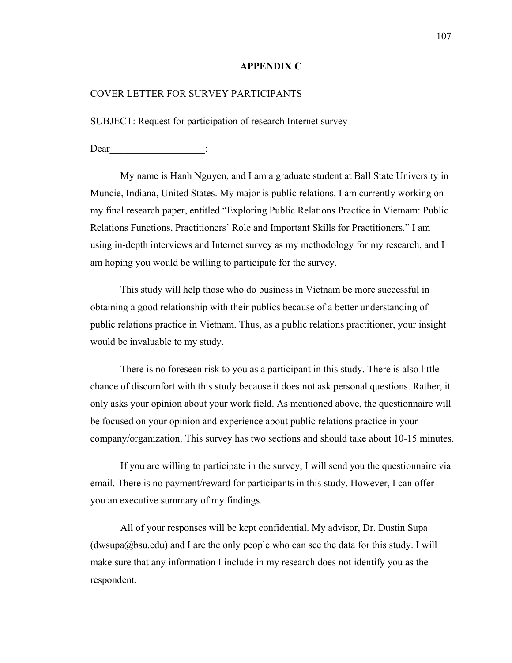#### **APPENDIX C**

### COVER LETTER FOR SURVEY PARTICIPANTS

SUBJECT: Request for participation of research Internet survey

Dear :

My name is Hanh Nguyen, and I am a graduate student at Ball State University in Muncie, Indiana, United States. My major is public relations. I am currently working on my final research paper, entitled "Exploring Public Relations Practice in Vietnam: Public Relations Functions, Practitioners' Role and Important Skills for Practitioners." I am using in-depth interviews and Internet survey as my methodology for my research, and I am hoping you would be willing to participate for the survey.

This study will help those who do business in Vietnam be more successful in obtaining a good relationship with their publics because of a better understanding of public relations practice in Vietnam. Thus, as a public relations practitioner, your insight would be invaluable to my study.

There is no foreseen risk to you as a participant in this study. There is also little chance of discomfort with this study because it does not ask personal questions. Rather, it only asks your opinion about your work field. As mentioned above, the questionnaire will be focused on your opinion and experience about public relations practice in your company/organization. This survey has two sections and should take about 10-15 minutes.

If you are willing to participate in the survey, I will send you the questionnaire via email. There is no payment/reward for participants in this study. However, I can offer you an executive summary of my findings.

All of your responses will be kept confidential. My advisor, Dr. Dustin Supa  $(dwsupa@bsu.edu)$  and I are the only people who can see the data for this study. I will make sure that any information I include in my research does not identify you as the respondent.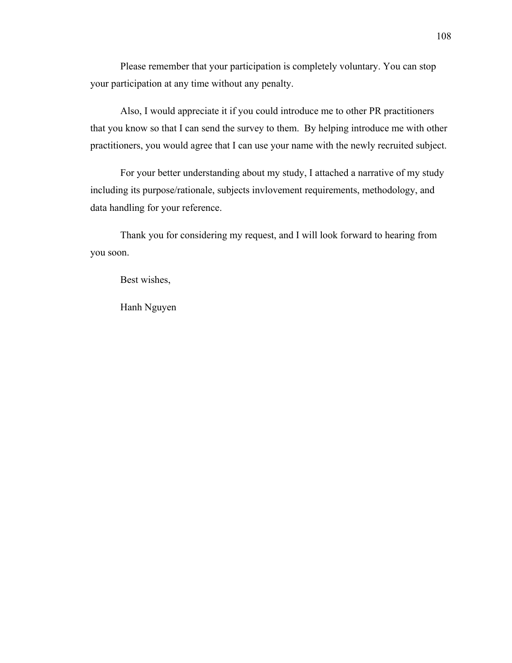Please remember that your participation is completely voluntary. You can stop your participation at any time without any penalty.

Also, I would appreciate it if you could introduce me to other PR practitioners that you know so that I can send the survey to them. By helping introduce me with other practitioners, you would agree that I can use your name with the newly recruited subject.

For your better understanding about my study, I attached a narrative of my study including its purpose/rationale, subjects invlovement requirements, methodology, and data handling for your reference.

Thank you for considering my request, and I will look forward to hearing from you soon.

Best wishes,

Hanh Nguyen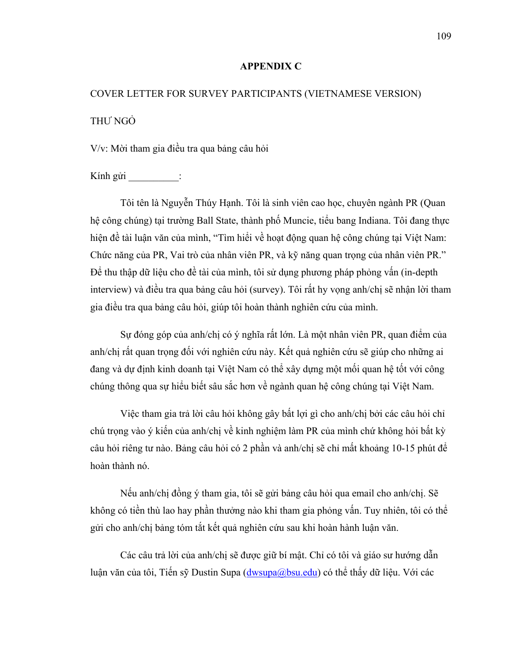### **APPENDIX C**

# COVER LETTER FOR SURVEY PARTICIPANTS (VIETNAMESE VERSION) THƯ NGỎ

V/v: Mời tham gia điều tra qua bảng câu hỏi

Kính gửi :

Tôi tên là Nguyễn Thúy Hạnh. Tôi là sinh viên cao học, chuyên ngành PR (Quan hệ công chúng) tại trường Ball State, thành phố Muncie, tiểu bang Indiana. Tôi đang thực hiện đề tài luận văn của mình, "Tìm hiểi về hoạt động quan hệ công chúng tại Việt Nam: Chức năng của PR, Vai trò của nhân viên PR, và kỹ năng quan trọng của nhân viên PR." Để thu thập dữ liệu cho đề tài của mình, tôi sử dụng phương pháp phỏng vấn (in-depth interview) và điều tra qua bảng câu hỏi (survey). Tôi rất hy vọng anh/chị sẽ nhận lời tham gia điều tra qua bảng câu hỏi, giúp tôi hoàn thành nghiên cứu của mình.

Sự đóng góp của anh/chị có ý nghĩa rất lớn. Là một nhân viên PR, quan điểm của anh/chị rất quan trọng đối với nghiên cứu này. Kết quả nghiên cứu sẽ giúp cho những ai đang và dự định kinh doanh tại Việt Nam có thể xây dựng một mối quan hệ tốt với công chúng thông qua sự hiểu biết sâu sắc hơn về ngành quan hệ công chúng tại Việt Nam.

Việc tham gia trả lời câu hỏi không gây bất lợi gì cho anh/chị bởi các câu hỏi chỉ chú trọng vào ý kiến của anh/chị về kinh nghiệm làm PR của mình chứ không hỏi bất kỳ câu hỏi riêng tư nào. Bảng câu hỏi có 2 phần và anh/chị sẽ chỉ mất khoảng 10-15 phút để hoàn thành nó.

Nếu anh/chị đồng ý tham gia, tôi sẽ gửi bảng câu hỏi qua email cho anh/chị. Sẽ không có tiền thù lao hay phần thưởng nào khi tham gia phỏng vấn. Tuy nhiên, tôi có thể gửi cho anh/chị bảng tóm tắt kết quả nghiên cứu sau khi hoàn hành luận văn.

Các câu trả lời của anh/chị sẽ được giữ bí mật. Chỉ có tôi và giáo sư hướng dẫn luận văn của tôi, Tiến sỹ Dustin Supa ( $d_{\text{WSupa}}(a_{\text{obsu.edu}})$  có thể thấy dữ liệu. Với các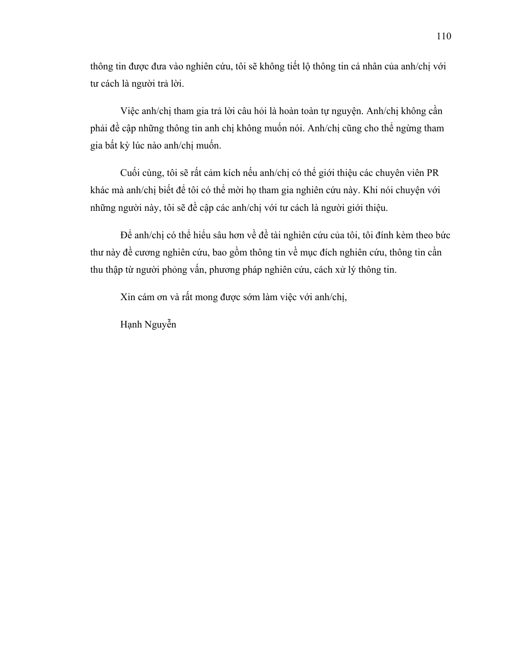thông tin được đưa vào nghiên cứu, tôi sẽ không tiết lộ thông tin cá nhân của anh/chị với tư cách là người trả lời.

Việc anh/chị tham gia trả lời câu hỏi là hoàn toàn tự nguyện. Anh/chị không cần phải đề cập những thông tin anh chị không muốn nói. Anh/chị cũng cho thể ngừng tham gia bất kỳ lúc nào anh/chị muốn.

Cuối cùng, tôi sẽ rất cảm kích nếu anh/chị có thể giới thiệu các chuyên viên PR khác mà anh/chị biết để tôi có thể mời họ tham gia nghiên cứu này. Khi nói chuyện với những người này, tôi sẽ đề cập các anh/chị với tư cách là người giới thiệu.

Để anh/chị có thể hiểu sâu hơn về đề tài nghiên cứu của tôi, tôi đính kèm theo bức thư này đề cương nghiên cứu, bao gồm thông tin về mục đích nghiên cứu, thông tin cần thu thập từ người phỏng vấn, phương pháp nghiên cứu, cách xử lý thông tin.

Xin cám ơn và rất mong được sớm làm việc với anh/chị,

Hạnh Nguyễn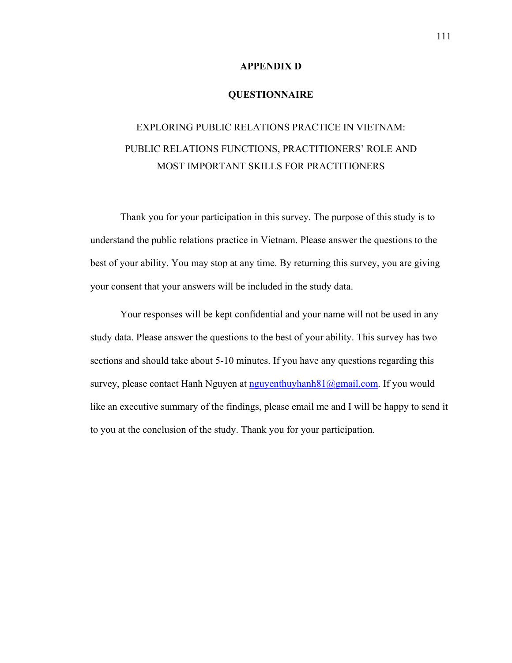### **APPENDIX D**

### **QUESTIONNAIRE**

# EXPLORING PUBLIC RELATIONS PRACTICE IN VIETNAM: PUBLIC RELATIONS FUNCTIONS, PRACTITIONERS' ROLE AND MOST IMPORTANT SKILLS FOR PRACTITIONERS

Thank you for your participation in this survey. The purpose of this study is to understand the public relations practice in Vietnam. Please answer the questions to the best of your ability. You may stop at any time. By returning this survey, you are giving your consent that your answers will be included in the study data.

Your responses will be kept confidential and your name will not be used in any study data. Please answer the questions to the best of your ability. This survey has two sections and should take about 5-10 minutes. If you have any questions regarding this survey, please contact Hanh Nguyen at [nguyenthuyhanh81@gmail.com](mailto:nguyenthuyhanh81@gmail.com). If you would like an executive summary of the findings, please email me and I will be happy to send it to you at the conclusion of the study. Thank you for your participation.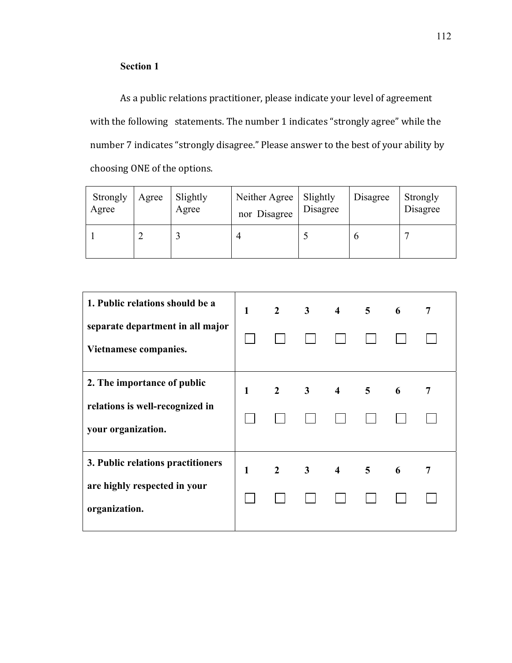### **Section 1**

As a public relations practitioner, please indicate your level of agreement with the following statements. The number 1 indicates "strongly agree" while the number 7 indicates "strongly disagree." Please answer to the best of your ability by choosing ONE of the options.

| Strongly<br>Agree | Agree | Slightly<br>Agree | Neither Agree   Slightly<br>nor Disagree | Disagree | Disagree | Strongly<br>Disagree |
|-------------------|-------|-------------------|------------------------------------------|----------|----------|----------------------|
|                   |       |                   |                                          |          |          |                      |

| 1. Public relations should be a<br>separate department in all major | $\mathbf{1}$ |  | $2 \quad 3 \quad 4 \quad 5$         | 6 | 7 |
|---------------------------------------------------------------------|--------------|--|-------------------------------------|---|---|
| Vietnamese companies.                                               |              |  |                                     |   |   |
| 2. The importance of public                                         | $\mathbf{1}$ |  | $2 \quad 3 \quad 4 \quad 5 \quad 6$ |   | 7 |
| relations is well-recognized in<br>your organization.               |              |  |                                     |   |   |
| 3. Public relations practitioners                                   | $\mathbf{1}$ |  | $2 \quad 3 \quad 4 \quad 5 \quad 6$ |   | 7 |
| are highly respected in your<br>organization.                       |              |  |                                     |   |   |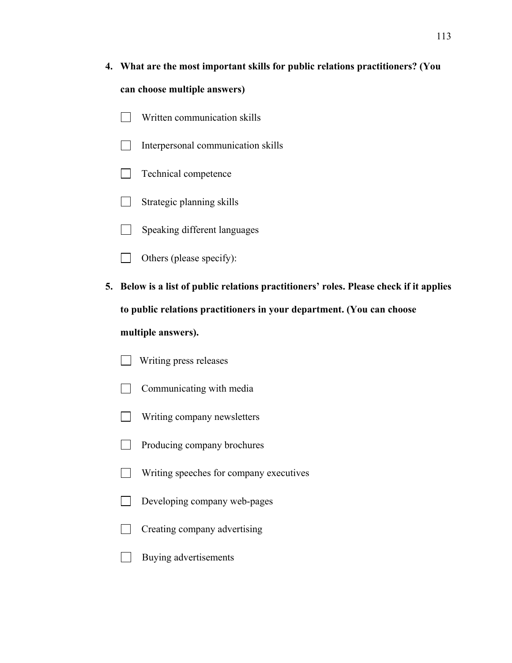# **4. What are the most important skills for public relations practitioners? (You can choose multiple answers)**

- Written communication skills  $\perp$
- $\Box$ Interpersonal communication skills
- $\Box$ Technical competence
- $\Box$ Strategic planning skills
- $\Box$  Speaking different languages
- Others (please specify):  $\Box$
- **5. Below is a list of public relations practitioners' roles. Please check if it applies to public relations practitioners in your department. (You can choose multiple answers).** 
	- Writing press releases
	- Communicating with media  $\Box$
	- Writing company newsletters  $\Box$
	- $\Box$ Producing company brochures
	- $\Box$ Writing speeches for company executives
	- $\sim 10$ Developing company web-pages
	- $\Box$ Creating company advertising
	- $\Box$  Buying advertisements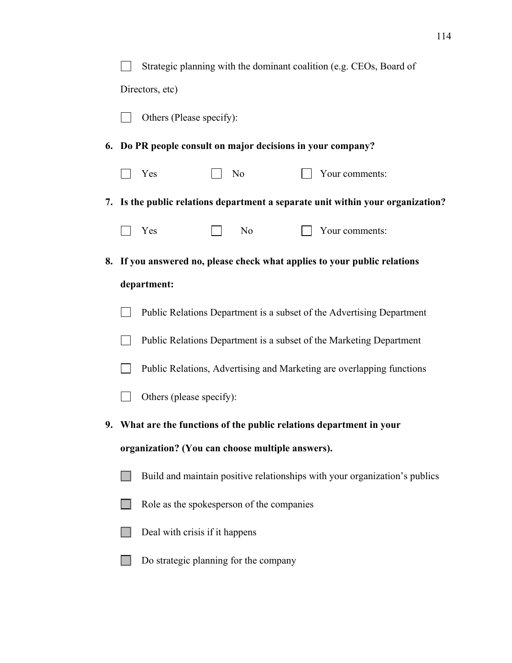|  | Strategic planning with the dominant coalition (e.g. CEOs, Board of             |  |                |  |                                                                           |  |  |  |
|--|---------------------------------------------------------------------------------|--|----------------|--|---------------------------------------------------------------------------|--|--|--|
|  | Directors, etc)                                                                 |  |                |  |                                                                           |  |  |  |
|  | Others (Please specify):                                                        |  |                |  |                                                                           |  |  |  |
|  | 6. Do PR people consult on major decisions in your company?                     |  |                |  |                                                                           |  |  |  |
|  | Yes                                                                             |  | N <sub>0</sub> |  | Your comments:                                                            |  |  |  |
|  | 7. Is the public relations department a separate unit within your organization? |  |                |  |                                                                           |  |  |  |
|  | Yes                                                                             |  | No             |  | Your comments:                                                            |  |  |  |
|  |                                                                                 |  |                |  | 8. If you answered no, please check what applies to your public relations |  |  |  |
|  | department:                                                                     |  |                |  |                                                                           |  |  |  |
|  | Public Relations Department is a subset of the Advertising Department           |  |                |  |                                                                           |  |  |  |
|  | Public Relations Department is a subset of the Marketing Department             |  |                |  |                                                                           |  |  |  |
|  | Public Relations, Advertising and Marketing are overlapping functions           |  |                |  |                                                                           |  |  |  |
|  | Others (please specify):                                                        |  |                |  |                                                                           |  |  |  |
|  | 9. What are the functions of the public relations department in your            |  |                |  |                                                                           |  |  |  |
|  | organization? (You can choose multiple answers).                                |  |                |  |                                                                           |  |  |  |
|  | Build and maintain positive relationships with your organization's publics      |  |                |  |                                                                           |  |  |  |
|  | Role as the spokes person of the companies                                      |  |                |  |                                                                           |  |  |  |
|  | Deal with crisis if it happens                                                  |  |                |  |                                                                           |  |  |  |
|  | Do strategic planning for the company                                           |  |                |  |                                                                           |  |  |  |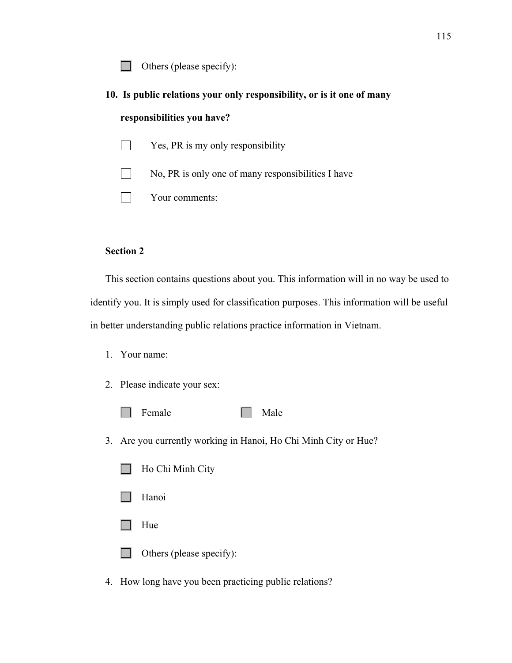Others (please specify):  $\Box$ 

- **10. Is public relations your only responsibility, or is it one of many responsibilities you have?** 
	- $\Box$ Yes, PR is my only responsibility

No, PR is only one of many responsibilities I have

Your comments:

### **Section 2**

This section contains questions about you. This information will in no way be used to identify you. It is simply used for classification purposes. This information will be useful in better understanding public relations practice information in Vietnam.

- 1. Your name:
- 2. Please indicate your sex:
	- Female Male  $\Box$
- 3. Are you currently working in Hanoi, Ho Chi Minh City or Hue?
	- $\Box$ Ho Chi Minh City
	- Hanoi
	- Hue  $\Box$ 
		- Others (please specify):
- 4. How long have you been practicing public relations?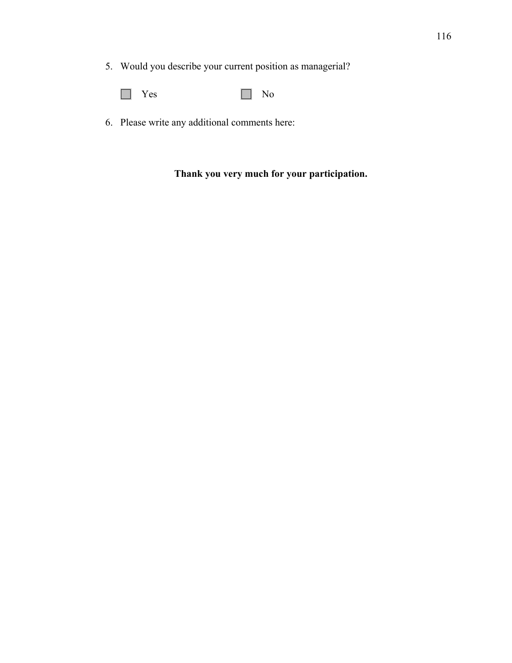- 5. Would you describe your current position as managerial?
	- $\Box$ Yes No
- 6. Please write any additional comments here:

## **Thank you very much for your participation.**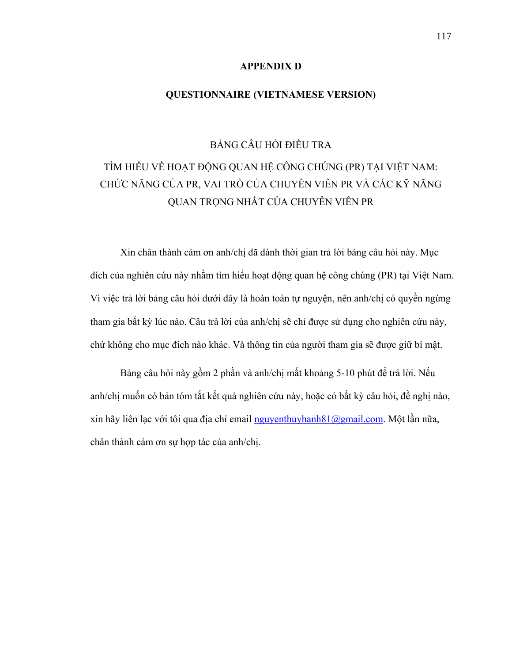### **APPENDIX D**

### **QUESTIONNAIRE (VIETNAMESE VERSION)**

BẢNG CÂU HỎI ĐIỀU TRA

## TÌM HIỂU VỀ HOẠT ĐỘNG QUAN HỆ CÔNG CHÚNG (PR) TẠI VIỆT NAM: CHỨC NĂNG CỦA PR, VAI TRÒ CỦA CHUYÊN VIÊN PR VÀ CÁC KỸ NĂNG QUAN TRỌNG NHẤT CỦA CHUYÊN VIÊN PR

Xin chân thành cảm ơn anh/chị đã dành thời gian trả lời bảng câu hỏi này. Mục đích của nghiên cứu này nhằm tìm hiểu hoạt động quan hệ công chúng (PR) tại Việt Nam. Vì việc trả lời bảng câu hỏi dưới đây là hoàn toàn tự nguyện, nên anh/chị có quyền ngừng tham gia bất kỳ lúc nào. Câu trả lời của anh/chị sẽ chỉ được sử dụng cho nghiên cứu này, chứ không cho mục đích nào khác. Và thông tin của người tham gia sẽ được giữ bí mật.

Bảng câu hỏi này gồm 2 phần và anh/chị mất khoảng 5-10 phút để trả lời. Nếu anh/chị muốn có bản tóm tắt kết quả nghiên cứu này, hoặc có bất kỳ câu hỏi, đề nghị nào, xin hãy liên lạc với tôi qua địa chỉ email [nguyenthuyhanh81@gmail.com](mailto:nguyenthuyhanh81@gmail.com). Một lần nữa, chân thành cảm ơn sự hợp tác của anh/chị.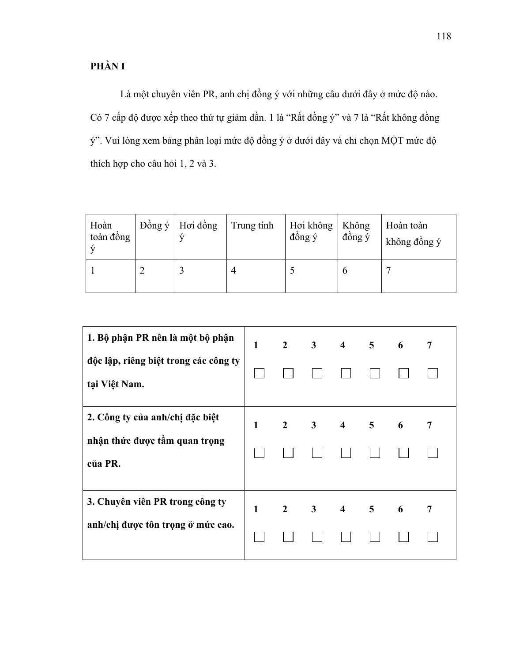## **PHẦN I**

Là một chuyên viên PR, anh chị đồng ý với những câu dưới đây ở mức độ nào. Có 7 cấp độ được xếp theo thứ tự giảm dần. 1 là "Rất đồng ý" và 7 là "Rất không đồng ý". Vui lòng xem bảng phân loại mức độ đồng ý ở dưới đây và chỉ chọn MỘT mức độ thích hợp cho câu hỏi 1, 2 và 3.

| Hoàn<br>toàn đồng | Đồng ý Hơi đồng | Trung tính | Hơi không<br>đồng ý | Không<br>đồng ý | Hoàn toàn<br>không đồng ý |
|-------------------|-----------------|------------|---------------------|-----------------|---------------------------|
|                   |                 |            |                     |                 |                           |

| 1. Bộ phận PR nên là một bộ phận<br>độc lập, riêng biệt trong các công ty<br>tại Việt Nam. | $\mathbf{1}$ | $2 \qquad 3$ |             | $\overline{4}$          | 5 <sup>5</sup> | 6 | 7 |
|--------------------------------------------------------------------------------------------|--------------|--------------|-------------|-------------------------|----------------|---|---|
| 2. Công ty của anh/chị đặc biệt<br>nhận thức được tầm quan trọng<br>của PR.                | 1            |              | $2 \quad 3$ | $\overline{\mathbf{4}}$ | $\overline{5}$ | 6 | 7 |
| 3. Chuyên viên PR trong công ty<br>anh/chị được tôn trọng ở mức cao.                       | $\mathbf{1}$ | $2 \quad 3$  |             | $\overline{4}$          | 5 <sup>5</sup> | 6 | 7 |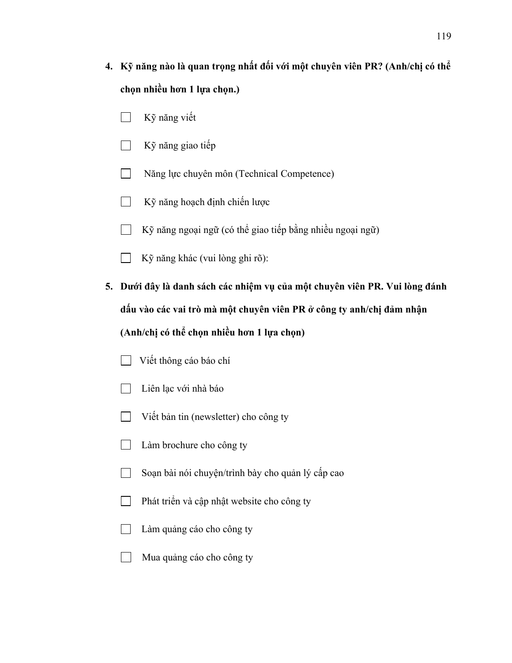- **4. Kỹ năng nào là quan trọng nhất đối với một chuyên viên PR? (Anh/chị có thể chọn nhiều hơn 1 lựa chọn.)** 
	- Kỹ năng viết
	- Kỹ năng giao tiếp  $\perp$
	- $\Box$ Năng lực chuyên môn (Technical Competence)
	- Kỹ năng hoạch định chiến lược  $\Box$
	- Kỹ năng ngoại ngữ (có thể giao tiếp bằng nhiều ngoại ngữ)
	- Kỹ năng khác (vui lòng ghi rõ):  $\perp$
- **5. Dưới đây là danh sách các nhiệm vụ của một chuyên viên PR. Vui lòng đánh dấu vào các vai trò mà một chuyên viên PR ở công ty anh/chị đảm nhận (Anh/chị có thể chọn nhiều hơn 1 lựa chọn)** 
	- Viết thông cáo báo chí
	- Liên lạc với nhà báo  $\perp$
	- Viết bản tin (newsletter) cho công ty  $\Box$
	- Làm brochure cho công ty  $\perp$
	- Soạn bài nói chuyện/trình bày cho quản lý cấp cao  $\Box$
	- $\Box$ Phát triển và cập nhật website cho công ty
	- $\Box$ Làm quảng cáo cho công ty
	- Mua quảng cáo cho công ty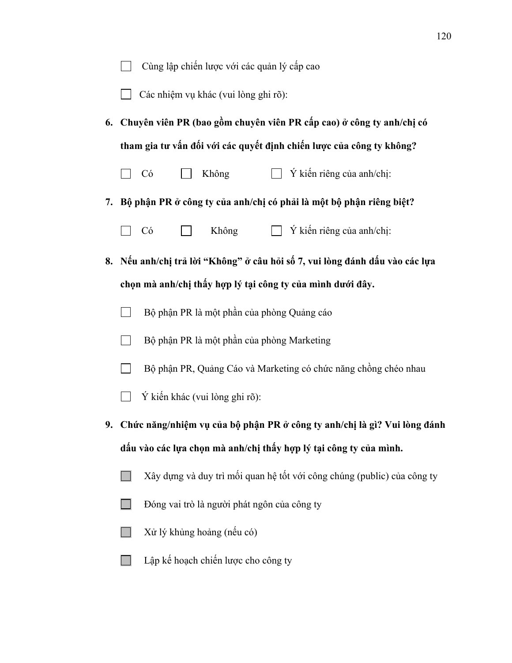|    | Cùng lập chiến lược với các quản lý cấp cao                                  |  |  |  |  |  |  |  |
|----|------------------------------------------------------------------------------|--|--|--|--|--|--|--|
|    | Các nhiệm vụ khác (vui lòng ghi rõ):                                         |  |  |  |  |  |  |  |
| 6. | Chuyên viên PR (bao gồm chuyên viên PR cấp cao) ở công ty anh/chị có         |  |  |  |  |  |  |  |
|    | tham gia tư vấn đối với các quyết định chiến lược của công ty không?         |  |  |  |  |  |  |  |
|    | Ý kiến riêng của anh/chị:<br>Không<br>Có                                     |  |  |  |  |  |  |  |
| 7. | Bộ phận PR ở công ty của anh/chị có phải là một bộ phận riêng biệt?          |  |  |  |  |  |  |  |
|    | $\Box$ Ý kiến riêng của anh/chị:<br>Không<br>Có                              |  |  |  |  |  |  |  |
|    | 8. Nếu anh/chị trả lời "Không" ở câu hỏi số 7, vui lòng đánh dấu vào các lựa |  |  |  |  |  |  |  |
|    | chọn mà anh/chị thấy hợp lý tại công ty của mình dưới đây.                   |  |  |  |  |  |  |  |
|    | Bộ phận PR là một phần của phòng Quảng cáo                                   |  |  |  |  |  |  |  |
|    | Bộ phận PR là một phần của phòng Marketing                                   |  |  |  |  |  |  |  |
|    | Bộ phận PR, Quảng Cáo và Marketing có chức năng chồng chéo nhau              |  |  |  |  |  |  |  |
|    | Ý kiến khác (vui lòng ghi rõ):                                               |  |  |  |  |  |  |  |
|    | 9. Chức năng/nhiệm vụ của bộ phận PR ở công ty anh/chị là gì? Vui lòng đánh  |  |  |  |  |  |  |  |
|    | dấu vào các lựa chọn mà anh/chị thấy hợp lý tại công ty của mình.            |  |  |  |  |  |  |  |
|    | Xây dựng và duy trì mối quan hệ tốt với công chúng (public) của công ty      |  |  |  |  |  |  |  |
|    | Đóng vai trò là người phát ngôn của công ty                                  |  |  |  |  |  |  |  |
|    | Xử lý khủng hoảng (nếu có)                                                   |  |  |  |  |  |  |  |
|    | Lập kế hoạch chiến lược cho công ty                                          |  |  |  |  |  |  |  |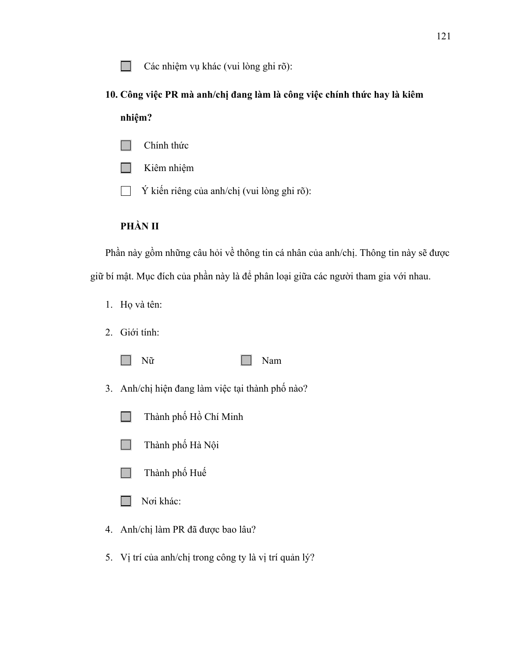Các nhiệm vụ khác (vui lòng ghi rõ):  $\sim$ 

# **10. Công việc PR mà anh/chị đang làm là công việc chính thức hay là kiêm nhiệm?**

- Chính thức  $\mathbf{1}$
- Kiêm nhiệm  $\sim$
- Ý kiến riêng của anh/chị (vui lòng ghi rõ):  $\Box$

## **PHẦN II**

Phần này gồm những câu hỏi về thông tin cá nhân của anh/chị. Thông tin này sẽ được giữ bí mật. Mục đích của phần này là để phân loại giữa các người tham gia với nhau.

- 1. Họ và tên:
- 2. Giới tính:
	- **I**

### Nữ Nam

- 3. Anh/chị hiện đang làm việc tại thành phố nào?
	- Thành phố Hồ Chí Minh  $\mathcal{L}^{\mathcal{L}}$
	- Thành phố Hà Nội  $\Box$
	- Thành phố Huế  $\Box$
	- Nơi khác: H
- 4. Anh/chị làm PR đã được bao lâu?
- 5. Vị trí của anh/chị trong công ty là vị trí quản lý?